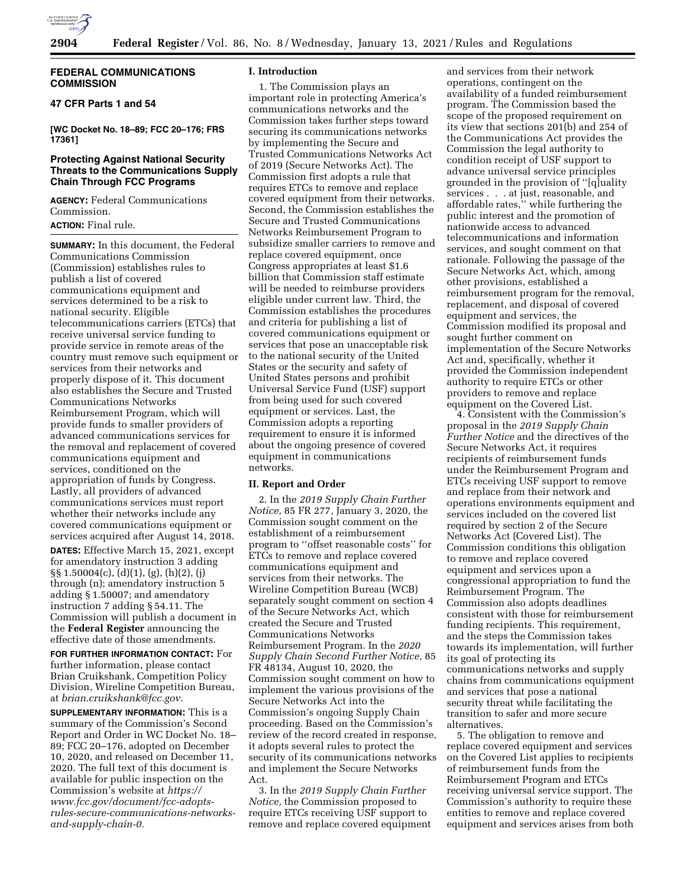

## **FEDERAL COMMUNICATIONS COMMISSION**

# **47 CFR Parts 1 and 54**

**[WC Docket No. 18–89; FCC 20–176; FRS 17361]** 

# **Protecting Against National Security Threats to the Communications Supply Chain Through FCC Programs**

**AGENCY:** Federal Communications Commission.

**ACTION:** Final rule.

**SUMMARY:** In this document, the Federal Communications Commission (Commission) establishes rules to publish a list of covered communications equipment and services determined to be a risk to national security. Eligible telecommunications carriers (ETCs) that receive universal service funding to provide service in remote areas of the country must remove such equipment or services from their networks and properly dispose of it. This document also establishes the Secure and Trusted Communications Networks Reimbursement Program, which will provide funds to smaller providers of advanced communications services for the removal and replacement of covered communications equipment and services, conditioned on the appropriation of funds by Congress. Lastly, all providers of advanced communications services must report whether their networks include any covered communications equipment or services acquired after August 14, 2018.

**DATES:** Effective March 15, 2021, except for amendatory instruction 3 adding §§ 1.50004(c), (d)(1), (g), (h)(2), (j) through (n); amendatory instruction 5 adding § 1.50007; and amendatory instruction 7 adding § 54.11. The Commission will publish a document in the **Federal Register** announcing the effective date of those amendments.

**FOR FURTHER INFORMATION CONTACT:** For further information, please contact Brian Cruikshank, Competition Policy Division, Wireline Competition Bureau, at *[brian.cruikshank@fcc.gov.](mailto:brian.cruikshank@fcc.gov)* 

**SUPPLEMENTARY INFORMATION:** This is a summary of the Commission's Second Report and Order in WC Docket No. 18– 89; FCC 20–176, adopted on December 10, 2020, and released on December 11, 2020. The full text of this document is available for public inspection on the Commission's website at *[https://](https://www.fcc.gov/document/fcc-adopts-rules-secure-communications-networks-and-supply-chain-0) [www.fcc.gov/document/fcc-adopts](https://www.fcc.gov/document/fcc-adopts-rules-secure-communications-networks-and-supply-chain-0)[rules-secure-communications-networks](https://www.fcc.gov/document/fcc-adopts-rules-secure-communications-networks-and-supply-chain-0)[and-supply-chain-0.](https://www.fcc.gov/document/fcc-adopts-rules-secure-communications-networks-and-supply-chain-0)* 

### **I. Introduction**

1. The Commission plays an important role in protecting America's communications networks and the Commission takes further steps toward securing its communications networks by implementing the Secure and Trusted Communications Networks Act of 2019 (Secure Networks Act). The Commission first adopts a rule that requires ETCs to remove and replace covered equipment from their networks. Second, the Commission establishes the Secure and Trusted Communications Networks Reimbursement Program to subsidize smaller carriers to remove and replace covered equipment, once Congress appropriates at least \$1.6 billion that Commission staff estimate will be needed to reimburse providers eligible under current law. Third, the Commission establishes the procedures and criteria for publishing a list of covered communications equipment or services that pose an unacceptable risk to the national security of the United States or the security and safety of United States persons and prohibit Universal Service Fund (USF) support from being used for such covered equipment or services. Last, the Commission adopts a reporting requirement to ensure it is informed about the ongoing presence of covered equipment in communications networks.

## **II. Report and Order**

2. In the *2019 Supply Chain Further Notice,* 85 FR 277, January 3, 2020, the Commission sought comment on the establishment of a reimbursement program to ''offset reasonable costs'' for ETCs to remove and replace covered communications equipment and services from their networks. The Wireline Competition Bureau (WCB) separately sought comment on section 4 of the Secure Networks Act, which created the Secure and Trusted Communications Networks Reimbursement Program. In the *2020 Supply Chain Second Further Notice,* 85 FR 48134, August 10, 2020, the Commission sought comment on how to implement the various provisions of the Secure Networks Act into the Commission's ongoing Supply Chain proceeding. Based on the Commission's review of the record created in response, it adopts several rules to protect the security of its communications networks and implement the Secure Networks Act.

3. In the *2019 Supply Chain Further Notice,* the Commission proposed to require ETCs receiving USF support to remove and replace covered equipment

and services from their network operations, contingent on the availability of a funded reimbursement program. The Commission based the scope of the proposed requirement on its view that sections 201(b) and 254 of the Communications Act provides the Commission the legal authority to condition receipt of USF support to advance universal service principles grounded in the provision of ''[q]uality services . . . at just, reasonable, and affordable rates,'' while furthering the public interest and the promotion of nationwide access to advanced telecommunications and information services, and sought comment on that rationale. Following the passage of the Secure Networks Act, which, among other provisions, established a reimbursement program for the removal, replacement, and disposal of covered equipment and services, the Commission modified its proposal and sought further comment on implementation of the Secure Networks Act and, specifically, whether it provided the Commission independent authority to require ETCs or other providers to remove and replace equipment on the Covered List.

4. Consistent with the Commission's proposal in the *2019 Supply Chain Further Notice* and the directives of the Secure Networks Act, it requires recipients of reimbursement funds under the Reimbursement Program and ETCs receiving USF support to remove and replace from their network and operations environments equipment and services included on the covered list required by section 2 of the Secure Networks Act (Covered List). The Commission conditions this obligation to remove and replace covered equipment and services upon a congressional appropriation to fund the Reimbursement Program. The Commission also adopts deadlines consistent with those for reimbursement funding recipients. This requirement, and the steps the Commission takes towards its implementation, will further its goal of protecting its communications networks and supply chains from communications equipment and services that pose a national security threat while facilitating the transition to safer and more secure alternatives.

5. The obligation to remove and replace covered equipment and services on the Covered List applies to recipients of reimbursement funds from the Reimbursement Program and ETCs receiving universal service support. The Commission's authority to require these entities to remove and replace covered equipment and services arises from both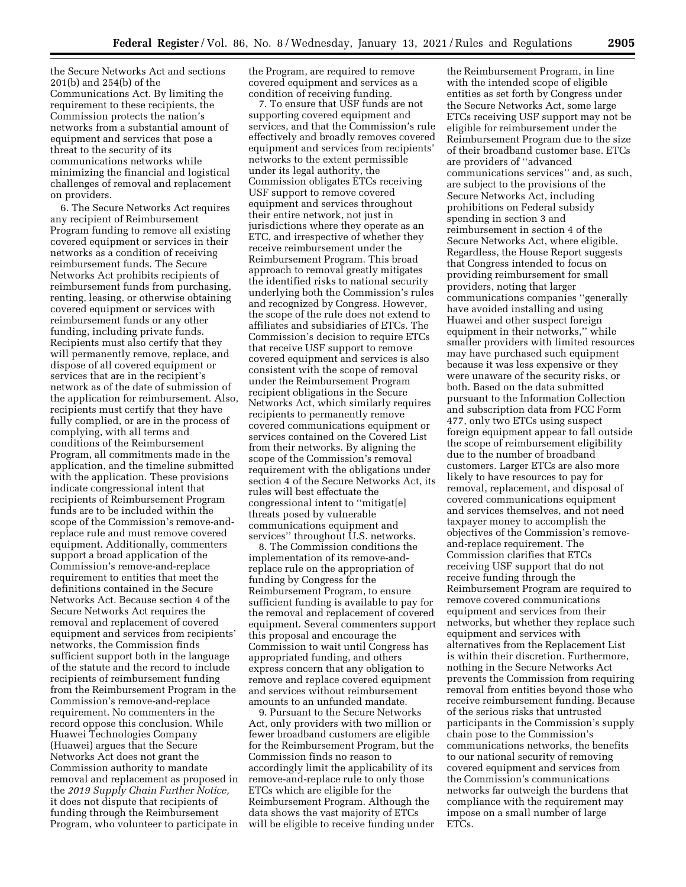the Secure Networks Act and sections 201(b) and 254(b) of the Communications Act. By limiting the requirement to these recipients, the Commission protects the nation's networks from a substantial amount of equipment and services that pose a threat to the security of its communications networks while minimizing the financial and logistical challenges of removal and replacement on providers.

6. The Secure Networks Act requires any recipient of Reimbursement Program funding to remove all existing covered equipment or services in their networks as a condition of receiving reimbursement funds. The Secure Networks Act prohibits recipients of reimbursement funds from purchasing, renting, leasing, or otherwise obtaining covered equipment or services with reimbursement funds or any other funding, including private funds. Recipients must also certify that they will permanently remove, replace, and dispose of all covered equipment or services that are in the recipient's network as of the date of submission of the application for reimbursement. Also, recipients must certify that they have fully complied, or are in the process of complying, with all terms and conditions of the Reimbursement Program, all commitments made in the application, and the timeline submitted with the application. These provisions indicate congressional intent that recipients of Reimbursement Program funds are to be included within the scope of the Commission's remove-andreplace rule and must remove covered equipment. Additionally, commenters support a broad application of the Commission's remove-and-replace requirement to entities that meet the definitions contained in the Secure Networks Act. Because section 4 of the Secure Networks Act requires the removal and replacement of covered equipment and services from recipients' networks, the Commission finds sufficient support both in the language of the statute and the record to include recipients of reimbursement funding from the Reimbursement Program in the Commission's remove-and-replace requirement. No commenters in the record oppose this conclusion. While Huawei Technologies Company (Huawei) argues that the Secure Networks Act does not grant the Commission authority to mandate removal and replacement as proposed in the *2019 Supply Chain Further Notice,*  it does not dispute that recipients of funding through the Reimbursement Program, who volunteer to participate in

the Program, are required to remove covered equipment and services as a condition of receiving funding.

7. To ensure that USF funds are not supporting covered equipment and services, and that the Commission's rule effectively and broadly removes covered equipment and services from recipients' networks to the extent permissible under its legal authority, the Commission obligates ETCs receiving USF support to remove covered equipment and services throughout their entire network, not just in jurisdictions where they operate as an ETC, and irrespective of whether they receive reimbursement under the Reimbursement Program. This broad approach to removal greatly mitigates the identified risks to national security underlying both the Commission's rules and recognized by Congress. However, the scope of the rule does not extend to affiliates and subsidiaries of ETCs. The Commission's decision to require ETCs that receive USF support to remove covered equipment and services is also consistent with the scope of removal under the Reimbursement Program recipient obligations in the Secure Networks Act, which similarly requires recipients to permanently remove covered communications equipment or services contained on the Covered List from their networks. By aligning the scope of the Commission's removal requirement with the obligations under section 4 of the Secure Networks Act, its rules will best effectuate the congressional intent to ''mitigat[e] threats posed by vulnerable communications equipment and services'' throughout U.S. networks.

8. The Commission conditions the implementation of its remove-andreplace rule on the appropriation of funding by Congress for the Reimbursement Program, to ensure sufficient funding is available to pay for the removal and replacement of covered equipment. Several commenters support this proposal and encourage the Commission to wait until Congress has appropriated funding, and others express concern that any obligation to remove and replace covered equipment and services without reimbursement amounts to an unfunded mandate.

9. Pursuant to the Secure Networks Act, only providers with two million or fewer broadband customers are eligible for the Reimbursement Program, but the Commission finds no reason to accordingly limit the applicability of its remove-and-replace rule to only those ETCs which are eligible for the Reimbursement Program. Although the data shows the vast majority of ETCs will be eligible to receive funding under

the Reimbursement Program, in line with the intended scope of eligible entities as set forth by Congress under the Secure Networks Act, some large ETCs receiving USF support may not be eligible for reimbursement under the Reimbursement Program due to the size of their broadband customer base. ETCs are providers of ''advanced communications services'' and, as such, are subject to the provisions of the Secure Networks Act, including prohibitions on Federal subsidy spending in section 3 and reimbursement in section 4 of the Secure Networks Act, where eligible. Regardless, the House Report suggests that Congress intended to focus on providing reimbursement for small providers, noting that larger communications companies ''generally have avoided installing and using Huawei and other suspect foreign equipment in their networks,'' while smaller providers with limited resources may have purchased such equipment because it was less expensive or they were unaware of the security risks, or both. Based on the data submitted pursuant to the Information Collection and subscription data from FCC Form 477, only two ETCs using suspect foreign equipment appear to fall outside the scope of reimbursement eligibility due to the number of broadband customers. Larger ETCs are also more likely to have resources to pay for removal, replacement, and disposal of covered communications equipment and services themselves, and not need taxpayer money to accomplish the objectives of the Commission's removeand-replace requirement. The Commission clarifies that ETCs receiving USF support that do not receive funding through the Reimbursement Program are required to remove covered communications equipment and services from their networks, but whether they replace such equipment and services with alternatives from the Replacement List is within their discretion. Furthermore, nothing in the Secure Networks Act prevents the Commission from requiring removal from entities beyond those who receive reimbursement funding. Because of the serious risks that untrusted participants in the Commission's supply chain pose to the Commission's communications networks, the benefits to our national security of removing covered equipment and services from the Commission's communications networks far outweigh the burdens that compliance with the requirement may impose on a small number of large ETCs.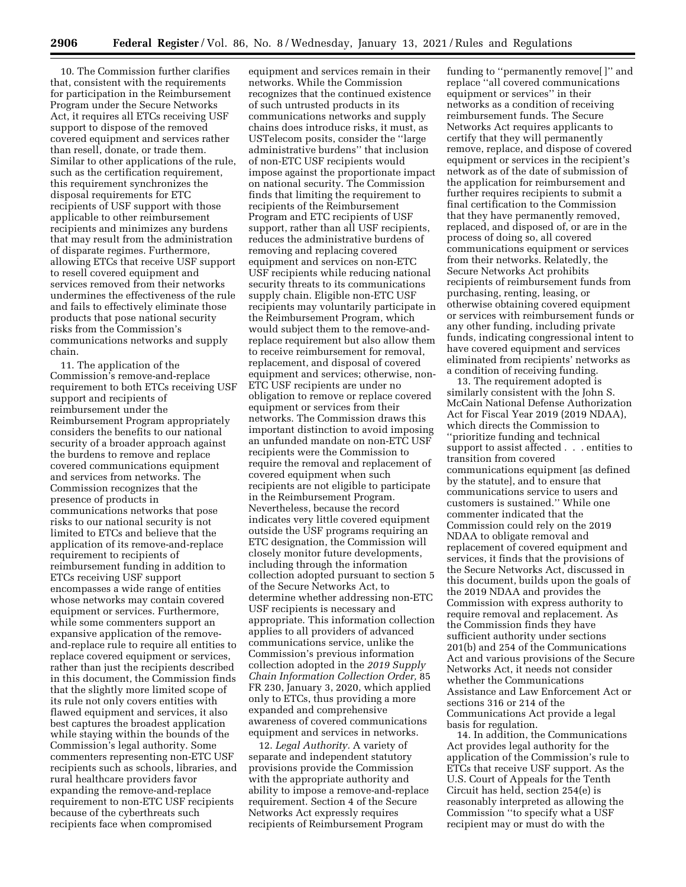10. The Commission further clarifies that, consistent with the requirements for participation in the Reimbursement Program under the Secure Networks Act, it requires all ETCs receiving USF support to dispose of the removed covered equipment and services rather than resell, donate, or trade them. Similar to other applications of the rule, such as the certification requirement, this requirement synchronizes the disposal requirements for ETC recipients of USF support with those applicable to other reimbursement recipients and minimizes any burdens that may result from the administration of disparate regimes. Furthermore, allowing ETCs that receive USF support to resell covered equipment and services removed from their networks undermines the effectiveness of the rule and fails to effectively eliminate those products that pose national security risks from the Commission's communications networks and supply chain.

11. The application of the Commission's remove-and-replace requirement to both ETCs receiving USF support and recipients of reimbursement under the Reimbursement Program appropriately considers the benefits to our national security of a broader approach against the burdens to remove and replace covered communications equipment and services from networks. The Commission recognizes that the presence of products in communications networks that pose risks to our national security is not limited to ETCs and believe that the application of its remove-and-replace requirement to recipients of reimbursement funding in addition to ETCs receiving USF support encompasses a wide range of entities whose networks may contain covered equipment or services. Furthermore, while some commenters support an expansive application of the removeand-replace rule to require all entities to replace covered equipment or services, rather than just the recipients described in this document, the Commission finds that the slightly more limited scope of its rule not only covers entities with flawed equipment and services, it also best captures the broadest application while staying within the bounds of the Commission's legal authority. Some commenters representing non-ETC USF recipients such as schools, libraries, and rural healthcare providers favor expanding the remove-and-replace requirement to non-ETC USF recipients because of the cyberthreats such recipients face when compromised

equipment and services remain in their networks. While the Commission recognizes that the continued existence of such untrusted products in its communications networks and supply chains does introduce risks, it must, as USTelecom posits, consider the ''large administrative burdens'' that inclusion of non-ETC USF recipients would impose against the proportionate impact on national security. The Commission finds that limiting the requirement to recipients of the Reimbursement Program and ETC recipients of USF support, rather than all USF recipients, reduces the administrative burdens of removing and replacing covered equipment and services on non-ETC USF recipients while reducing national security threats to its communications supply chain. Eligible non-ETC USF recipients may voluntarily participate in the Reimbursement Program, which would subject them to the remove-andreplace requirement but also allow them to receive reimbursement for removal, replacement, and disposal of covered equipment and services; otherwise, non-ETC USF recipients are under no obligation to remove or replace covered equipment or services from their networks. The Commission draws this important distinction to avoid imposing an unfunded mandate on non-ETC USF recipients were the Commission to require the removal and replacement of covered equipment when such recipients are not eligible to participate in the Reimbursement Program. Nevertheless, because the record indicates very little covered equipment outside the USF programs requiring an ETC designation, the Commission will closely monitor future developments, including through the information collection adopted pursuant to section 5 of the Secure Networks Act, to determine whether addressing non-ETC USF recipients is necessary and appropriate. This information collection applies to all providers of advanced communications service, unlike the Commission's previous information collection adopted in the *2019 Supply Chain Information Collection Order,* 85 FR 230, January 3, 2020, which applied only to ETCs, thus providing a more expanded and comprehensive awareness of covered communications equipment and services in networks.

12. *Legal Authority.* A variety of separate and independent statutory provisions provide the Commission with the appropriate authority and ability to impose a remove-and-replace requirement. Section 4 of the Secure Networks Act expressly requires recipients of Reimbursement Program

funding to ''permanently remove[ ]'' and replace ''all covered communications equipment or services'' in their networks as a condition of receiving reimbursement funds. The Secure Networks Act requires applicants to certify that they will permanently remove, replace, and dispose of covered equipment or services in the recipient's network as of the date of submission of the application for reimbursement and further requires recipients to submit a final certification to the Commission that they have permanently removed, replaced, and disposed of, or are in the process of doing so, all covered communications equipment or services from their networks. Relatedly, the Secure Networks Act prohibits recipients of reimbursement funds from purchasing, renting, leasing, or otherwise obtaining covered equipment or services with reimbursement funds or any other funding, including private funds, indicating congressional intent to have covered equipment and services eliminated from recipients' networks as a condition of receiving funding.

13. The requirement adopted is similarly consistent with the John S. McCain National Defense Authorization Act for Fiscal Year 2019 (2019 NDAA), which directs the Commission to ''prioritize funding and technical support to assist affected . . . entities to transition from covered communications equipment [as defined by the statute], and to ensure that communications service to users and customers is sustained.'' While one commenter indicated that the Commission could rely on the 2019 NDAA to obligate removal and replacement of covered equipment and services, it finds that the provisions of the Secure Networks Act, discussed in this document, builds upon the goals of the 2019 NDAA and provides the Commission with express authority to require removal and replacement. As the Commission finds they have sufficient authority under sections 201(b) and 254 of the Communications Act and various provisions of the Secure Networks Act, it needs not consider whether the Communications Assistance and Law Enforcement Act or sections 316 or 214 of the Communications Act provide a legal basis for regulation.

14. In addition, the Communications Act provides legal authority for the application of the Commission's rule to ETCs that receive USF support. As the U.S. Court of Appeals for the Tenth Circuit has held, section 254(e) is reasonably interpreted as allowing the Commission ''to specify what a USF recipient may or must do with the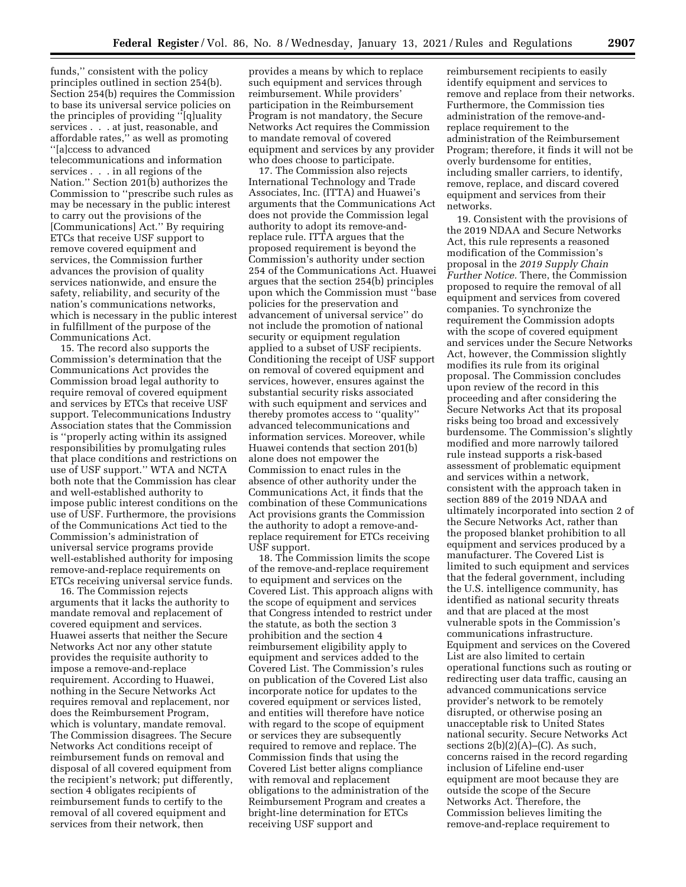funds,'' consistent with the policy principles outlined in section 254(b). Section 254(b) requires the Commission to base its universal service policies on the principles of providing ''[q]uality services . . . at just, reasonable, and affordable rates,'' as well as promoting ''[a]ccess to advanced telecommunications and information services . . . in all regions of the Nation.'' Section 201(b) authorizes the Commission to ''prescribe such rules as may be necessary in the public interest to carry out the provisions of the [Communications] Act.'' By requiring ETCs that receive USF support to remove covered equipment and services, the Commission further advances the provision of quality services nationwide, and ensure the safety, reliability, and security of the nation's communications networks, which is necessary in the public interest in fulfillment of the purpose of the Communications Act.

15. The record also supports the Commission's determination that the Communications Act provides the Commission broad legal authority to require removal of covered equipment and services by ETCs that receive USF support. Telecommunications Industry Association states that the Commission is ''properly acting within its assigned responsibilities by promulgating rules that place conditions and restrictions on use of USF support.'' WTA and NCTA both note that the Commission has clear and well-established authority to impose public interest conditions on the use of USF. Furthermore, the provisions of the Communications Act tied to the Commission's administration of universal service programs provide well-established authority for imposing remove-and-replace requirements on ETCs receiving universal service funds.

16. The Commission rejects arguments that it lacks the authority to mandate removal and replacement of covered equipment and services. Huawei asserts that neither the Secure Networks Act nor any other statute provides the requisite authority to impose a remove-and-replace requirement. According to Huawei, nothing in the Secure Networks Act requires removal and replacement, nor does the Reimbursement Program, which is voluntary, mandate removal. The Commission disagrees. The Secure Networks Act conditions receipt of reimbursement funds on removal and disposal of all covered equipment from the recipient's network; put differently, section 4 obligates recipients of reimbursement funds to certify to the removal of all covered equipment and services from their network, then

provides a means by which to replace such equipment and services through reimbursement. While providers' participation in the Reimbursement Program is not mandatory, the Secure Networks Act requires the Commission to mandate removal of covered equipment and services by any provider who does choose to participate.

17. The Commission also rejects International Technology and Trade Associates, Inc. (ITTA) and Huawei's arguments that the Communications Act does not provide the Commission legal authority to adopt its remove-andreplace rule. ITTA argues that the proposed requirement is beyond the Commission's authority under section 254 of the Communications Act. Huawei argues that the section 254(b) principles upon which the Commission must ''base policies for the preservation and advancement of universal service'' do not include the promotion of national security or equipment regulation applied to a subset of USF recipients. Conditioning the receipt of USF support on removal of covered equipment and services, however, ensures against the substantial security risks associated with such equipment and services and thereby promotes access to ''quality'' advanced telecommunications and information services. Moreover, while Huawei contends that section 201(b) alone does not empower the Commission to enact rules in the absence of other authority under the Communications Act, it finds that the combination of these Communications Act provisions grants the Commission the authority to adopt a remove-andreplace requirement for ETCs receiving USF support.

18. The Commission limits the scope of the remove-and-replace requirement to equipment and services on the Covered List. This approach aligns with the scope of equipment and services that Congress intended to restrict under the statute, as both the section 3 prohibition and the section 4 reimbursement eligibility apply to equipment and services added to the Covered List. The Commission's rules on publication of the Covered List also incorporate notice for updates to the covered equipment or services listed, and entities will therefore have notice with regard to the scope of equipment or services they are subsequently required to remove and replace. The Commission finds that using the Covered List better aligns compliance with removal and replacement obligations to the administration of the Reimbursement Program and creates a bright-line determination for ETCs receiving USF support and

reimbursement recipients to easily identify equipment and services to remove and replace from their networks. Furthermore, the Commission ties administration of the remove-andreplace requirement to the administration of the Reimbursement Program; therefore, it finds it will not be overly burdensome for entities, including smaller carriers, to identify, remove, replace, and discard covered equipment and services from their networks.

19. Consistent with the provisions of the 2019 NDAA and Secure Networks Act, this rule represents a reasoned modification of the Commission's proposal in the *2019 Supply Chain Further Notice.* There, the Commission proposed to require the removal of all equipment and services from covered companies. To synchronize the requirement the Commission adopts with the scope of covered equipment and services under the Secure Networks Act, however, the Commission slightly modifies its rule from its original proposal. The Commission concludes upon review of the record in this proceeding and after considering the Secure Networks Act that its proposal risks being too broad and excessively burdensome. The Commission's slightly modified and more narrowly tailored rule instead supports a risk-based assessment of problematic equipment and services within a network, consistent with the approach taken in section 889 of the 2019 NDAA and ultimately incorporated into section 2 of the Secure Networks Act, rather than the proposed blanket prohibition to all equipment and services produced by a manufacturer. The Covered List is limited to such equipment and services that the federal government, including the U.S. intelligence community, has identified as national security threats and that are placed at the most vulnerable spots in the Commission's communications infrastructure. Equipment and services on the Covered List are also limited to certain operational functions such as routing or redirecting user data traffic, causing an advanced communications service provider's network to be remotely disrupted, or otherwise posing an unacceptable risk to United States national security. Secure Networks Act sections  $2(b)(2)(A)$ –(C). As such, concerns raised in the record regarding inclusion of Lifeline end-user equipment are moot because they are outside the scope of the Secure Networks Act. Therefore, the Commission believes limiting the remove-and-replace requirement to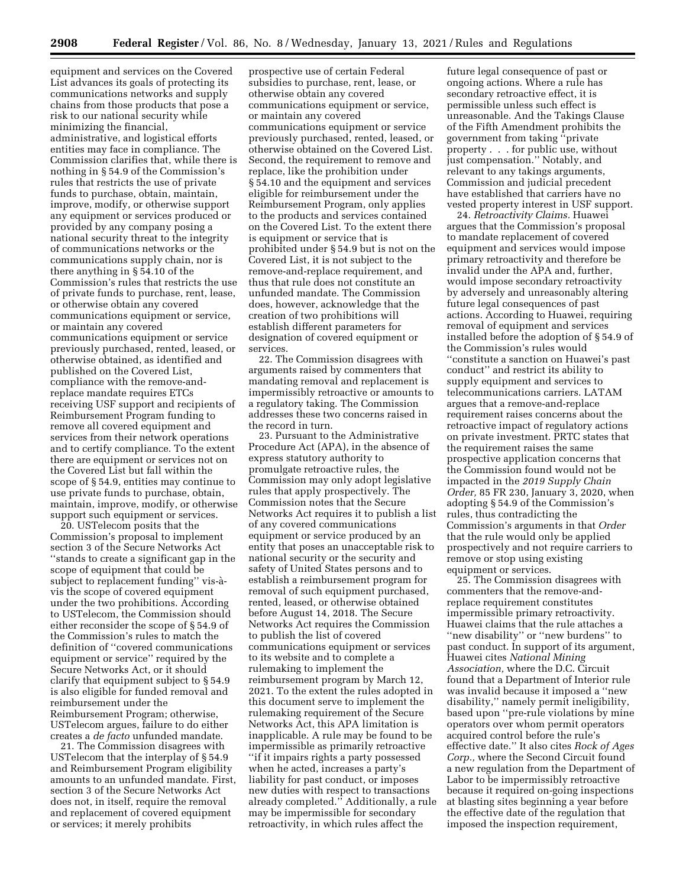equipment and services on the Covered List advances its goals of protecting its communications networks and supply chains from those products that pose a risk to our national security while minimizing the financial, administrative, and logistical efforts entities may face in compliance. The Commission clarifies that, while there is nothing in § 54.9 of the Commission's rules that restricts the use of private funds to purchase, obtain, maintain, improve, modify, or otherwise support any equipment or services produced or provided by any company posing a national security threat to the integrity of communications networks or the communications supply chain, nor is there anything in § 54.10 of the Commission's rules that restricts the use of private funds to purchase, rent, lease, or otherwise obtain any covered communications equipment or service, or maintain any covered communications equipment or service previously purchased, rented, leased, or otherwise obtained, as identified and published on the Covered List, compliance with the remove-andreplace mandate requires ETCs receiving USF support and recipients of Reimbursement Program funding to remove all covered equipment and services from their network operations and to certify compliance. To the extent there are equipment or services not on the Covered List but fall within the scope of § 54.9, entities may continue to use private funds to purchase, obtain, maintain, improve, modify, or otherwise support such equipment or services.

20. USTelecom posits that the Commission's proposal to implement section 3 of the Secure Networks Act ''stands to create a significant gap in the scope of equipment that could be subject to replacement funding'' vis-a` vis the scope of covered equipment under the two prohibitions. According to USTelecom, the Commission should either reconsider the scope of § 54.9 of the Commission's rules to match the definition of ''covered communications equipment or service'' required by the Secure Networks Act, or it should clarify that equipment subject to § 54.9 is also eligible for funded removal and reimbursement under the Reimbursement Program; otherwise, USTelecom argues, failure to do either creates a *de facto* unfunded mandate.

21. The Commission disagrees with USTelecom that the interplay of § 54.9 and Reimbursement Program eligibility amounts to an unfunded mandate. First, section 3 of the Secure Networks Act does not, in itself, require the removal and replacement of covered equipment or services; it merely prohibits

prospective use of certain Federal subsidies to purchase, rent, lease, or otherwise obtain any covered communications equipment or service, or maintain any covered communications equipment or service previously purchased, rented, leased, or otherwise obtained on the Covered List. Second, the requirement to remove and replace, like the prohibition under § 54.10 and the equipment and services eligible for reimbursement under the Reimbursement Program, only applies to the products and services contained on the Covered List. To the extent there is equipment or service that is prohibited under § 54.9 but is not on the Covered List, it is not subject to the remove-and-replace requirement, and thus that rule does not constitute an unfunded mandate. The Commission does, however, acknowledge that the creation of two prohibitions will establish different parameters for designation of covered equipment or services.

22. The Commission disagrees with arguments raised by commenters that mandating removal and replacement is impermissibly retroactive or amounts to a regulatory taking. The Commission addresses these two concerns raised in the record in turn.

23. Pursuant to the Administrative Procedure Act (APA), in the absence of express statutory authority to promulgate retroactive rules, the Commission may only adopt legislative rules that apply prospectively. The Commission notes that the Secure Networks Act requires it to publish a list of any covered communications equipment or service produced by an entity that poses an unacceptable risk to national security or the security and safety of United States persons and to establish a reimbursement program for removal of such equipment purchased, rented, leased, or otherwise obtained before August 14, 2018. The Secure Networks Act requires the Commission to publish the list of covered communications equipment or services to its website and to complete a rulemaking to implement the reimbursement program by March 12, 2021. To the extent the rules adopted in this document serve to implement the rulemaking requirement of the Secure Networks Act, this APA limitation is inapplicable. A rule may be found to be impermissible as primarily retroactive ''if it impairs rights a party possessed when he acted, increases a party's liability for past conduct, or imposes new duties with respect to transactions already completed.'' Additionally, a rule may be impermissible for secondary retroactivity, in which rules affect the

future legal consequence of past or ongoing actions. Where a rule has secondary retroactive effect, it is permissible unless such effect is unreasonable. And the Takings Clause of the Fifth Amendment prohibits the government from taking ''private property . . . for public use, without just compensation.'' Notably, and relevant to any takings arguments, Commission and judicial precedent have established that carriers have no vested property interest in USF support.

24. *Retroactivity Claims.* Huawei argues that the Commission's proposal to mandate replacement of covered equipment and services would impose primary retroactivity and therefore be invalid under the APA and, further, would impose secondary retroactivity by adversely and unreasonably altering future legal consequences of past actions. According to Huawei, requiring removal of equipment and services installed before the adoption of § 54.9 of the Commission's rules would ''constitute a sanction on Huawei's past conduct'' and restrict its ability to supply equipment and services to telecommunications carriers. LATAM argues that a remove-and-replace requirement raises concerns about the retroactive impact of regulatory actions on private investment. PRTC states that the requirement raises the same prospective application concerns that the Commission found would not be impacted in the *2019 Supply Chain Order,* 85 FR 230, January 3, 2020, when adopting § 54.9 of the Commission's rules, thus contradicting the Commission's arguments in that *Order*  that the rule would only be applied prospectively and not require carriers to remove or stop using existing equipment or services.

25. The Commission disagrees with commenters that the remove-andreplace requirement constitutes impermissible primary retroactivity. Huawei claims that the rule attaches a ''new disability'' or ''new burdens'' to past conduct. In support of its argument, Huawei cites *National Mining Association,* where the D.C. Circuit found that a Department of Interior rule was invalid because it imposed a ''new disability,'' namely permit ineligibility, based upon ''pre-rule violations by mine operators over whom permit operators acquired control before the rule's effective date.'' It also cites *Rock of Ages Corp.,* where the Second Circuit found a new regulation from the Department of Labor to be impermissibly retroactive because it required on-going inspections at blasting sites beginning a year before the effective date of the regulation that imposed the inspection requirement,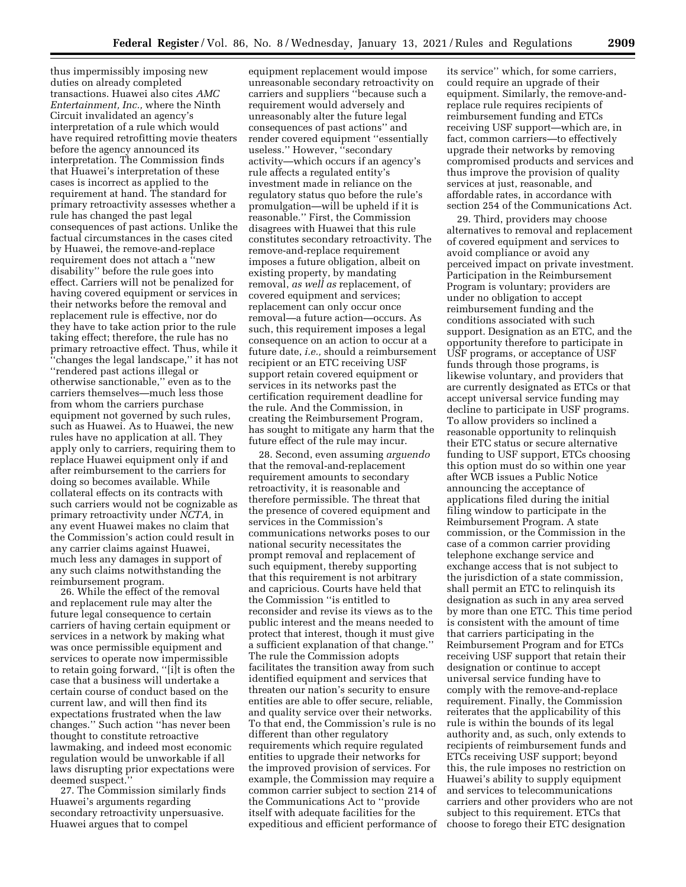thus impermissibly imposing new duties on already completed transactions. Huawei also cites *AMC Entertainment, Inc.,* where the Ninth Circuit invalidated an agency's interpretation of a rule which would have required retrofitting movie theaters before the agency announced its interpretation. The Commission finds that Huawei's interpretation of these cases is incorrect as applied to the requirement at hand. The standard for primary retroactivity assesses whether a rule has changed the past legal consequences of past actions. Unlike the factual circumstances in the cases cited by Huawei, the remove-and-replace requirement does not attach a ''new disability'' before the rule goes into effect. Carriers will not be penalized for having covered equipment or services in their networks before the removal and replacement rule is effective, nor do they have to take action prior to the rule taking effect; therefore, the rule has no primary retroactive effect. Thus, while it ''changes the legal landscape,'' it has not ''rendered past actions illegal or otherwise sanctionable,'' even as to the carriers themselves—much less those from whom the carriers purchase equipment not governed by such rules, such as Huawei. As to Huawei, the new rules have no application at all. They apply only to carriers, requiring them to replace Huawei equipment only if and after reimbursement to the carriers for doing so becomes available. While collateral effects on its contracts with such carriers would not be cognizable as primary retroactivity under *NCTA,* in any event Huawei makes no claim that the Commission's action could result in any carrier claims against Huawei, much less any damages in support of any such claims notwithstanding the reimbursement program.

26. While the effect of the removal and replacement rule may alter the future legal consequence to certain carriers of having certain equipment or services in a network by making what was once permissible equipment and services to operate now impermissible to retain going forward, ''[i]t is often the case that a business will undertake a certain course of conduct based on the current law, and will then find its expectations frustrated when the law changes.'' Such action ''has never been thought to constitute retroactive lawmaking, and indeed most economic regulation would be unworkable if all laws disrupting prior expectations were deemed suspect.

27. The Commission similarly finds Huawei's arguments regarding secondary retroactivity unpersuasive. Huawei argues that to compel

equipment replacement would impose unreasonable secondary retroactivity on carriers and suppliers ''because such a requirement would adversely and unreasonably alter the future legal consequences of past actions'' and render covered equipment ''essentially useless.'' However, ''secondary activity—which occurs if an agency's rule affects a regulated entity's investment made in reliance on the regulatory status quo before the rule's promulgation—will be upheld if it is reasonable.'' First, the Commission disagrees with Huawei that this rule constitutes secondary retroactivity. The remove-and-replace requirement imposes a future obligation, albeit on existing property, by mandating removal, *as well as* replacement, of covered equipment and services; replacement can only occur once removal—a future action—occurs. As such, this requirement imposes a legal consequence on an action to occur at a future date, *i.e.,* should a reimbursement recipient or an ETC receiving USF support retain covered equipment or services in its networks past the certification requirement deadline for the rule. And the Commission, in creating the Reimbursement Program, has sought to mitigate any harm that the future effect of the rule may incur.

28. Second, even assuming *arguendo*  that the removal-and-replacement requirement amounts to secondary retroactivity, it is reasonable and therefore permissible. The threat that the presence of covered equipment and services in the Commission's communications networks poses to our national security necessitates the prompt removal and replacement of such equipment, thereby supporting that this requirement is not arbitrary and capricious. Courts have held that the Commission ''is entitled to reconsider and revise its views as to the public interest and the means needed to protect that interest, though it must give a sufficient explanation of that change.'' The rule the Commission adopts facilitates the transition away from such identified equipment and services that threaten our nation's security to ensure entities are able to offer secure, reliable, and quality service over their networks. To that end, the Commission's rule is no different than other regulatory requirements which require regulated entities to upgrade their networks for the improved provision of services. For example, the Commission may require a common carrier subject to section 214 of the Communications Act to ''provide itself with adequate facilities for the expeditious and efficient performance of its service'' which, for some carriers, could require an upgrade of their equipment. Similarly, the remove-andreplace rule requires recipients of reimbursement funding and ETCs receiving USF support—which are, in fact, common carriers—to effectively upgrade their networks by removing compromised products and services and thus improve the provision of quality services at just, reasonable, and affordable rates, in accordance with section 254 of the Communications Act.

29. Third, providers may choose alternatives to removal and replacement of covered equipment and services to avoid compliance or avoid any perceived impact on private investment. Participation in the Reimbursement Program is voluntary; providers are under no obligation to accept reimbursement funding and the conditions associated with such support. Designation as an ETC, and the opportunity therefore to participate in USF programs, or acceptance of USF funds through those programs, is likewise voluntary, and providers that are currently designated as ETCs or that accept universal service funding may decline to participate in USF programs. To allow providers so inclined a reasonable opportunity to relinquish their ETC status or secure alternative funding to USF support, ETCs choosing this option must do so within one year after WCB issues a Public Notice announcing the acceptance of applications filed during the initial filing window to participate in the Reimbursement Program. A state commission, or the Commission in the case of a common carrier providing telephone exchange service and exchange access that is not subject to the jurisdiction of a state commission, shall permit an ETC to relinquish its designation as such in any area served by more than one ETC. This time period is consistent with the amount of time that carriers participating in the Reimbursement Program and for ETCs receiving USF support that retain their designation or continue to accept universal service funding have to comply with the remove-and-replace requirement. Finally, the Commission reiterates that the applicability of this rule is within the bounds of its legal authority and, as such, only extends to recipients of reimbursement funds and ETCs receiving USF support; beyond this, the rule imposes no restriction on Huawei's ability to supply equipment and services to telecommunications carriers and other providers who are not subject to this requirement. ETCs that choose to forego their ETC designation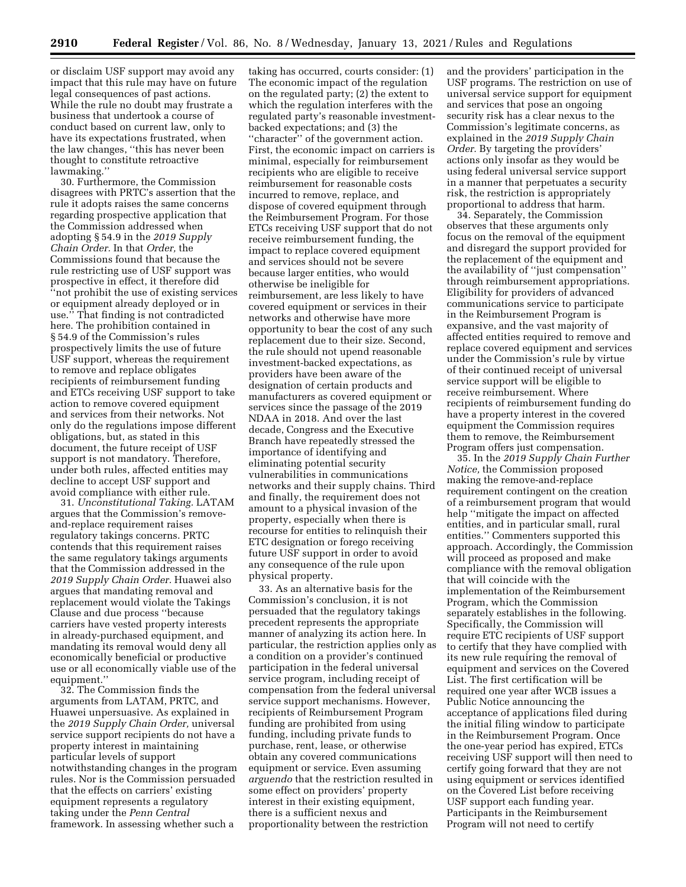or disclaim USF support may avoid any impact that this rule may have on future legal consequences of past actions. While the rule no doubt may frustrate a business that undertook a course of conduct based on current law, only to have its expectations frustrated, when the law changes, ''this has never been thought to constitute retroactive lawmaking.''

30. Furthermore, the Commission disagrees with PRTC's assertion that the rule it adopts raises the same concerns regarding prospective application that the Commission addressed when adopting § 54.9 in the *2019 Supply Chain Order.* In that *Order,* the Commissions found that because the rule restricting use of USF support was prospective in effect, it therefore did ''not prohibit the use of existing services or equipment already deployed or in use.'' That finding is not contradicted here. The prohibition contained in § 54.9 of the Commission's rules prospectively limits the use of future USF support, whereas the requirement to remove and replace obligates recipients of reimbursement funding and ETCs receiving USF support to take action to remove covered equipment and services from their networks. Not only do the regulations impose different obligations, but, as stated in this document, the future receipt of USF support is not mandatory. Therefore, under both rules, affected entities may decline to accept USF support and avoid compliance with either rule.

31. *Unconstitutional Taking.* LATAM argues that the Commission's removeand-replace requirement raises regulatory takings concerns. PRTC contends that this requirement raises the same regulatory takings arguments that the Commission addressed in the *2019 Supply Chain Order.* Huawei also argues that mandating removal and replacement would violate the Takings Clause and due process ''because carriers have vested property interests in already-purchased equipment, and mandating its removal would deny all economically beneficial or productive use or all economically viable use of the equipment.''

32. The Commission finds the arguments from LATAM, PRTC, and Huawei unpersuasive. As explained in the *2019 Supply Chain Order,* universal service support recipients do not have a property interest in maintaining particular levels of support notwithstanding changes in the program rules. Nor is the Commission persuaded that the effects on carriers' existing equipment represents a regulatory taking under the *Penn Central*  framework. In assessing whether such a

taking has occurred, courts consider: (1) The economic impact of the regulation on the regulated party; (2) the extent to which the regulation interferes with the regulated party's reasonable investmentbacked expectations; and (3) the ''character'' of the government action. First, the economic impact on carriers is minimal, especially for reimbursement recipients who are eligible to receive reimbursement for reasonable costs incurred to remove, replace, and dispose of covered equipment through the Reimbursement Program. For those ETCs receiving USF support that do not receive reimbursement funding, the impact to replace covered equipment and services should not be severe because larger entities, who would otherwise be ineligible for reimbursement, are less likely to have covered equipment or services in their networks and otherwise have more opportunity to bear the cost of any such replacement due to their size. Second, the rule should not upend reasonable investment-backed expectations, as providers have been aware of the designation of certain products and manufacturers as covered equipment or services since the passage of the 2019 NDAA in 2018. And over the last decade, Congress and the Executive Branch have repeatedly stressed the importance of identifying and eliminating potential security vulnerabilities in communications networks and their supply chains. Third and finally, the requirement does not amount to a physical invasion of the property, especially when there is recourse for entities to relinquish their ETC designation or forego receiving future USF support in order to avoid any consequence of the rule upon physical property.

33. As an alternative basis for the Commission's conclusion, it is not persuaded that the regulatory takings precedent represents the appropriate manner of analyzing its action here. In particular, the restriction applies only as a condition on a provider's continued participation in the federal universal service program, including receipt of compensation from the federal universal service support mechanisms. However, recipients of Reimbursement Program funding are prohibited from using funding, including private funds to purchase, rent, lease, or otherwise obtain any covered communications equipment or service. Even assuming *arguendo* that the restriction resulted in some effect on providers' property interest in their existing equipment, there is a sufficient nexus and proportionality between the restriction

and the providers' participation in the USF programs. The restriction on use of universal service support for equipment and services that pose an ongoing security risk has a clear nexus to the Commission's legitimate concerns, as explained in the *2019 Supply Chain Order.* By targeting the providers' actions only insofar as they would be using federal universal service support in a manner that perpetuates a security risk, the restriction is appropriately proportional to address that harm.

34. Separately, the Commission observes that these arguments only focus on the removal of the equipment and disregard the support provided for the replacement of the equipment and the availability of ''just compensation'' through reimbursement appropriations. Eligibility for providers of advanced communications service to participate in the Reimbursement Program is expansive, and the vast majority of affected entities required to remove and replace covered equipment and services under the Commission's rule by virtue of their continued receipt of universal service support will be eligible to receive reimbursement. Where recipients of reimbursement funding do have a property interest in the covered equipment the Commission requires them to remove, the Reimbursement Program offers just compensation.

35. In the *2019 Supply Chain Further Notice,* the Commission proposed making the remove-and-replace requirement contingent on the creation of a reimbursement program that would help ''mitigate the impact on affected entities, and in particular small, rural entities.'' Commenters supported this approach. Accordingly, the Commission will proceed as proposed and make compliance with the removal obligation that will coincide with the implementation of the Reimbursement Program, which the Commission separately establishes in the following. Specifically, the Commission will require ETC recipients of USF support to certify that they have complied with its new rule requiring the removal of equipment and services on the Covered List. The first certification will be required one year after WCB issues a Public Notice announcing the acceptance of applications filed during the initial filing window to participate in the Reimbursement Program. Once the one-year period has expired, ETCs receiving USF support will then need to certify going forward that they are not using equipment or services identified on the Covered List before receiving USF support each funding year. Participants in the Reimbursement Program will not need to certify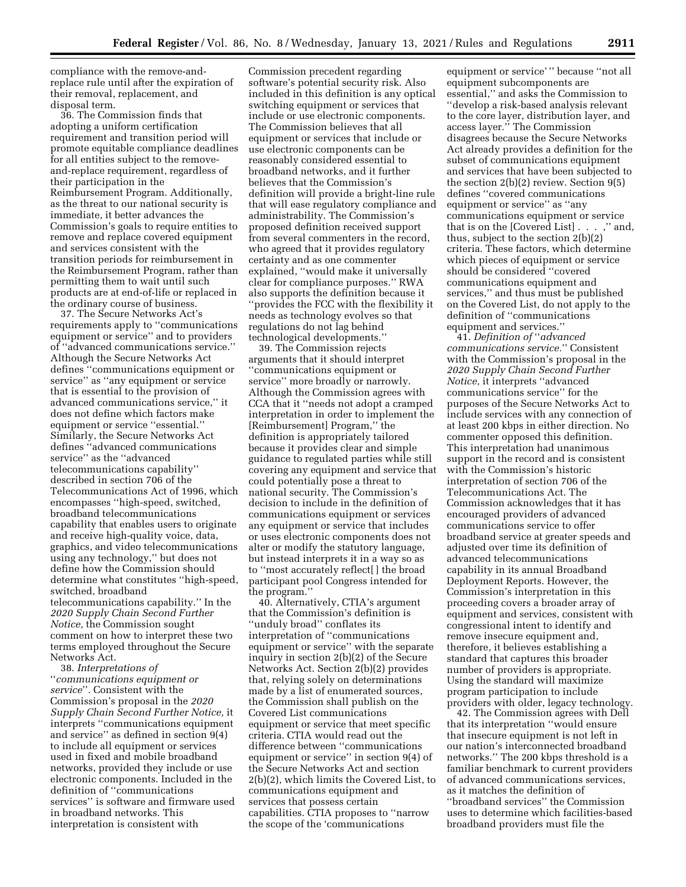compliance with the remove-andreplace rule until after the expiration of their removal, replacement, and disposal term.

36. The Commission finds that adopting a uniform certification requirement and transition period will promote equitable compliance deadlines for all entities subject to the removeand-replace requirement, regardless of their participation in the Reimbursement Program. Additionally, as the threat to our national security is immediate, it better advances the Commission's goals to require entities to remove and replace covered equipment and services consistent with the transition periods for reimbursement in the Reimbursement Program, rather than permitting them to wait until such products are at end-of-life or replaced in the ordinary course of business.

37. The Secure Networks Act's requirements apply to ''communications equipment or service'' and to providers of ''advanced communications service.'' Although the Secure Networks Act defines ''communications equipment or service'' as ''any equipment or service that is essential to the provision of advanced communications service,'' it does not define which factors make equipment or service ''essential.'' Similarly, the Secure Networks Act defines ''advanced communications service'' as the ''advanced telecommunications capability'' described in section 706 of the Telecommunications Act of 1996, which encompasses ''high-speed, switched, broadband telecommunications capability that enables users to originate and receive high-quality voice, data, graphics, and video telecommunications using any technology,'' but does not define how the Commission should determine what constitutes ''high-speed, switched, broadband telecommunications capability.'' In the *2020 Supply Chain Second Further Notice,* the Commission sought comment on how to interpret these two terms employed throughout the Secure Networks Act.

38. *Interpretations of*  ''*communications equipment or service*''*.* Consistent with the Commission's proposal in the *2020 Supply Chain Second Further Notice,* it interprets ''communications equipment and service'' as defined in section 9(4) to include all equipment or services used in fixed and mobile broadband networks, provided they include or use electronic components. Included in the definition of ''communications services'' is software and firmware used in broadband networks. This interpretation is consistent with

Commission precedent regarding software's potential security risk. Also included in this definition is any optical switching equipment or services that include or use electronic components. The Commission believes that all equipment or services that include or use electronic components can be reasonably considered essential to broadband networks, and it further believes that the Commission's definition will provide a bright-line rule that will ease regulatory compliance and administrability. The Commission's proposed definition received support from several commenters in the record, who agreed that it provides regulatory certainty and as one commenter explained, ''would make it universally clear for compliance purposes.'' RWA also supports the definition because it ''provides the FCC with the flexibility it needs as technology evolves so that regulations do not lag behind technological developments.''

39. The Commission rejects arguments that it should interpret ''communications equipment or service'' more broadly or narrowly. Although the Commission agrees with CCA that it ''needs not adopt a cramped interpretation in order to implement the [Reimbursement] Program,'' the definition is appropriately tailored because it provides clear and simple guidance to regulated parties while still covering any equipment and service that could potentially pose a threat to national security. The Commission's decision to include in the definition of communications equipment or services any equipment or service that includes or uses electronic components does not alter or modify the statutory language, but instead interprets it in a way so as to ''most accurately reflect[ ] the broad participant pool Congress intended for the program.''

40. Alternatively, CTIA's argument that the Commission's definition is ''unduly broad'' conflates its interpretation of ''communications equipment or service'' with the separate inquiry in section 2(b)(2) of the Secure Networks Act. Section 2(b)(2) provides that, relying solely on determinations made by a list of enumerated sources, the Commission shall publish on the Covered List communications equipment or service that meet specific criteria. CTIA would read out the difference between ''communications equipment or service'' in section 9(4) of the Secure Networks Act and section 2(b)(2), which limits the Covered List, to communications equipment and services that possess certain capabilities. CTIA proposes to ''narrow the scope of the 'communications

equipment or service' '' because ''not all equipment subcomponents are essential,'' and asks the Commission to ''develop a risk-based analysis relevant to the core layer, distribution layer, and access layer.'' The Commission disagrees because the Secure Networks Act already provides a definition for the subset of communications equipment and services that have been subjected to the section 2(b)(2) review. Section 9(5) defines ''covered communications equipment or service'' as ''any communications equipment or service that is on the [Covered List] . . . ,'' and, thus, subject to the section 2(b)(2) criteria. These factors, which determine which pieces of equipment or service should be considered ''covered communications equipment and services,'' and thus must be published on the Covered List, do not apply to the definition of ''communications equipment and services.''

41. *Definition of* ''*advanced communications service.*'' Consistent with the Commission's proposal in the *2020 Supply Chain Second Further Notice,* it interprets ''advanced communications service'' for the purposes of the Secure Networks Act to include services with any connection of at least 200 kbps in either direction. No commenter opposed this definition. This interpretation had unanimous support in the record and is consistent with the Commission's historic interpretation of section 706 of the Telecommunications Act. The Commission acknowledges that it has encouraged providers of advanced communications service to offer broadband service at greater speeds and adjusted over time its definition of advanced telecommunications capability in its annual Broadband Deployment Reports. However, the Commission's interpretation in this proceeding covers a broader array of equipment and services, consistent with congressional intent to identify and remove insecure equipment and, therefore, it believes establishing a standard that captures this broader number of providers is appropriate. Using the standard will maximize program participation to include providers with older, legacy technology.

42. The Commission agrees with Dell that its interpretation ''would ensure that insecure equipment is not left in our nation's interconnected broadband networks.'' The 200 kbps threshold is a familiar benchmark to current providers of advanced communications services, as it matches the definition of ''broadband services'' the Commission uses to determine which facilities-based broadband providers must file the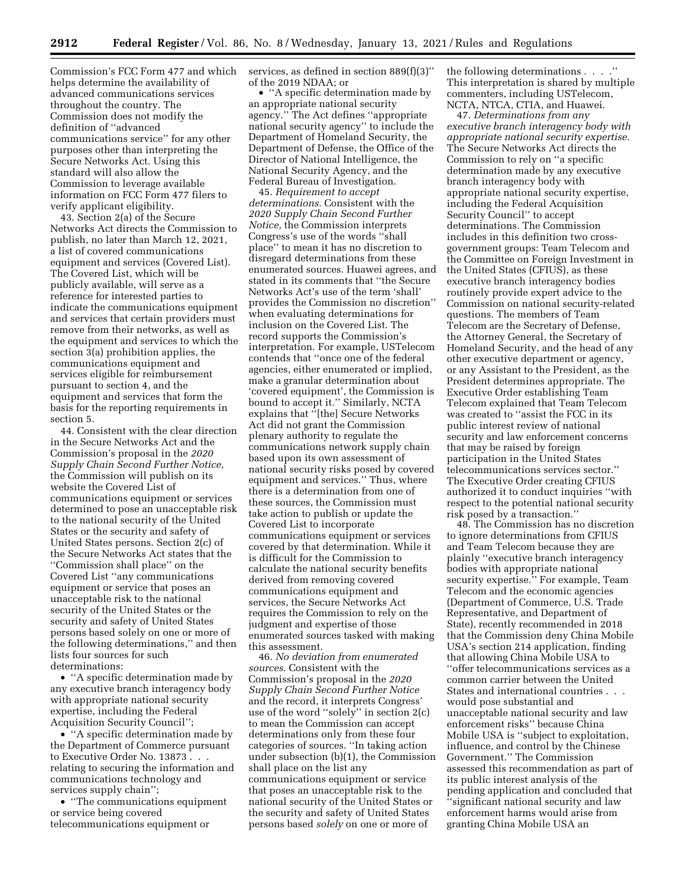Commission's FCC Form 477 and which helps determine the availability of advanced communications services throughout the country. The Commission does not modify the definition of ''advanced communications service'' for any other purposes other than interpreting the Secure Networks Act. Using this standard will also allow the Commission to leverage available information on FCC Form 477 filers to verify applicant eligibility.

43. Section 2(a) of the Secure Networks Act directs the Commission to publish, no later than March 12, 2021, a list of covered communications equipment and services (Covered List). The Covered List, which will be publicly available, will serve as a reference for interested parties to indicate the communications equipment and services that certain providers must remove from their networks, as well as the equipment and services to which the section 3(a) prohibition applies, the communications equipment and services eligible for reimbursement pursuant to section 4, and the equipment and services that form the basis for the reporting requirements in section 5.

44. Consistent with the clear direction in the Secure Networks Act and the Commission's proposal in the *2020 Supply Chain Second Further Notice,*  the Commission will publish on its website the Covered List of communications equipment or services determined to pose an unacceptable risk to the national security of the United States or the security and safety of United States persons. Section 2(c) of the Secure Networks Act states that the ''Commission shall place'' on the Covered List ''any communications equipment or service that poses an unacceptable risk to the national security of the United States or the security and safety of United States persons based solely on one or more of the following determinations,'' and then lists four sources for such determinations:

• ''A specific determination made by any executive branch interagency body with appropriate national security expertise, including the Federal Acquisition Security Council'';

• ''A specific determination made by the Department of Commerce pursuant to Executive Order No. 13873 . . . relating to securing the information and communications technology and services supply chain'';

• ''The communications equipment or service being covered telecommunications equipment or

services, as defined in section 889(f)(3)'' of the 2019 NDAA; or

• ''A specific determination made by an appropriate national security agency.'' The Act defines ''appropriate national security agency'' to include the Department of Homeland Security, the Department of Defense, the Office of the Director of National Intelligence, the National Security Agency, and the Federal Bureau of Investigation.

45. *Requirement to accept determinations.* Consistent with the *2020 Supply Chain Second Further Notice,* the Commission interprets Congress's use of the words ''shall place'' to mean it has no discretion to disregard determinations from these enumerated sources. Huawei agrees, and stated in its comments that ''the Secure Networks Act's use of the term 'shall' provides the Commission no discretion'' when evaluating determinations for inclusion on the Covered List. The record supports the Commission's interpretation. For example, USTelecom contends that ''once one of the federal agencies, either enumerated or implied, make a granular determination about 'covered equipment', the Commission is bound to accept it.'' Similarly, NCTA explains that ''[the] Secure Networks Act did not grant the Commission plenary authority to regulate the communications network supply chain based upon its own assessment of national security risks posed by covered equipment and services.'' Thus, where there is a determination from one of these sources, the Commission must take action to publish or update the Covered List to incorporate communications equipment or services covered by that determination. While it is difficult for the Commission to calculate the national security benefits derived from removing covered communications equipment and services, the Secure Networks Act requires the Commission to rely on the judgment and expertise of those enumerated sources tasked with making this assessment.

46. *No deviation from enumerated sources.* Consistent with the Commission's proposal in the *2020 Supply Chain Second Further Notice*  and the record, it interprets Congress' use of the word ''solely'' in section 2(c) to mean the Commission can accept determinations only from these four categories of sources. ''In taking action under subsection (b)(1), the Commission shall place on the list any communications equipment or service that poses an unacceptable risk to the national security of the United States or the security and safety of United States persons based *solely* on one or more of

the following determinations . . . .'' This interpretation is shared by multiple commenters, including USTelecom, NCTA, NTCA, CTIA, and Huawei.

47. *Determinations from any executive branch interagency body with appropriate national security expertise.*  The Secure Networks Act directs the Commission to rely on ''a specific determination made by any executive branch interagency body with appropriate national security expertise, including the Federal Acquisition Security Council'' to accept determinations. The Commission includes in this definition two crossgovernment groups: Team Telecom and the Committee on Foreign Investment in the United States (CFIUS), as these executive branch interagency bodies routinely provide expert advice to the Commission on national security-related questions. The members of Team Telecom are the Secretary of Defense, the Attorney General, the Secretary of Homeland Security, and the head of any other executive department or agency, or any Assistant to the President, as the President determines appropriate. The Executive Order establishing Team Telecom explained that Team Telecom was created to ''assist the FCC in its public interest review of national security and law enforcement concerns that may be raised by foreign participation in the United States telecommunications services sector.'' The Executive Order creating CFIUS authorized it to conduct inquiries ''with respect to the potential national security risk posed by a transaction.''

48. The Commission has no discretion to ignore determinations from CFIUS and Team Telecom because they are plainly ''executive branch interagency bodies with appropriate national security expertise.'' For example, Team Telecom and the economic agencies (Department of Commerce, U.S. Trade Representative, and Department of State), recently recommended in 2018 that the Commission deny China Mobile USA's section 214 application, finding that allowing China Mobile USA to ''offer telecommunications services as a common carrier between the United States and international countries . . . would pose substantial and unacceptable national security and law enforcement risks'' because China Mobile USA is ''subject to exploitation, influence, and control by the Chinese Government.'' The Commission assessed this recommendation as part of its public interest analysis of the pending application and concluded that ''significant national security and law enforcement harms would arise from granting China Mobile USA an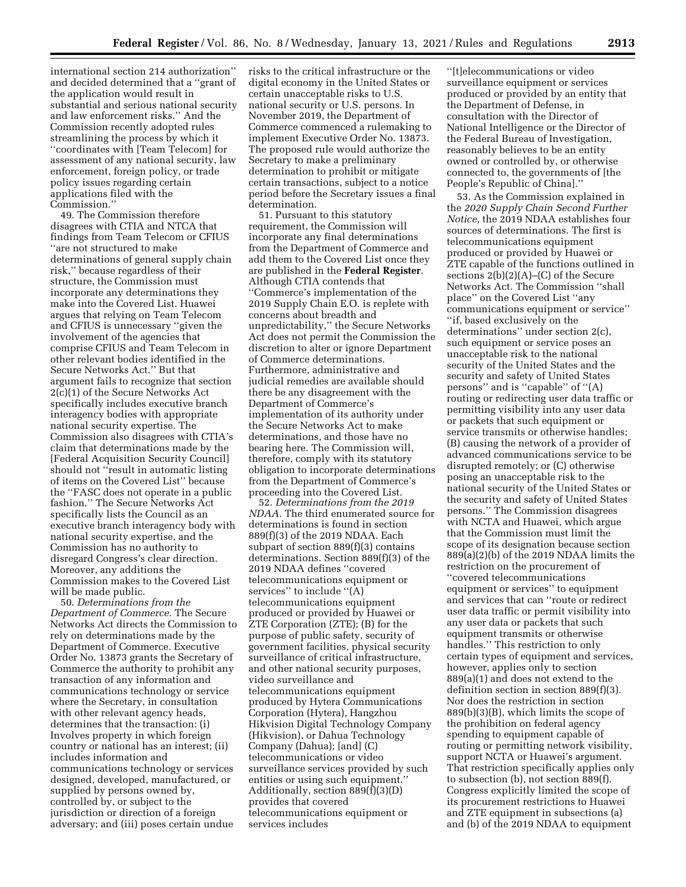international section 214 authorization'' and decided determined that a ''grant of the application would result in substantial and serious national security and law enforcement risks.'' And the Commission recently adopted rules streamlining the process by which it ''coordinates with [Team Telecom] for assessment of any national security, law enforcement, foreign policy, or trade policy issues regarding certain applications filed with the Commission.''

49. The Commission therefore disagrees with CTIA and NTCA that findings from Team Telecom or CFIUS ''are not structured to make determinations of general supply chain risk,'' because regardless of their structure, the Commission must incorporate any determinations they make into the Covered List. Huawei argues that relying on Team Telecom and CFIUS is unnecessary ''given the involvement of the agencies that comprise CFIUS and Team Telecom in other relevant bodies identified in the Secure Networks Act.'' But that argument fails to recognize that section 2(c)(1) of the Secure Networks Act specifically includes executive branch interagency bodies with appropriate national security expertise. The Commission also disagrees with CTIA's claim that determinations made by the [Federal Acquisition Security Council] should not ''result in automatic listing of items on the Covered List'' because the ''FASC does not operate in a public fashion.'' The Secure Networks Act specifically lists the Council as an executive branch interagency body with national security expertise, and the Commission has no authority to disregard Congress's clear direction. Moreover, any additions the Commission makes to the Covered List will be made public.

50. *Determinations from the Department of Commerce.* The Secure Networks Act directs the Commission to rely on determinations made by the Department of Commerce. Executive Order No. 13873 grants the Secretary of Commerce the authority to prohibit any transaction of any information and communications technology or service where the Secretary, in consultation with other relevant agency heads, determines that the transaction: (i) Involves property in which foreign country or national has an interest; (ii) includes information and communications technology or services designed, developed, manufactured, or supplied by persons owned by, controlled by, or subject to the jurisdiction or direction of a foreign adversary; and (iii) poses certain undue

risks to the critical infrastructure or the digital economy in the United States or certain unacceptable risks to U.S. national security or U.S. persons. In November 2019, the Department of Commerce commenced a rulemaking to implement Executive Order No. 13873. The proposed rule would authorize the Secretary to make a preliminary determination to prohibit or mitigate certain transactions, subject to a notice period before the Secretary issues a final determination.

51. Pursuant to this statutory requirement, the Commission will incorporate any final determinations from the Department of Commerce and add them to the Covered List once they are published in the **Federal Register**. Although CTIA contends that ''Commerce's implementation of the 2019 Supply Chain E.O. is replete with concerns about breadth and unpredictability,'' the Secure Networks Act does not permit the Commission the discretion to alter or ignore Department of Commerce determinations. Furthermore, administrative and judicial remedies are available should there be any disagreement with the Department of Commerce's implementation of its authority under the Secure Networks Act to make determinations, and those have no bearing here. The Commission will, therefore, comply with its statutory obligation to incorporate determinations from the Department of Commerce's proceeding into the Covered List.

52. *Determinations from the 2019 NDAA.* The third enumerated source for determinations is found in section 889(f)(3) of the 2019 NDAA. Each subpart of section 889(f)(3) contains determinations. Section 889(f)(3) of the 2019 NDAA defines ''covered telecommunications equipment or services'' to include ''(A) telecommunications equipment produced or provided by Huawei or ZTE Corporation (ZTE); (B) for the purpose of public safety, security of government facilities, physical security surveillance of critical infrastructure, and other national security purposes, video surveillance and telecommunications equipment produced by Hytera Communications Corporation (Hytera), Hangzhou Hikvision Digital Technology Company (Hikvision), or Dahua Technology Company (Dahua); [and] (C) telecommunications or video surveillance services provided by such entities or using such equipment.'' Additionally, section 889(f)(3)(D) provides that covered telecommunications equipment or services includes

''[t]elecommunications or video surveillance equipment or services produced or provided by an entity that the Department of Defense, in consultation with the Director of National Intelligence or the Director of the Federal Bureau of Investigation, reasonably believes to be an entity owned or controlled by, or otherwise connected to, the governments of [the People's Republic of China].''

53. As the Commission explained in the *2020 Supply Chain Second Further Notice,* the 2019 NDAA establishes four sources of determinations. The first is telecommunications equipment produced or provided by Huawei or ZTE capable of the functions outlined in sections 2(b)(2)(A)–(C) of the Secure Networks Act. The Commission ''shall place'' on the Covered List ''any communications equipment or service'' ''if, based exclusively on the determinations'' under section 2(c), such equipment or service poses an unacceptable risk to the national security of the United States and the security and safety of United States persons'' and is ''capable'' of ''(A) routing or redirecting user data traffic or permitting visibility into any user data or packets that such equipment or service transmits or otherwise handles; (B) causing the network of a provider of advanced communications service to be disrupted remotely; or (C) otherwise posing an unacceptable risk to the national security of the United States or the security and safety of United States persons.'' The Commission disagrees with NCTA and Huawei, which argue that the Commission must limit the scope of its designation because section 889(a)(2)(b) of the 2019 NDAA limits the restriction on the procurement of ''covered telecommunications equipment or services'' to equipment and services that can ''route or redirect user data traffic or permit visibility into any user data or packets that such equipment transmits or otherwise handles.'' This restriction to only certain types of equipment and services, however, applies only to section 889(a)(1) and does not extend to the definition section in section 889(f)(3). Nor does the restriction in section 889(b)(3)(B), which limits the scope of the prohibition on federal agency spending to equipment capable of routing or permitting network visibility, support NCTA or Huawei's argument. That restriction specifically applies only to subsection (b), not section 889(f). Congress explicitly limited the scope of its procurement restrictions to Huawei and ZTE equipment in subsections (a) and (b) of the 2019 NDAA to equipment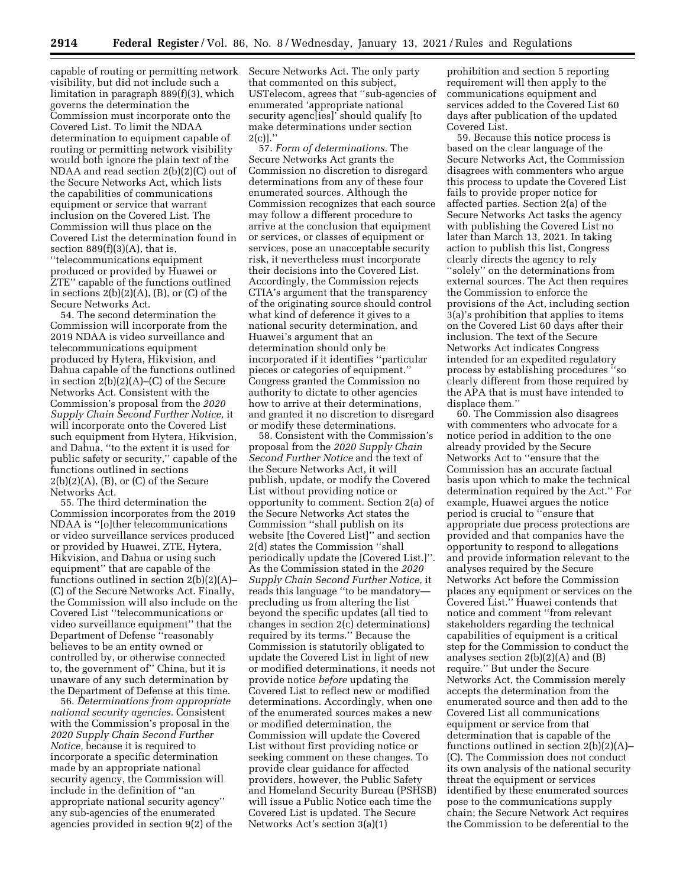capable of routing or permitting network visibility, but did not include such a limitation in paragraph 889(f)(3), which governs the determination the Commission must incorporate onto the Covered List. To limit the NDAA determination to equipment capable of routing or permitting network visibility would both ignore the plain text of the NDAA and read section 2(b)(2)(C) out of the Secure Networks Act, which lists the capabilities of communications equipment or service that warrant inclusion on the Covered List. The Commission will thus place on the Covered List the determination found in section  $889(f)(3)(A)$ , that is, ''telecommunications equipment produced or provided by Huawei or ZTE'' capable of the functions outlined in sections  $2(b)(2)(A)$ ,  $(B)$ , or  $(C)$  of the Secure Networks Act.

54. The second determination the Commission will incorporate from the 2019 NDAA is video surveillance and telecommunications equipment produced by Hytera, Hikvision, and Dahua capable of the functions outlined in section 2(b)(2)(A)–(C) of the Secure Networks Act. Consistent with the Commission's proposal from the *2020 Supply Chain Second Further Notice,* it will incorporate onto the Covered List such equipment from Hytera, Hikvision, and Dahua, ''to the extent it is used for public safety or security,'' capable of the functions outlined in sections  $2(b)(2)(A)$ ,  $(B)$ , or  $(C)$  of the Secure Networks Act.

55. The third determination the Commission incorporates from the 2019 NDAA is ''[o]ther telecommunications or video surveillance services produced or provided by Huawei, ZTE, Hytera, Hikvision, and Dahua or using such equipment'' that are capable of the functions outlined in section 2(b)(2)(A)– (C) of the Secure Networks Act. Finally, the Commission will also include on the Covered List ''telecommunications or video surveillance equipment'' that the Department of Defense ''reasonably believes to be an entity owned or controlled by, or otherwise connected to, the government of'' China, but it is unaware of any such determination by the Department of Defense at this time.

56. *Determinations from appropriate national security agencies.* Consistent with the Commission's proposal in the *2020 Supply Chain Second Further Notice,* because it is required to incorporate a specific determination made by an appropriate national security agency, the Commission will include in the definition of ''an appropriate national security agency'' any sub-agencies of the enumerated agencies provided in section 9(2) of the Secure Networks Act. The only party that commented on this subject, USTelecom, agrees that ''sub-agencies of enumerated 'appropriate national security agenc[ies]' should qualify [to make determinations under section  $2(c)$ ]."

57. *Form of determinations.* The Secure Networks Act grants the Commission no discretion to disregard determinations from any of these four enumerated sources. Although the Commission recognizes that each source may follow a different procedure to arrive at the conclusion that equipment or services, or classes of equipment or services, pose an unacceptable security risk, it nevertheless must incorporate their decisions into the Covered List. Accordingly, the Commission rejects CTIA's argument that the transparency of the originating source should control what kind of deference it gives to a national security determination, and Huawei's argument that an determination should only be incorporated if it identifies ''particular pieces or categories of equipment.'' Congress granted the Commission no authority to dictate to other agencies how to arrive at their determinations, and granted it no discretion to disregard or modify these determinations.

58. Consistent with the Commission's proposal from the *2020 Supply Chain Second Further Notice* and the text of the Secure Networks Act, it will publish, update, or modify the Covered List without providing notice or opportunity to comment. Section 2(a) of the Secure Networks Act states the Commission ''shall publish on its website [the Covered List]'' and section 2(d) states the Commission ''shall periodically update the [Covered List.]''. As the Commission stated in the *2020 Supply Chain Second Further Notice,* it reads this language ''to be mandatory precluding us from altering the list beyond the specific updates (all tied to changes in section 2(c) determinations) required by its terms.'' Because the Commission is statutorily obligated to update the Covered List in light of new or modified determinations, it needs not provide notice *before* updating the Covered List to reflect new or modified determinations. Accordingly, when one of the enumerated sources makes a new or modified determination, the Commission will update the Covered List without first providing notice or seeking comment on these changes. To provide clear guidance for affected providers, however, the Public Safety and Homeland Security Bureau (PSHSB) will issue a Public Notice each time the Covered List is updated. The Secure Networks Act's section 3(a)(1)

prohibition and section 5 reporting requirement will then apply to the communications equipment and services added to the Covered List 60 days after publication of the updated Covered List.

59. Because this notice process is based on the clear language of the Secure Networks Act, the Commission disagrees with commenters who argue this process to update the Covered List fails to provide proper notice for affected parties. Section 2(a) of the Secure Networks Act tasks the agency with publishing the Covered List no later than March 13, 2021. In taking action to publish this list, Congress clearly directs the agency to rely ''solely'' on the determinations from external sources. The Act then requires the Commission to enforce the provisions of the Act, including section 3(a)'s prohibition that applies to items on the Covered List 60 days after their inclusion. The text of the Secure Networks Act indicates Congress intended for an expedited regulatory process by establishing procedures ''so clearly different from those required by the APA that is must have intended to displace them.''

60. The Commission also disagrees with commenters who advocate for a notice period in addition to the one already provided by the Secure Networks Act to ''ensure that the Commission has an accurate factual basis upon which to make the technical determination required by the Act.'' For example, Huawei argues the notice period is crucial to ''ensure that appropriate due process protections are provided and that companies have the opportunity to respond to allegations and provide information relevant to the analyses required by the Secure Networks Act before the Commission places any equipment or services on the Covered List.'' Huawei contends that notice and comment ''from relevant stakeholders regarding the technical capabilities of equipment is a critical step for the Commission to conduct the analyses section 2(b)(2)(A) and (B) require.'' But under the Secure Networks Act, the Commission merely accepts the determination from the enumerated source and then add to the Covered List all communications equipment or service from that determination that is capable of the functions outlined in section 2(b)(2)(A)– (C). The Commission does not conduct its own analysis of the national security threat the equipment or services identified by these enumerated sources pose to the communications supply chain; the Secure Network Act requires the Commission to be deferential to the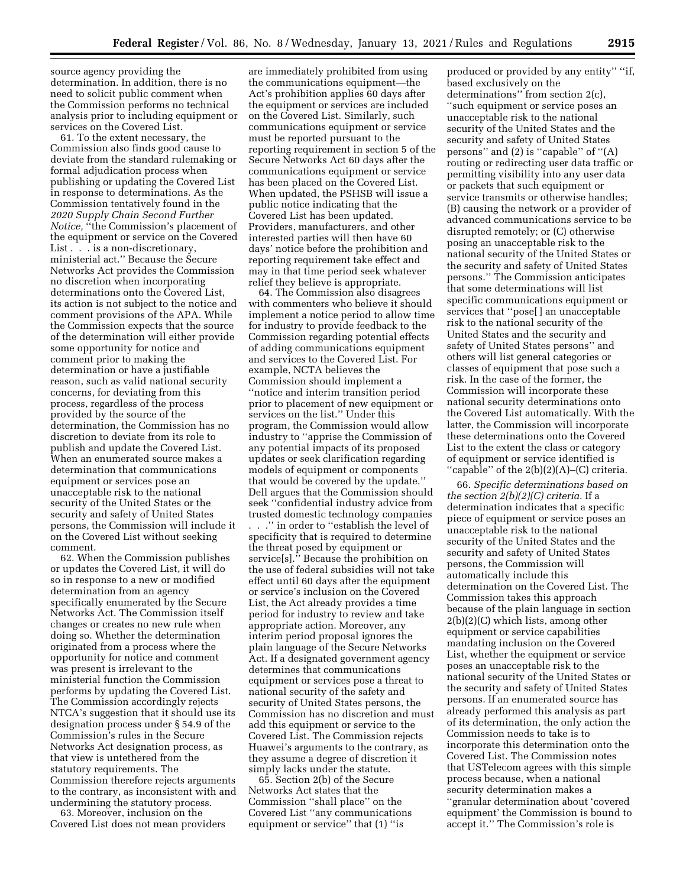source agency providing the determination. In addition, there is no need to solicit public comment when the Commission performs no technical analysis prior to including equipment or services on the Covered List.

61. To the extent necessary, the Commission also finds good cause to deviate from the standard rulemaking or formal adjudication process when publishing or updating the Covered List in response to determinations. As the Commission tentatively found in the *2020 Supply Chain Second Further Notice,* ''the Commission's placement of the equipment or service on the Covered List . . . is a non-discretionary, ministerial act.'' Because the Secure Networks Act provides the Commission no discretion when incorporating determinations onto the Covered List, its action is not subject to the notice and comment provisions of the APA. While the Commission expects that the source of the determination will either provide some opportunity for notice and comment prior to making the determination or have a justifiable reason, such as valid national security concerns, for deviating from this process, regardless of the process provided by the source of the determination, the Commission has no discretion to deviate from its role to publish and update the Covered List. When an enumerated source makes a determination that communications equipment or services pose an unacceptable risk to the national security of the United States or the security and safety of United States persons, the Commission will include it on the Covered List without seeking comment.

62. When the Commission publishes or updates the Covered List, it will do so in response to a new or modified determination from an agency specifically enumerated by the Secure Networks Act. The Commission itself changes or creates no new rule when doing so. Whether the determination originated from a process where the opportunity for notice and comment was present is irrelevant to the ministerial function the Commission performs by updating the Covered List. The Commission accordingly rejects NTCA's suggestion that it should use its designation process under § 54.9 of the Commission's rules in the Secure Networks Act designation process, as that view is untethered from the statutory requirements. The Commission therefore rejects arguments to the contrary, as inconsistent with and undermining the statutory process.

63. Moreover, inclusion on the Covered List does not mean providers

are immediately prohibited from using the communications equipment—the Act's prohibition applies 60 days after the equipment or services are included on the Covered List. Similarly, such communications equipment or service must be reported pursuant to the reporting requirement in section 5 of the Secure Networks Act 60 days after the communications equipment or service has been placed on the Covered List. When updated, the PSHSB will issue a public notice indicating that the Covered List has been updated. Providers, manufacturers, and other interested parties will then have 60 days' notice before the prohibition and reporting requirement take effect and may in that time period seek whatever relief they believe is appropriate.

64. The Commission also disagrees with commenters who believe it should implement a notice period to allow time for industry to provide feedback to the Commission regarding potential effects of adding communications equipment and services to the Covered List. For example, NCTA believes the Commission should implement a ''notice and interim transition period prior to placement of new equipment or services on the list.'' Under this program, the Commission would allow industry to ''apprise the Commission of any potential impacts of its proposed updates or seek clarification regarding models of equipment or components that would be covered by the update.'' Dell argues that the Commission should seek ''confidential industry advice from trusted domestic technology companies

. . .'' in order to ''establish the level of specificity that is required to determine the threat posed by equipment or service[s].'' Because the prohibition on the use of federal subsidies will not take effect until 60 days after the equipment or service's inclusion on the Covered List, the Act already provides a time period for industry to review and take appropriate action. Moreover, any interim period proposal ignores the plain language of the Secure Networks Act. If a designated government agency determines that communications equipment or services pose a threat to national security of the safety and security of United States persons, the Commission has no discretion and must add this equipment or service to the Covered List. The Commission rejects Huawei's arguments to the contrary, as they assume a degree of discretion it simply lacks under the statute.

65. Section 2(b) of the Secure Networks Act states that the Commission ''shall place'' on the Covered List ''any communications equipment or service'' that (1) ''is

produced or provided by any entity'' ''if, based exclusively on the determinations'' from section 2(c), ''such equipment or service poses an unacceptable risk to the national security of the United States and the security and safety of United States persons'' and (2) is ''capable'' of ''(A) routing or redirecting user data traffic or permitting visibility into any user data or packets that such equipment or service transmits or otherwise handles; (B) causing the network or a provider of advanced communications service to be disrupted remotely; or (C) otherwise posing an unacceptable risk to the national security of the United States or the security and safety of United States persons.'' The Commission anticipates that some determinations will list specific communications equipment or services that ''pose[ ] an unacceptable risk to the national security of the United States and the security and safety of United States persons'' and others will list general categories or classes of equipment that pose such a risk. In the case of the former, the Commission will incorporate these national security determinations onto the Covered List automatically. With the latter, the Commission will incorporate these determinations onto the Covered List to the extent the class or category of equipment or service identified is ''capable'' of the 2(b)(2)(A)–(C) criteria.

66. *Specific determinations based on the section 2(b)(2)(C) criteria.* If a determination indicates that a specific piece of equipment or service poses an unacceptable risk to the national security of the United States and the security and safety of United States persons, the Commission will automatically include this determination on the Covered List. The Commission takes this approach because of the plain language in section 2(b)(2)(C) which lists, among other equipment or service capabilities mandating inclusion on the Covered List, whether the equipment or service poses an unacceptable risk to the national security of the United States or the security and safety of United States persons. If an enumerated source has already performed this analysis as part of its determination, the only action the Commission needs to take is to incorporate this determination onto the Covered List. The Commission notes that USTelecom agrees with this simple process because, when a national security determination makes a ''granular determination about 'covered equipment' the Commission is bound to accept it.'' The Commission's role is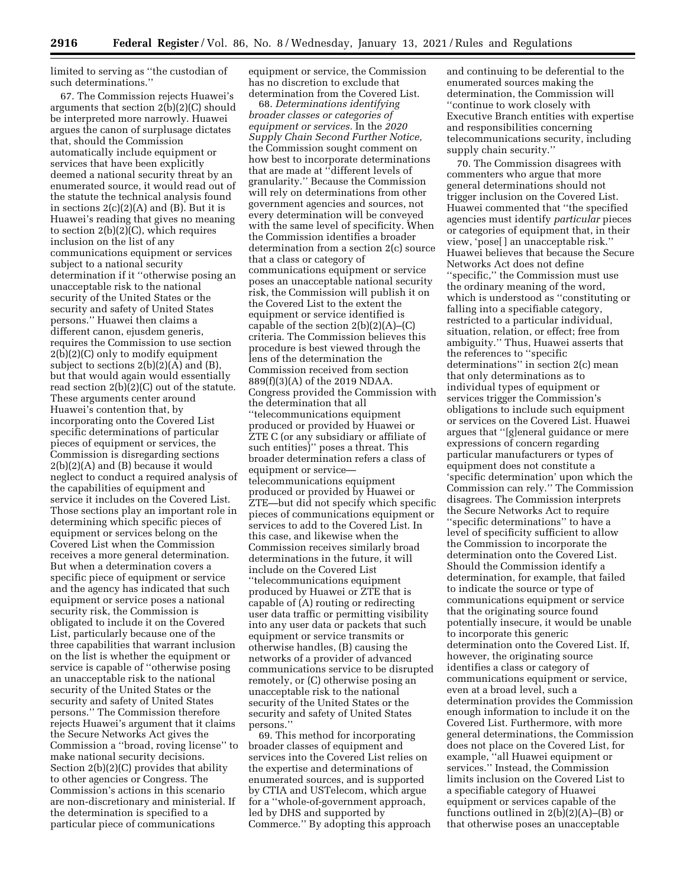limited to serving as ''the custodian of such determinations.''

67. The Commission rejects Huawei's arguments that section 2(b)(2)(C) should be interpreted more narrowly. Huawei argues the canon of surplusage dictates that, should the Commission automatically include equipment or services that have been explicitly deemed a national security threat by an enumerated source, it would read out of the statute the technical analysis found in sections  $2(c)(2)(A)$  and  $(B)$ . But it is Huawei's reading that gives no meaning to section 2(b)(2)(C), which requires inclusion on the list of any communications equipment or services subject to a national security determination if it ''otherwise posing an unacceptable risk to the national security of the United States or the security and safety of United States persons.'' Huawei then claims a different canon, ejusdem generis, requires the Commission to use section 2(b)(2)(C) only to modify equipment subject to sections 2(b)(2)(A) and (B), but that would again would essentially read section 2(b)(2)(C) out of the statute. These arguments center around Huawei's contention that, by incorporating onto the Covered List specific determinations of particular pieces of equipment or services, the Commission is disregarding sections 2(b)(2)(A) and (B) because it would neglect to conduct a required analysis of the capabilities of equipment and service it includes on the Covered List. Those sections play an important role in determining which specific pieces of equipment or services belong on the Covered List when the Commission receives a more general determination. But when a determination covers a specific piece of equipment or service and the agency has indicated that such equipment or service poses a national security risk, the Commission is obligated to include it on the Covered List, particularly because one of the three capabilities that warrant inclusion on the list is whether the equipment or service is capable of ''otherwise posing an unacceptable risk to the national security of the United States or the security and safety of United States persons.'' The Commission therefore rejects Huawei's argument that it claims the Secure Networks Act gives the Commission a ''broad, roving license'' to make national security decisions. Section 2(b)(2)(C) provides that ability to other agencies or Congress. The Commission's actions in this scenario are non-discretionary and ministerial. If the determination is specified to a particular piece of communications

equipment or service, the Commission has no discretion to exclude that determination from the Covered List.

68. *Determinations identifying broader classes or categories of equipment or services.* In the *2020 Supply Chain Second Further Notice,*  the Commission sought comment on how best to incorporate determinations that are made at ''different levels of granularity.'' Because the Commission will rely on determinations from other government agencies and sources, not every determination will be conveyed with the same level of specificity. When the Commission identifies a broader determination from a section 2(c) source that a class or category of communications equipment or service poses an unacceptable national security risk, the Commission will publish it on the Covered List to the extent the equipment or service identified is capable of the section  $2(b)(2)(A)$ – $(C)$ criteria. The Commission believes this procedure is best viewed through the lens of the determination the Commission received from section 889(f)(3)(A) of the 2019 NDAA. Congress provided the Commission with the determination that all ''telecommunications equipment produced or provided by Huawei or ZTE C (or any subsidiary or affiliate of such entities)'' poses a threat. This broader determination refers a class of equipment or service telecommunications equipment produced or provided by Huawei or ZTE—but did not specify which specific pieces of communications equipment or services to add to the Covered List. In this case, and likewise when the Commission receives similarly broad determinations in the future, it will include on the Covered List ''telecommunications equipment produced by Huawei or ZTE that is capable of (A) routing or redirecting user data traffic or permitting visibility into any user data or packets that such equipment or service transmits or otherwise handles, (B) causing the networks of a provider of advanced communications service to be disrupted remotely, or (C) otherwise posing an unacceptable risk to the national security of the United States or the security and safety of United States persons.''

69. This method for incorporating broader classes of equipment and services into the Covered List relies on the expertise and determinations of enumerated sources, and is supported by CTIA and USTelecom, which argue for a ''whole-of-government approach, led by DHS and supported by Commerce.'' By adopting this approach and continuing to be deferential to the enumerated sources making the determination, the Commission will ''continue to work closely with Executive Branch entities with expertise and responsibilities concerning telecommunications security, including supply chain security.''

70. The Commission disagrees with commenters who argue that more general determinations should not trigger inclusion on the Covered List. Huawei commented that ''the specified agencies must identify *particular* pieces or categories of equipment that, in their view, 'pose[ ] an unacceptable risk.'' Huawei believes that because the Secure Networks Act does not define ''specific,'' the Commission must use the ordinary meaning of the word, which is understood as ''constituting or falling into a specifiable category, restricted to a particular individual, situation, relation, or effect; free from ambiguity.'' Thus, Huawei asserts that the references to ''specific determinations'' in section 2(c) mean that only determinations as to individual types of equipment or services trigger the Commission's obligations to include such equipment or services on the Covered List. Huawei argues that ''[g]eneral guidance or mere expressions of concern regarding particular manufacturers or types of equipment does not constitute a 'specific determination' upon which the Commission can rely.'' The Commission disagrees. The Commission interprets the Secure Networks Act to require ''specific determinations'' to have a level of specificity sufficient to allow the Commission to incorporate the determination onto the Covered List. Should the Commission identify a determination, for example, that failed to indicate the source or type of communications equipment or service that the originating source found potentially insecure, it would be unable to incorporate this generic determination onto the Covered List. If, however, the originating source identifies a class or category of communications equipment or service, even at a broad level, such a determination provides the Commission enough information to include it on the Covered List. Furthermore, with more general determinations, the Commission does not place on the Covered List, for example, ''all Huawei equipment or services.'' Instead, the Commission limits inclusion on the Covered List to a specifiable category of Huawei equipment or services capable of the functions outlined in  $2(b)(2)(A)$ –(B) or that otherwise poses an unacceptable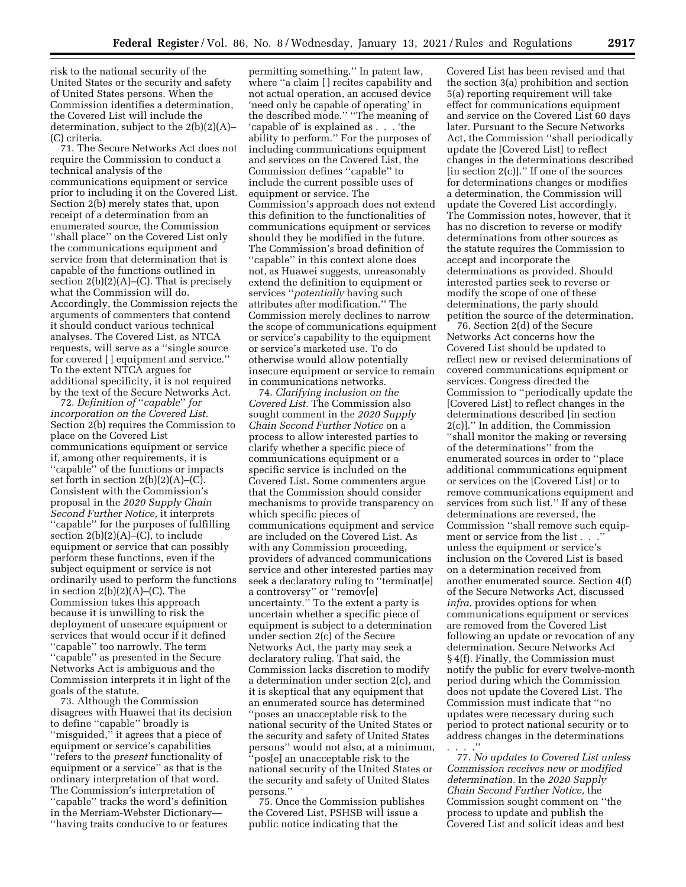risk to the national security of the United States or the security and safety of United States persons. When the Commission identifies a determination, the Covered List will include the determination, subject to the 2(b)(2)(A)– (C) criteria.

71. The Secure Networks Act does not require the Commission to conduct a technical analysis of the communications equipment or service prior to including it on the Covered List. Section 2(b) merely states that, upon receipt of a determination from an enumerated source, the Commission ''shall place'' on the Covered List only the communications equipment and service from that determination that is capable of the functions outlined in section  $2(b)(2)(A)$ –(C). That is precisely what the Commission will do. Accordingly, the Commission rejects the arguments of commenters that contend it should conduct various technical analyses. The Covered List, as NTCA requests, will serve as a ''single source for covered [ ] equipment and service.'' To the extent NTCA argues for additional specificity, it is not required by the text of the Secure Networks Act.

72. *Definition of* ''*capable*'' *for incorporation on the Covered List.*  Section 2(b) requires the Commission to place on the Covered List communications equipment or service if, among other requirements, it is ''capable'' of the functions or impacts set forth in section  $2(b)(2)(A)$ –(C). Consistent with the Commission's proposal in the *2020 Supply Chain Second Further Notice,* it interprets ''capable'' for the purposes of fulfilling section  $2(b)(2)(A)$ –(C), to include equipment or service that can possibly perform these functions, even if the subject equipment or service is not ordinarily used to perform the functions in section  $2(b)(2)(A)$ –(C). The Commission takes this approach because it is unwilling to risk the deployment of unsecure equipment or services that would occur if it defined ''capable'' too narrowly. The term ''capable'' as presented in the Secure Networks Act is ambiguous and the Commission interprets it in light of the goals of the statute.

73. Although the Commission disagrees with Huawei that its decision to define ''capable'' broadly is ''misguided,'' it agrees that a piece of equipment or service's capabilities ''refers to the *present* functionality of equipment or a service'' as that is the ordinary interpretation of that word. The Commission's interpretation of ''capable'' tracks the word's definition in the Merriam-Webster Dictionary— ''having traits conducive to or features

permitting something.'' In patent law, where ''a claim [ ] recites capability and not actual operation, an accused device 'need only be capable of operating' in the described mode.'' ''The meaning of 'capable of' is explained as . . . 'the ability to perform.'' For the purposes of including communications equipment and services on the Covered List, the Commission defines ''capable'' to include the current possible uses of equipment or service. The Commission's approach does not extend this definition to the functionalities of communications equipment or services should they be modified in the future. The Commission's broad definition of ''capable'' in this context alone does not, as Huawei suggests, unreasonably extend the definition to equipment or services ''*potentially* having such attributes after modification.'' The Commission merely declines to narrow the scope of communications equipment or service's capability to the equipment or service's marketed use. To do otherwise would allow potentially insecure equipment or service to remain in communications networks.

74. *Clarifying inclusion on the Covered List.* The Commission also sought comment in the *2020 Supply Chain Second Further Notice* on a process to allow interested parties to clarify whether a specific piece of communications equipment or a specific service is included on the Covered List. Some commenters argue that the Commission should consider mechanisms to provide transparency on which specific pieces of communications equipment and service are included on the Covered List. As with any Commission proceeding, providers of advanced communications service and other interested parties may seek a declaratory ruling to ''terminat[e] a controversy'' or ''remov[e] uncertainty.'' To the extent a party is uncertain whether a specific piece of equipment is subject to a determination under section 2(c) of the Secure Networks Act, the party may seek a declaratory ruling. That said, the Commission lacks discretion to modify a determination under section 2(c), and it is skeptical that any equipment that an enumerated source has determined ''poses an unacceptable risk to the national security of the United States or the security and safety of United States persons'' would not also, at a minimum, 'pos[e] an unacceptable risk to the national security of the United States or the security and safety of United States persons.''

75. Once the Commission publishes the Covered List, PSHSB will issue a public notice indicating that the

Covered List has been revised and that the section 3(a) prohibition and section 5(a) reporting requirement will take effect for communications equipment and service on the Covered List 60 days later. Pursuant to the Secure Networks Act, the Commission ''shall periodically update the [Covered List] to reflect changes in the determinations described [in section 2(c)].'' If one of the sources for determinations changes or modifies a determination, the Commission will update the Covered List accordingly. The Commission notes, however, that it has no discretion to reverse or modify determinations from other sources as the statute requires the Commission to accept and incorporate the determinations as provided. Should interested parties seek to reverse or modify the scope of one of these determinations, the party should petition the source of the determination.

76. Section 2(d) of the Secure Networks Act concerns how the Covered List should be updated to reflect new or revised determinations of covered communications equipment or services. Congress directed the Commission to ''periodically update the [Covered List] to reflect changes in the determinations described [in section 2(c)].'' In addition, the Commission ''shall monitor the making or reversing of the determinations'' from the enumerated sources in order to ''place additional communications equipment or services on the [Covered List] or to remove communications equipment and services from such list.'' If any of these determinations are reversed, the Commission ''shall remove such equipment or service from the list . . . unless the equipment or service's inclusion on the Covered List is based on a determination received from another enumerated source. Section 4(f) of the Secure Networks Act, discussed *infra,* provides options for when communications equipment or services are removed from the Covered List following an update or revocation of any determination. Secure Networks Act § 4(f). Finally, the Commission must notify the public for every twelve-month period during which the Commission does not update the Covered List. The Commission must indicate that ''no updates were necessary during such period to protect national security or to address changes in the determinations . . . .''

77. *No updates to Covered List unless Commission receives new or modified determination.* In the *2020 Supply Chain Second Further Notice,* the Commission sought comment on ''the process to update and publish the Covered List and solicit ideas and best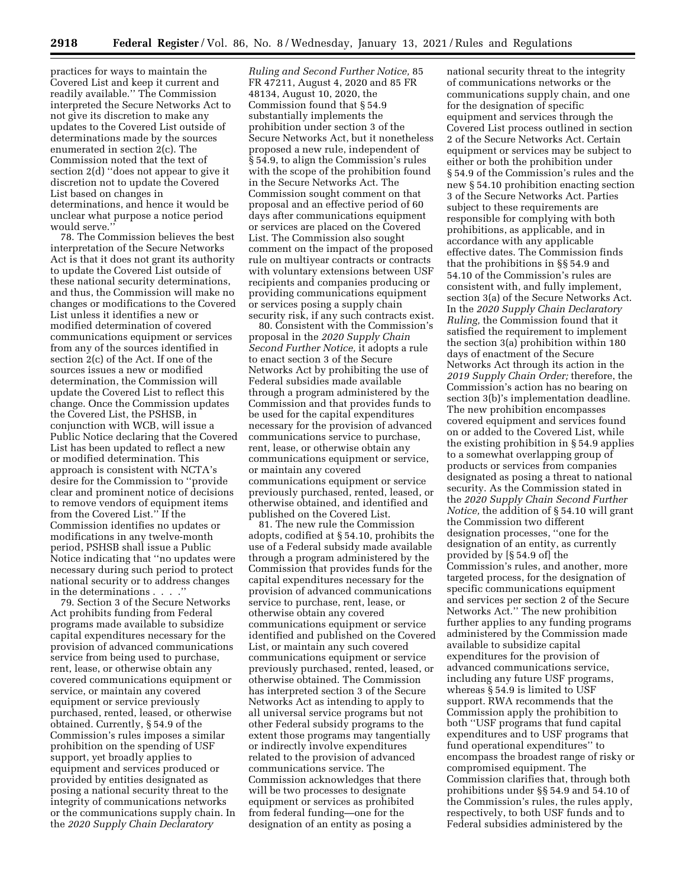practices for ways to maintain the Covered List and keep it current and readily available.'' The Commission interpreted the Secure Networks Act to not give its discretion to make any updates to the Covered List outside of determinations made by the sources enumerated in section 2(c). The Commission noted that the text of section 2(d) ''does not appear to give it discretion not to update the Covered List based on changes in determinations, and hence it would be unclear what purpose a notice period would serve.''

78. The Commission believes the best interpretation of the Secure Networks Act is that it does not grant its authority to update the Covered List outside of these national security determinations, and thus, the Commission will make no changes or modifications to the Covered List unless it identifies a new or modified determination of covered communications equipment or services from any of the sources identified in section 2(c) of the Act. If one of the sources issues a new or modified determination, the Commission will update the Covered List to reflect this change. Once the Commission updates the Covered List, the PSHSB, in conjunction with WCB, will issue a Public Notice declaring that the Covered List has been updated to reflect a new or modified determination. This approach is consistent with NCTA's desire for the Commission to ''provide clear and prominent notice of decisions to remove vendors of equipment items from the Covered List.'' If the Commission identifies no updates or modifications in any twelve-month period, PSHSB shall issue a Public Notice indicating that ''no updates were necessary during such period to protect national security or to address changes in the determinations . . . .''

79. Section 3 of the Secure Networks Act prohibits funding from Federal programs made available to subsidize capital expenditures necessary for the provision of advanced communications service from being used to purchase, rent, lease, or otherwise obtain any covered communications equipment or service, or maintain any covered equipment or service previously purchased, rented, leased, or otherwise obtained. Currently, § 54.9 of the Commission's rules imposes a similar prohibition on the spending of USF support, yet broadly applies to equipment and services produced or provided by entities designated as posing a national security threat to the integrity of communications networks or the communications supply chain. In the *2020 Supply Chain Declaratory* 

*Ruling and Second Further Notice,* 85 FR 47211, August 4, 2020 and 85 FR 48134, August 10, 2020, the Commission found that § 54.9 substantially implements the prohibition under section 3 of the Secure Networks Act, but it nonetheless proposed a new rule, independent of § 54.9, to align the Commission's rules with the scope of the prohibition found in the Secure Networks Act. The Commission sought comment on that proposal and an effective period of 60 days after communications equipment or services are placed on the Covered List. The Commission also sought comment on the impact of the proposed rule on multiyear contracts or contracts with voluntary extensions between USF recipients and companies producing or providing communications equipment or services posing a supply chain security risk, if any such contracts exist.

80. Consistent with the Commission's proposal in the *2020 Supply Chain Second Further Notice,* it adopts a rule to enact section 3 of the Secure Networks Act by prohibiting the use of Federal subsidies made available through a program administered by the Commission and that provides funds to be used for the capital expenditures necessary for the provision of advanced communications service to purchase, rent, lease, or otherwise obtain any communications equipment or service, or maintain any covered communications equipment or service previously purchased, rented, leased, or otherwise obtained, and identified and published on the Covered List.

81. The new rule the Commission adopts, codified at § 54.10, prohibits the use of a Federal subsidy made available through a program administered by the Commission that provides funds for the capital expenditures necessary for the provision of advanced communications service to purchase, rent, lease, or otherwise obtain any covered communications equipment or service identified and published on the Covered List, or maintain any such covered communications equipment or service previously purchased, rented, leased, or otherwise obtained. The Commission has interpreted section 3 of the Secure Networks Act as intending to apply to all universal service programs but not other Federal subsidy programs to the extent those programs may tangentially or indirectly involve expenditures related to the provision of advanced communications service. The Commission acknowledges that there will be two processes to designate equipment or services as prohibited from federal funding—one for the designation of an entity as posing a

national security threat to the integrity of communications networks or the communications supply chain, and one for the designation of specific equipment and services through the Covered List process outlined in section 2 of the Secure Networks Act. Certain equipment or services may be subject to either or both the prohibition under § 54.9 of the Commission's rules and the new § 54.10 prohibition enacting section 3 of the Secure Networks Act. Parties subject to these requirements are responsible for complying with both prohibitions, as applicable, and in accordance with any applicable effective dates. The Commission finds that the prohibitions in §§ 54.9 and 54.10 of the Commission's rules are consistent with, and fully implement, section 3(a) of the Secure Networks Act. In the *2020 Supply Chain Declaratory Ruling,* the Commission found that it satisfied the requirement to implement the section 3(a) prohibition within 180 days of enactment of the Secure Networks Act through its action in the *2019 Supply Chain Order;* therefore, the Commission's action has no bearing on section 3(b)'s implementation deadline. The new prohibition encompasses covered equipment and services found on or added to the Covered List, while the existing prohibition in § 54.9 applies to a somewhat overlapping group of products or services from companies designated as posing a threat to national security. As the Commission stated in the *2020 Supply Chain Second Further Notice,* the addition of § 54.10 will grant the Commission two different designation processes, ''one for the designation of an entity, as currently provided by [§ 54.9 of] the Commission's rules, and another, more targeted process, for the designation of specific communications equipment and services per section 2 of the Secure Networks Act.'' The new prohibition further applies to any funding programs administered by the Commission made available to subsidize capital expenditures for the provision of advanced communications service, including any future USF programs, whereas § 54.9 is limited to USF support. RWA recommends that the Commission apply the prohibition to both ''USF programs that fund capital expenditures and to USF programs that fund operational expenditures'' to encompass the broadest range of risky or compromised equipment. The Commission clarifies that, through both prohibitions under §§ 54.9 and 54.10 of the Commission's rules, the rules apply, respectively, to both USF funds and to Federal subsidies administered by the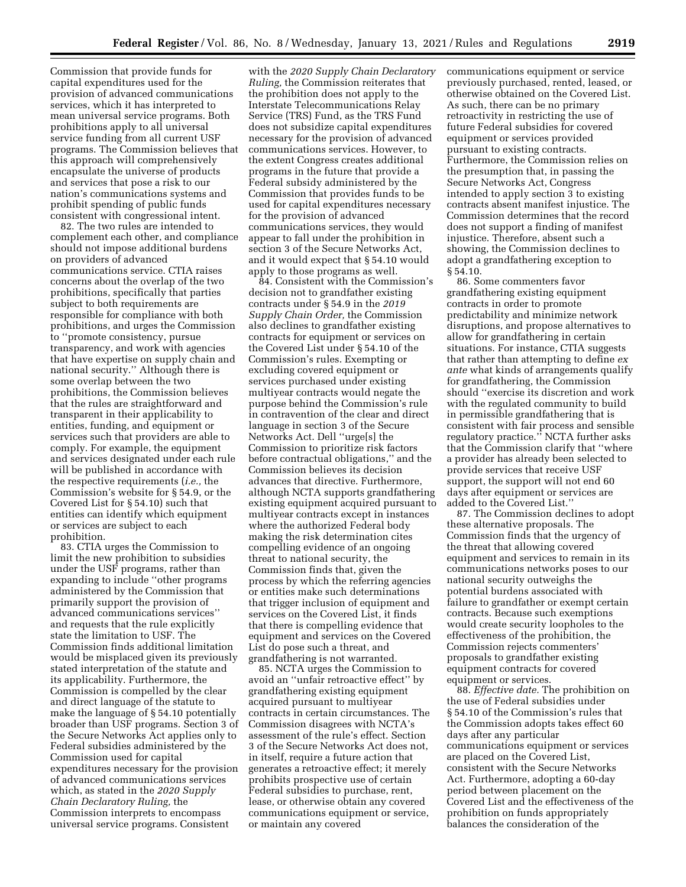Commission that provide funds for capital expenditures used for the provision of advanced communications services, which it has interpreted to mean universal service programs. Both prohibitions apply to all universal service funding from all current USF programs. The Commission believes that this approach will comprehensively encapsulate the universe of products and services that pose a risk to our nation's communications systems and prohibit spending of public funds consistent with congressional intent.

82. The two rules are intended to complement each other, and compliance should not impose additional burdens on providers of advanced communications service. CTIA raises concerns about the overlap of the two prohibitions, specifically that parties subject to both requirements are responsible for compliance with both prohibitions, and urges the Commission to ''promote consistency, pursue transparency, and work with agencies that have expertise on supply chain and national security.'' Although there is some overlap between the two prohibitions, the Commission believes that the rules are straightforward and transparent in their applicability to entities, funding, and equipment or services such that providers are able to comply. For example, the equipment and services designated under each rule will be published in accordance with the respective requirements (*i.e.,* the Commission's website for § 54.9, or the Covered List for § 54.10) such that entities can identify which equipment or services are subject to each prohibition.

83. CTIA urges the Commission to limit the new prohibition to subsidies under the USF programs, rather than expanding to include ''other programs administered by the Commission that primarily support the provision of advanced communications services'' and requests that the rule explicitly state the limitation to USF. The Commission finds additional limitation would be misplaced given its previously stated interpretation of the statute and its applicability. Furthermore, the Commission is compelled by the clear and direct language of the statute to make the language of § 54.10 potentially broader than USF programs. Section 3 of the Secure Networks Act applies only to Federal subsidies administered by the Commission used for capital expenditures necessary for the provision of advanced communications services which, as stated in the *2020 Supply Chain Declaratory Ruling,* the Commission interprets to encompass universal service programs. Consistent

with the *2020 Supply Chain Declaratory Ruling,* the Commission reiterates that the prohibition does not apply to the Interstate Telecommunications Relay Service (TRS) Fund, as the TRS Fund does not subsidize capital expenditures necessary for the provision of advanced communications services. However, to the extent Congress creates additional programs in the future that provide a Federal subsidy administered by the Commission that provides funds to be used for capital expenditures necessary for the provision of advanced communications services, they would appear to fall under the prohibition in section 3 of the Secure Networks Act, and it would expect that § 54.10 would apply to those programs as well.

84. Consistent with the Commission's decision not to grandfather existing contracts under § 54.9 in the *2019 Supply Chain Order,* the Commission also declines to grandfather existing contracts for equipment or services on the Covered List under § 54.10 of the Commission's rules. Exempting or excluding covered equipment or services purchased under existing multiyear contracts would negate the purpose behind the Commission's rule in contravention of the clear and direct language in section 3 of the Secure Networks Act. Dell ''urge[s] the Commission to prioritize risk factors before contractual obligations,'' and the Commission believes its decision advances that directive. Furthermore, although NCTA supports grandfathering existing equipment acquired pursuant to multiyear contracts except in instances where the authorized Federal body making the risk determination cites compelling evidence of an ongoing threat to national security, the Commission finds that, given the process by which the referring agencies or entities make such determinations that trigger inclusion of equipment and services on the Covered List, it finds that there is compelling evidence that equipment and services on the Covered List do pose such a threat, and grandfathering is not warranted.

85. NCTA urges the Commission to avoid an ''unfair retroactive effect'' by grandfathering existing equipment acquired pursuant to multiyear contracts in certain circumstances. The Commission disagrees with NCTA's assessment of the rule's effect. Section 3 of the Secure Networks Act does not, in itself, require a future action that generates a retroactive effect; it merely prohibits prospective use of certain Federal subsidies to purchase, rent, lease, or otherwise obtain any covered communications equipment or service, or maintain any covered

communications equipment or service previously purchased, rented, leased, or otherwise obtained on the Covered List. As such, there can be no primary retroactivity in restricting the use of future Federal subsidies for covered equipment or services provided pursuant to existing contracts. Furthermore, the Commission relies on the presumption that, in passing the Secure Networks Act, Congress intended to apply section 3 to existing contracts absent manifest injustice. The Commission determines that the record does not support a finding of manifest injustice. Therefore, absent such a showing, the Commission declines to adopt a grandfathering exception to § 54.10.

86. Some commenters favor grandfathering existing equipment contracts in order to promote predictability and minimize network disruptions, and propose alternatives to allow for grandfathering in certain situations. For instance, CTIA suggests that rather than attempting to define *ex ante* what kinds of arrangements qualify for grandfathering, the Commission should ''exercise its discretion and work with the regulated community to build in permissible grandfathering that is consistent with fair process and sensible regulatory practice.'' NCTA further asks that the Commission clarify that ''where a provider has already been selected to provide services that receive USF support, the support will not end 60 days after equipment or services are added to the Covered List.''

87. The Commission declines to adopt these alternative proposals. The Commission finds that the urgency of the threat that allowing covered equipment and services to remain in its communications networks poses to our national security outweighs the potential burdens associated with failure to grandfather or exempt certain contracts. Because such exemptions would create security loopholes to the effectiveness of the prohibition, the Commission rejects commenters' proposals to grandfather existing equipment contracts for covered equipment or services.

88. *Effective date.* The prohibition on the use of Federal subsidies under § 54.10 of the Commission's rules that the Commission adopts takes effect 60 days after any particular communications equipment or services are placed on the Covered List, consistent with the Secure Networks Act. Furthermore, adopting a 60-day period between placement on the Covered List and the effectiveness of the prohibition on funds appropriately balances the consideration of the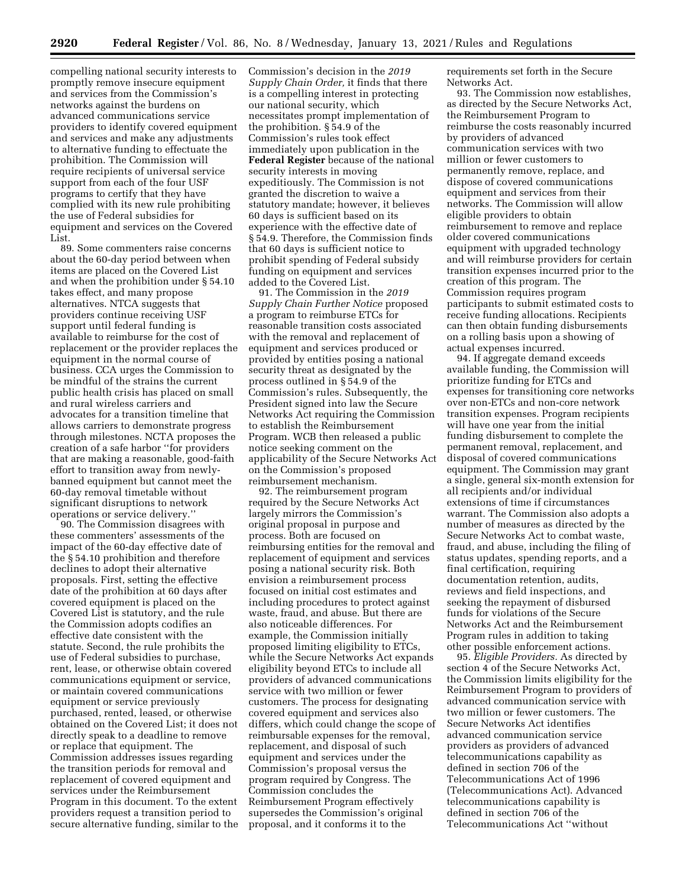compelling national security interests to promptly remove insecure equipment and services from the Commission's networks against the burdens on advanced communications service providers to identify covered equipment and services and make any adjustments to alternative funding to effectuate the prohibition. The Commission will require recipients of universal service support from each of the four USF programs to certify that they have complied with its new rule prohibiting the use of Federal subsidies for equipment and services on the Covered List.

89. Some commenters raise concerns about the 60-day period between when items are placed on the Covered List and when the prohibition under § 54.10 takes effect, and many propose alternatives. NTCA suggests that providers continue receiving USF support until federal funding is available to reimburse for the cost of replacement or the provider replaces the equipment in the normal course of business. CCA urges the Commission to be mindful of the strains the current public health crisis has placed on small and rural wireless carriers and advocates for a transition timeline that allows carriers to demonstrate progress through milestones. NCTA proposes the creation of a safe harbor ''for providers that are making a reasonable, good-faith effort to transition away from newlybanned equipment but cannot meet the 60-day removal timetable without significant disruptions to network operations or service delivery.''

90. The Commission disagrees with these commenters' assessments of the impact of the 60-day effective date of the § 54.10 prohibition and therefore declines to adopt their alternative proposals. First, setting the effective date of the prohibition at 60 days after covered equipment is placed on the Covered List is statutory, and the rule the Commission adopts codifies an effective date consistent with the statute. Second, the rule prohibits the use of Federal subsidies to purchase, rent, lease, or otherwise obtain covered communications equipment or service, or maintain covered communications equipment or service previously purchased, rented, leased, or otherwise obtained on the Covered List; it does not directly speak to a deadline to remove or replace that equipment. The Commission addresses issues regarding the transition periods for removal and replacement of covered equipment and services under the Reimbursement Program in this document. To the extent providers request a transition period to secure alternative funding, similar to the Commission's decision in the *2019 Supply Chain Order,* it finds that there is a compelling interest in protecting our national security, which necessitates prompt implementation of the prohibition. § 54.9 of the Commission's rules took effect immediately upon publication in the **Federal Register** because of the national security interests in moving expeditiously. The Commission is not granted the discretion to waive a statutory mandate; however, it believes 60 days is sufficient based on its experience with the effective date of § 54.9. Therefore, the Commission finds that 60 days is sufficient notice to prohibit spending of Federal subsidy funding on equipment and services added to the Covered List.

91. The Commission in the *2019 Supply Chain Further Notice* proposed a program to reimburse ETCs for reasonable transition costs associated with the removal and replacement of equipment and services produced or provided by entities posing a national security threat as designated by the process outlined in § 54.9 of the Commission's rules. Subsequently, the President signed into law the Secure Networks Act requiring the Commission to establish the Reimbursement Program. WCB then released a public notice seeking comment on the applicability of the Secure Networks Act on the Commission's proposed reimbursement mechanism.

92. The reimbursement program required by the Secure Networks Act largely mirrors the Commission's original proposal in purpose and process. Both are focused on reimbursing entities for the removal and replacement of equipment and services posing a national security risk. Both envision a reimbursement process focused on initial cost estimates and including procedures to protect against waste, fraud, and abuse. But there are also noticeable differences. For example, the Commission initially proposed limiting eligibility to ETCs, while the Secure Networks Act expands eligibility beyond ETCs to include all providers of advanced communications service with two million or fewer customers. The process for designating covered equipment and services also differs, which could change the scope of reimbursable expenses for the removal, replacement, and disposal of such equipment and services under the Commission's proposal versus the program required by Congress. The Commission concludes the Reimbursement Program effectively supersedes the Commission's original proposal, and it conforms it to the

requirements set forth in the Secure Networks Act.

93. The Commission now establishes, as directed by the Secure Networks Act, the Reimbursement Program to reimburse the costs reasonably incurred by providers of advanced communication services with two million or fewer customers to permanently remove, replace, and dispose of covered communications equipment and services from their networks. The Commission will allow eligible providers to obtain reimbursement to remove and replace older covered communications equipment with upgraded technology and will reimburse providers for certain transition expenses incurred prior to the creation of this program. The Commission requires program participants to submit estimated costs to receive funding allocations. Recipients can then obtain funding disbursements on a rolling basis upon a showing of actual expenses incurred.

94. If aggregate demand exceeds available funding, the Commission will prioritize funding for ETCs and expenses for transitioning core networks over non-ETCs and non-core network transition expenses. Program recipients will have one year from the initial funding disbursement to complete the permanent removal, replacement, and disposal of covered communications equipment. The Commission may grant a single, general six-month extension for all recipients and/or individual extensions of time if circumstances warrant. The Commission also adopts a number of measures as directed by the Secure Networks Act to combat waste, fraud, and abuse, including the filing of status updates, spending reports, and a final certification, requiring documentation retention, audits, reviews and field inspections, and seeking the repayment of disbursed funds for violations of the Secure Networks Act and the Reimbursement Program rules in addition to taking other possible enforcement actions.

95. *Eligible Providers.* As directed by section 4 of the Secure Networks Act, the Commission limits eligibility for the Reimbursement Program to providers of advanced communication service with two million or fewer customers. The Secure Networks Act identifies advanced communication service providers as providers of advanced telecommunications capability as defined in section 706 of the Telecommunications Act of 1996 (Telecommunications Act). Advanced telecommunications capability is defined in section 706 of the Telecommunications Act ''without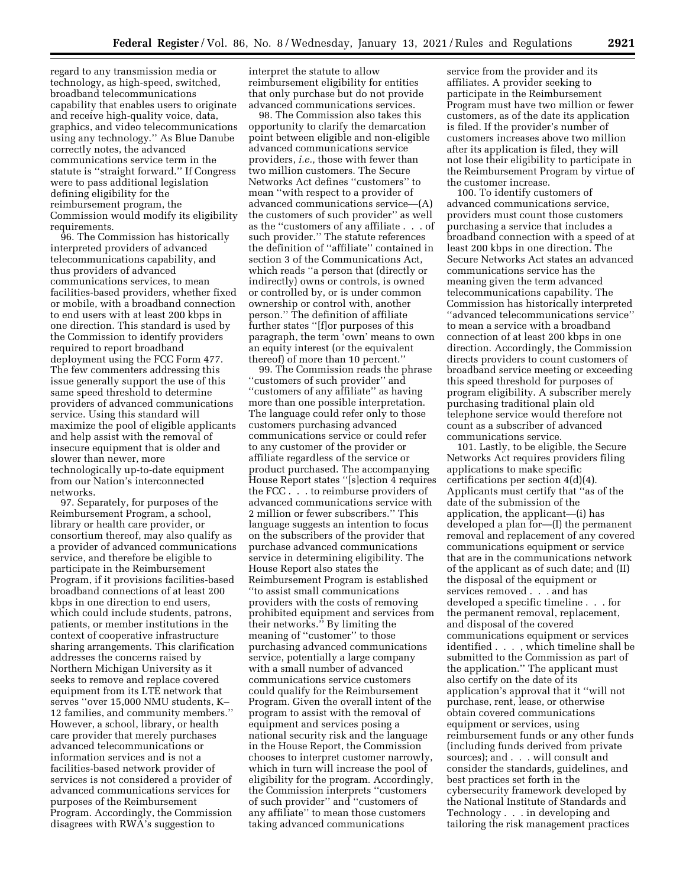regard to any transmission media or technology, as high-speed, switched, broadband telecommunications capability that enables users to originate and receive high-quality voice, data, graphics, and video telecommunications using any technology.'' As Blue Danube correctly notes, the advanced communications service term in the statute is ''straight forward.'' If Congress were to pass additional legislation defining eligibility for the reimbursement program, the Commission would modify its eligibility requirements.

96. The Commission has historically interpreted providers of advanced telecommunications capability, and thus providers of advanced communications services, to mean facilities-based providers, whether fixed or mobile, with a broadband connection to end users with at least 200 kbps in one direction. This standard is used by the Commission to identify providers required to report broadband deployment using the FCC Form 477. The few commenters addressing this issue generally support the use of this same speed threshold to determine providers of advanced communications service. Using this standard will maximize the pool of eligible applicants and help assist with the removal of insecure equipment that is older and slower than newer, more technologically up-to-date equipment from our Nation's interconnected networks.

97. Separately, for purposes of the Reimbursement Program, a school, library or health care provider, or consortium thereof, may also qualify as a provider of advanced communications service, and therefore be eligible to participate in the Reimbursement Program, if it provisions facilities-based broadband connections of at least 200 kbps in one direction to end users, which could include students, patrons, patients, or member institutions in the context of cooperative infrastructure sharing arrangements. This clarification addresses the concerns raised by Northern Michigan University as it seeks to remove and replace covered equipment from its LTE network that serves ''over 15,000 NMU students, K– 12 families, and community members.'' However, a school, library, or health care provider that merely purchases advanced telecommunications or information services and is not a facilities-based network provider of services is not considered a provider of advanced communications services for purposes of the Reimbursement Program. Accordingly, the Commission disagrees with RWA's suggestion to

interpret the statute to allow reimbursement eligibility for entities that only purchase but do not provide advanced communications services.

98. The Commission also takes this opportunity to clarify the demarcation point between eligible and non-eligible advanced communications service providers, *i.e.,* those with fewer than two million customers. The Secure Networks Act defines ''customers'' to mean ''with respect to a provider of advanced communications service—(A) the customers of such provider'' as well as the ''customers of any affiliate . . . of such provider.'' The statute references the definition of ''affiliate'' contained in section 3 of the Communications Act, which reads ''a person that (directly or indirectly) owns or controls, is owned or controlled by, or is under common ownership or control with, another person.'' The definition of affiliate further states ''[f]or purposes of this paragraph, the term 'own' means to own an equity interest (or the equivalent thereof) of more than 10 percent.''

99. The Commission reads the phrase ''customers of such provider'' and ''customers of any affiliate'' as having more than one possible interpretation. The language could refer only to those customers purchasing advanced communications service or could refer to any customer of the provider or affiliate regardless of the service or product purchased. The accompanying House Report states ''[s]ection 4 requires the FCC . . . to reimburse providers of advanced communications service with 2 million or fewer subscribers.'' This language suggests an intention to focus on the subscribers of the provider that purchase advanced communications service in determining eligibility. The House Report also states the Reimbursement Program is established ''to assist small communications providers with the costs of removing prohibited equipment and services from their networks.'' By limiting the meaning of ''customer'' to those purchasing advanced communications service, potentially a large company with a small number of advanced communications service customers could qualify for the Reimbursement Program. Given the overall intent of the program to assist with the removal of equipment and services posing a national security risk and the language in the House Report, the Commission chooses to interpret customer narrowly, which in turn will increase the pool of eligibility for the program. Accordingly, the Commission interprets ''customers of such provider'' and ''customers of any affiliate'' to mean those customers taking advanced communications

service from the provider and its affiliates. A provider seeking to participate in the Reimbursement Program must have two million or fewer customers, as of the date its application is filed. If the provider's number of customers increases above two million after its application is filed, they will not lose their eligibility to participate in the Reimbursement Program by virtue of the customer increase.

100. To identify customers of advanced communications service, providers must count those customers purchasing a service that includes a broadband connection with a speed of at least 200 kbps in one direction. The Secure Networks Act states an advanced communications service has the meaning given the term advanced telecommunications capability. The Commission has historically interpreted ''advanced telecommunications service'' to mean a service with a broadband connection of at least 200 kbps in one direction. Accordingly, the Commission directs providers to count customers of broadband service meeting or exceeding this speed threshold for purposes of program eligibility. A subscriber merely purchasing traditional plain old telephone service would therefore not count as a subscriber of advanced communications service.

101. Lastly, to be eligible, the Secure Networks Act requires providers filing applications to make specific certifications per section 4(d)(4). Applicants must certify that ''as of the date of the submission of the application, the applicant—(i) has developed a plan for—(I) the permanent removal and replacement of any covered communications equipment or service that are in the communications network of the applicant as of such date; and (II) the disposal of the equipment or services removed . . . and has developed a specific timeline . . . for the permanent removal, replacement, and disposal of the covered communications equipment or services identified . . . , which timeline shall be submitted to the Commission as part of the application.'' The applicant must also certify on the date of its application's approval that it ''will not purchase, rent, lease, or otherwise obtain covered communications equipment or services, using reimbursement funds or any other funds (including funds derived from private sources); and . . . will consult and consider the standards, guidelines, and best practices set forth in the cybersecurity framework developed by the National Institute of Standards and Technology . . . in developing and tailoring the risk management practices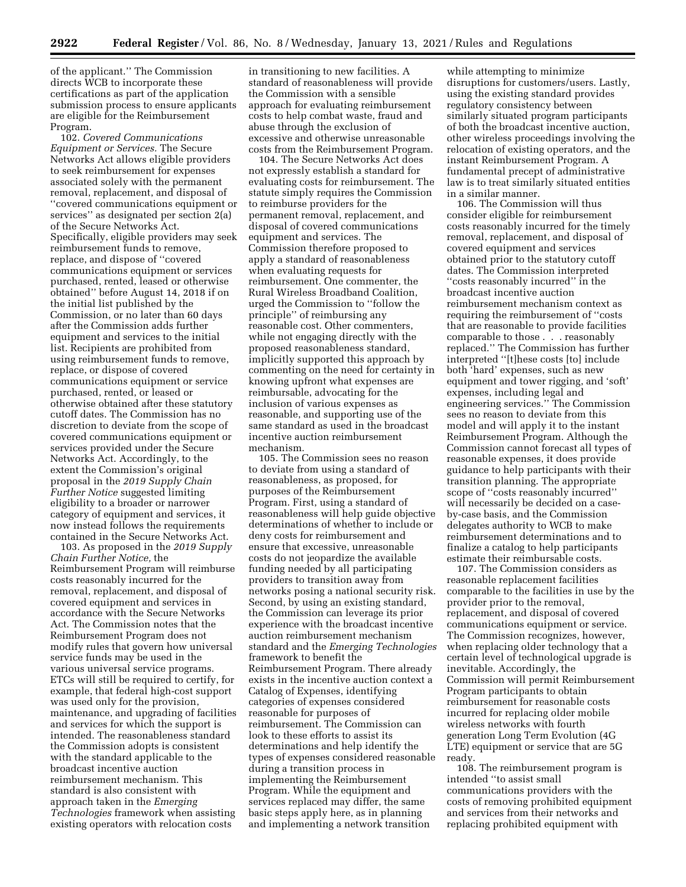of the applicant.'' The Commission directs WCB to incorporate these certifications as part of the application submission process to ensure applicants are eligible for the Reimbursement Program.

102. *Covered Communications Equipment or Services.* The Secure Networks Act allows eligible providers to seek reimbursement for expenses associated solely with the permanent removal, replacement, and disposal of ''covered communications equipment or services'' as designated per section 2(a) of the Secure Networks Act. Specifically, eligible providers may seek reimbursement funds to remove, replace, and dispose of ''covered communications equipment or services purchased, rented, leased or otherwise obtained'' before August 14, 2018 if on the initial list published by the Commission, or no later than 60 days after the Commission adds further equipment and services to the initial list. Recipients are prohibited from using reimbursement funds to remove, replace, or dispose of covered communications equipment or service purchased, rented, or leased or otherwise obtained after these statutory cutoff dates. The Commission has no discretion to deviate from the scope of covered communications equipment or services provided under the Secure Networks Act. Accordingly, to the extent the Commission's original proposal in the *2019 Supply Chain Further Notice* suggested limiting eligibility to a broader or narrower category of equipment and services, it now instead follows the requirements contained in the Secure Networks Act.

103. As proposed in the *2019 Supply Chain Further Notice,* the Reimbursement Program will reimburse costs reasonably incurred for the removal, replacement, and disposal of covered equipment and services in accordance with the Secure Networks Act. The Commission notes that the Reimbursement Program does not modify rules that govern how universal service funds may be used in the various universal service programs. ETCs will still be required to certify, for example, that federal high-cost support was used only for the provision, maintenance, and upgrading of facilities and services for which the support is intended. The reasonableness standard the Commission adopts is consistent with the standard applicable to the broadcast incentive auction reimbursement mechanism. This standard is also consistent with approach taken in the *Emerging Technologies* framework when assisting existing operators with relocation costs

in transitioning to new facilities. A standard of reasonableness will provide the Commission with a sensible approach for evaluating reimbursement costs to help combat waste, fraud and abuse through the exclusion of excessive and otherwise unreasonable costs from the Reimbursement Program.

104. The Secure Networks Act does not expressly establish a standard for evaluating costs for reimbursement. The statute simply requires the Commission to reimburse providers for the permanent removal, replacement, and disposal of covered communications equipment and services. The Commission therefore proposed to apply a standard of reasonableness when evaluating requests for reimbursement. One commenter, the Rural Wireless Broadband Coalition, urged the Commission to ''follow the principle'' of reimbursing any reasonable cost. Other commenters, while not engaging directly with the proposed reasonableness standard, implicitly supported this approach by commenting on the need for certainty in knowing upfront what expenses are reimbursable, advocating for the inclusion of various expenses as reasonable, and supporting use of the same standard as used in the broadcast incentive auction reimbursement mechanism.

105. The Commission sees no reason to deviate from using a standard of reasonableness, as proposed, for purposes of the Reimbursement Program. First, using a standard of reasonableness will help guide objective determinations of whether to include or deny costs for reimbursement and ensure that excessive, unreasonable costs do not jeopardize the available funding needed by all participating providers to transition away from networks posing a national security risk. Second, by using an existing standard, the Commission can leverage its prior experience with the broadcast incentive auction reimbursement mechanism standard and the *Emerging Technologies*  framework to benefit the Reimbursement Program. There already exists in the incentive auction context a Catalog of Expenses, identifying categories of expenses considered reasonable for purposes of reimbursement. The Commission can look to these efforts to assist its determinations and help identify the types of expenses considered reasonable during a transition process in implementing the Reimbursement Program. While the equipment and services replaced may differ, the same basic steps apply here, as in planning and implementing a network transition

while attempting to minimize disruptions for customers/users. Lastly, using the existing standard provides regulatory consistency between similarly situated program participants of both the broadcast incentive auction, other wireless proceedings involving the relocation of existing operators, and the instant Reimbursement Program. A fundamental precept of administrative law is to treat similarly situated entities in a similar manner.

106. The Commission will thus consider eligible for reimbursement costs reasonably incurred for the timely removal, replacement, and disposal of covered equipment and services obtained prior to the statutory cutoff dates. The Commission interpreted ''costs reasonably incurred'' in the broadcast incentive auction reimbursement mechanism context as requiring the reimbursement of ''costs that are reasonable to provide facilities comparable to those . . . reasonably replaced.'' The Commission has further interpreted ''[t]hese costs [to] include both 'hard' expenses, such as new equipment and tower rigging, and 'soft' expenses, including legal and engineering services.'' The Commission sees no reason to deviate from this model and will apply it to the instant Reimbursement Program. Although the Commission cannot forecast all types of reasonable expenses, it does provide guidance to help participants with their transition planning. The appropriate scope of ''costs reasonably incurred'' will necessarily be decided on a caseby-case basis, and the Commission delegates authority to WCB to make reimbursement determinations and to finalize a catalog to help participants estimate their reimbursable costs.

107. The Commission considers as reasonable replacement facilities comparable to the facilities in use by the provider prior to the removal, replacement, and disposal of covered communications equipment or service. The Commission recognizes, however, when replacing older technology that a certain level of technological upgrade is inevitable. Accordingly, the Commission will permit Reimbursement Program participants to obtain reimbursement for reasonable costs incurred for replacing older mobile wireless networks with fourth generation Long Term Evolution (4G LTE) equipment or service that are 5G ready.

108. The reimbursement program is intended ''to assist small communications providers with the costs of removing prohibited equipment and services from their networks and replacing prohibited equipment with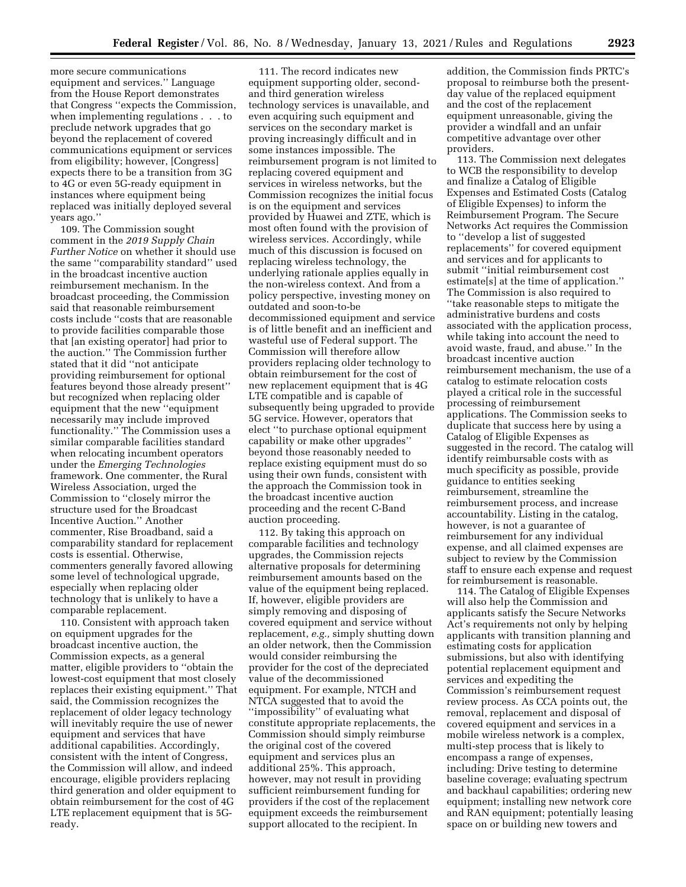more secure communications equipment and services.'' Language from the House Report demonstrates that Congress ''expects the Commission, when implementing regulations . . . to preclude network upgrades that go beyond the replacement of covered communications equipment or services from eligibility; however, [Congress] expects there to be a transition from 3G to 4G or even 5G-ready equipment in instances where equipment being replaced was initially deployed several years ago.''

109. The Commission sought comment in the *2019 Supply Chain Further Notice* on whether it should use the same ''comparability standard'' used in the broadcast incentive auction reimbursement mechanism. In the broadcast proceeding, the Commission said that reasonable reimbursement costs include ''costs that are reasonable to provide facilities comparable those that [an existing operator] had prior to the auction.'' The Commission further stated that it did ''not anticipate providing reimbursement for optional features beyond those already present'' but recognized when replacing older equipment that the new ''equipment necessarily may include improved functionality.'' The Commission uses a similar comparable facilities standard when relocating incumbent operators under the *Emerging Technologies*  framework. One commenter, the Rural Wireless Association, urged the Commission to ''closely mirror the structure used for the Broadcast Incentive Auction.'' Another commenter, Rise Broadband, said a comparability standard for replacement costs is essential. Otherwise, commenters generally favored allowing some level of technological upgrade, especially when replacing older technology that is unlikely to have a comparable replacement.

110. Consistent with approach taken on equipment upgrades for the broadcast incentive auction, the Commission expects, as a general matter, eligible providers to ''obtain the lowest-cost equipment that most closely replaces their existing equipment.'' That said, the Commission recognizes the replacement of older legacy technology will inevitably require the use of newer equipment and services that have additional capabilities. Accordingly, consistent with the intent of Congress, the Commission will allow, and indeed encourage, eligible providers replacing third generation and older equipment to obtain reimbursement for the cost of 4G LTE replacement equipment that is 5Gready.

111. The record indicates new equipment supporting older, secondand third generation wireless technology services is unavailable, and even acquiring such equipment and services on the secondary market is proving increasingly difficult and in some instances impossible. The reimbursement program is not limited to replacing covered equipment and services in wireless networks, but the Commission recognizes the initial focus is on the equipment and services provided by Huawei and ZTE, which is most often found with the provision of wireless services. Accordingly, while much of this discussion is focused on replacing wireless technology, the underlying rationale applies equally in the non-wireless context. And from a policy perspective, investing money on outdated and soon-to-be decommissioned equipment and service is of little benefit and an inefficient and wasteful use of Federal support. The Commission will therefore allow providers replacing older technology to obtain reimbursement for the cost of new replacement equipment that is 4G LTE compatible and is capable of subsequently being upgraded to provide 5G service. However, operators that elect ''to purchase optional equipment capability or make other upgrades'' beyond those reasonably needed to replace existing equipment must do so using their own funds, consistent with the approach the Commission took in the broadcast incentive auction proceeding and the recent C-Band auction proceeding.

112. By taking this approach on comparable facilities and technology upgrades, the Commission rejects alternative proposals for determining reimbursement amounts based on the value of the equipment being replaced. If, however, eligible providers are simply removing and disposing of covered equipment and service without replacement, *e.g.,* simply shutting down an older network, then the Commission would consider reimbursing the provider for the cost of the depreciated value of the decommissioned equipment. For example, NTCH and NTCA suggested that to avoid the ''impossibility'' of evaluating what constitute appropriate replacements, the Commission should simply reimburse the original cost of the covered equipment and services plus an additional 25%. This approach, however, may not result in providing sufficient reimbursement funding for providers if the cost of the replacement equipment exceeds the reimbursement support allocated to the recipient. In

addition, the Commission finds PRTC's proposal to reimburse both the presentday value of the replaced equipment and the cost of the replacement equipment unreasonable, giving the provider a windfall and an unfair competitive advantage over other providers.

113. The Commission next delegates to WCB the responsibility to develop and finalize a Catalog of Eligible Expenses and Estimated Costs (Catalog of Eligible Expenses) to inform the Reimbursement Program. The Secure Networks Act requires the Commission to ''develop a list of suggested replacements'' for covered equipment and services and for applicants to submit ''initial reimbursement cost estimate[s] at the time of application.'' The Commission is also required to ''take reasonable steps to mitigate the administrative burdens and costs associated with the application process, while taking into account the need to avoid waste, fraud, and abuse.'' In the broadcast incentive auction reimbursement mechanism, the use of a catalog to estimate relocation costs played a critical role in the successful processing of reimbursement applications. The Commission seeks to duplicate that success here by using a Catalog of Eligible Expenses as suggested in the record. The catalog will identify reimbursable costs with as much specificity as possible, provide guidance to entities seeking reimbursement, streamline the reimbursement process, and increase accountability. Listing in the catalog, however, is not a guarantee of reimbursement for any individual expense, and all claimed expenses are subject to review by the Commission staff to ensure each expense and request for reimbursement is reasonable.

114. The Catalog of Eligible Expenses will also help the Commission and applicants satisfy the Secure Networks Act's requirements not only by helping applicants with transition planning and estimating costs for application submissions, but also with identifying potential replacement equipment and services and expediting the Commission's reimbursement request review process. As CCA points out, the removal, replacement and disposal of covered equipment and services in a mobile wireless network is a complex, multi-step process that is likely to encompass a range of expenses, including: Drive testing to determine baseline coverage; evaluating spectrum and backhaul capabilities; ordering new equipment; installing new network core and RAN equipment; potentially leasing space on or building new towers and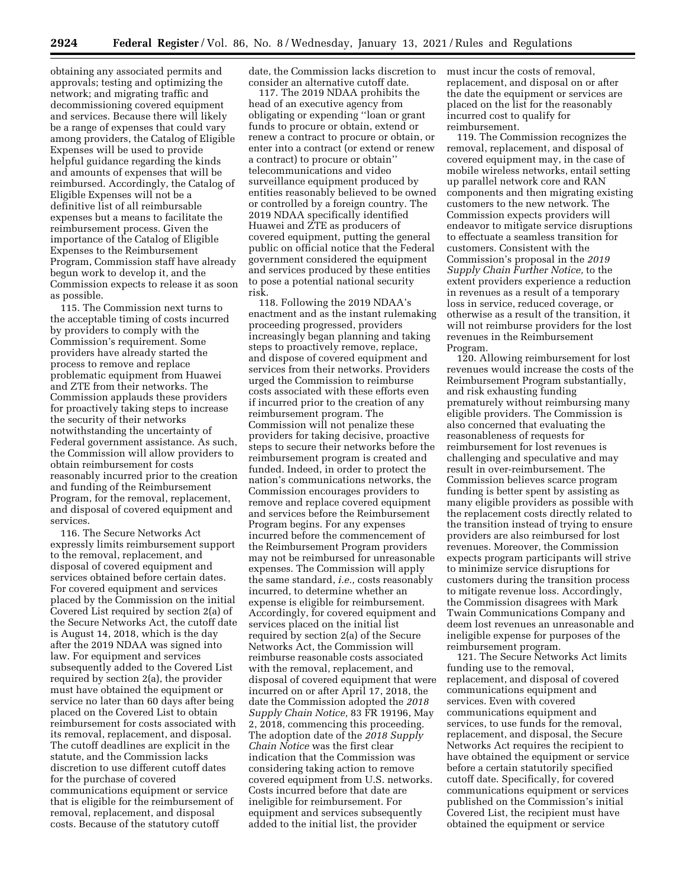obtaining any associated permits and approvals; testing and optimizing the network; and migrating traffic and decommissioning covered equipment and services. Because there will likely be a range of expenses that could vary among providers, the Catalog of Eligible Expenses will be used to provide helpful guidance regarding the kinds and amounts of expenses that will be reimbursed. Accordingly, the Catalog of Eligible Expenses will not be a definitive list of all reimbursable expenses but a means to facilitate the reimbursement process. Given the importance of the Catalog of Eligible Expenses to the Reimbursement Program, Commission staff have already begun work to develop it, and the Commission expects to release it as soon as possible.

115. The Commission next turns to the acceptable timing of costs incurred by providers to comply with the Commission's requirement. Some providers have already started the process to remove and replace problematic equipment from Huawei and ZTE from their networks. The Commission applauds these providers for proactively taking steps to increase the security of their networks notwithstanding the uncertainty of Federal government assistance. As such, the Commission will allow providers to obtain reimbursement for costs reasonably incurred prior to the creation and funding of the Reimbursement Program, for the removal, replacement, and disposal of covered equipment and services.

116. The Secure Networks Act expressly limits reimbursement support to the removal, replacement, and disposal of covered equipment and services obtained before certain dates. For covered equipment and services placed by the Commission on the initial Covered List required by section 2(a) of the Secure Networks Act, the cutoff date is August 14, 2018, which is the day after the 2019 NDAA was signed into law. For equipment and services subsequently added to the Covered List required by section 2(a), the provider must have obtained the equipment or service no later than 60 days after being placed on the Covered List to obtain reimbursement for costs associated with its removal, replacement, and disposal. The cutoff deadlines are explicit in the statute, and the Commission lacks discretion to use different cutoff dates for the purchase of covered communications equipment or service that is eligible for the reimbursement of removal, replacement, and disposal costs. Because of the statutory cutoff

date, the Commission lacks discretion to consider an alternative cutoff date.

117. The 2019 NDAA prohibits the head of an executive agency from obligating or expending ''loan or grant funds to procure or obtain, extend or renew a contract to procure or obtain, or enter into a contract (or extend or renew a contract) to procure or obtain'' telecommunications and video surveillance equipment produced by entities reasonably believed to be owned or controlled by a foreign country. The 2019 NDAA specifically identified Huawei and ZTE as producers of covered equipment, putting the general public on official notice that the Federal government considered the equipment and services produced by these entities to pose a potential national security risk.

118. Following the 2019 NDAA's enactment and as the instant rulemaking proceeding progressed, providers increasingly began planning and taking steps to proactively remove, replace, and dispose of covered equipment and services from their networks. Providers urged the Commission to reimburse costs associated with these efforts even if incurred prior to the creation of any reimbursement program. The Commission will not penalize these providers for taking decisive, proactive steps to secure their networks before the reimbursement program is created and funded. Indeed, in order to protect the nation's communications networks, the Commission encourages providers to remove and replace covered equipment and services before the Reimbursement Program begins. For any expenses incurred before the commencement of the Reimbursement Program providers may not be reimbursed for unreasonable expenses. The Commission will apply the same standard, *i.e.,* costs reasonably incurred, to determine whether an expense is eligible for reimbursement. Accordingly, for covered equipment and services placed on the initial list required by section 2(a) of the Secure Networks Act, the Commission will reimburse reasonable costs associated with the removal, replacement, and disposal of covered equipment that were incurred on or after April 17, 2018, the date the Commission adopted the *2018 Supply Chain Notice,* 83 FR 19196, May 2, 2018, commencing this proceeding. The adoption date of the *2018 Supply Chain Notice* was the first clear indication that the Commission was considering taking action to remove covered equipment from U.S. networks. Costs incurred before that date are ineligible for reimbursement. For equipment and services subsequently added to the initial list, the provider

must incur the costs of removal, replacement, and disposal on or after the date the equipment or services are placed on the list for the reasonably incurred cost to qualify for reimbursement.

119. The Commission recognizes the removal, replacement, and disposal of covered equipment may, in the case of mobile wireless networks, entail setting up parallel network core and RAN components and then migrating existing customers to the new network. The Commission expects providers will endeavor to mitigate service disruptions to effectuate a seamless transition for customers. Consistent with the Commission's proposal in the *2019 Supply Chain Further Notice,* to the extent providers experience a reduction in revenues as a result of a temporary loss in service, reduced coverage, or otherwise as a result of the transition, it will not reimburse providers for the lost revenues in the Reimbursement Program.

120. Allowing reimbursement for lost revenues would increase the costs of the Reimbursement Program substantially, and risk exhausting funding prematurely without reimbursing many eligible providers. The Commission is also concerned that evaluating the reasonableness of requests for reimbursement for lost revenues is challenging and speculative and may result in over-reimbursement. The Commission believes scarce program funding is better spent by assisting as many eligible providers as possible with the replacement costs directly related to the transition instead of trying to ensure providers are also reimbursed for lost revenues. Moreover, the Commission expects program participants will strive to minimize service disruptions for customers during the transition process to mitigate revenue loss. Accordingly, the Commission disagrees with Mark Twain Communications Company and deem lost revenues an unreasonable and ineligible expense for purposes of the reimbursement program.

121. The Secure Networks Act limits funding use to the removal, replacement, and disposal of covered communications equipment and services. Even with covered communications equipment and services, to use funds for the removal, replacement, and disposal, the Secure Networks Act requires the recipient to have obtained the equipment or service before a certain statutorily specified cutoff date. Specifically, for covered communications equipment or services published on the Commission's initial Covered List, the recipient must have obtained the equipment or service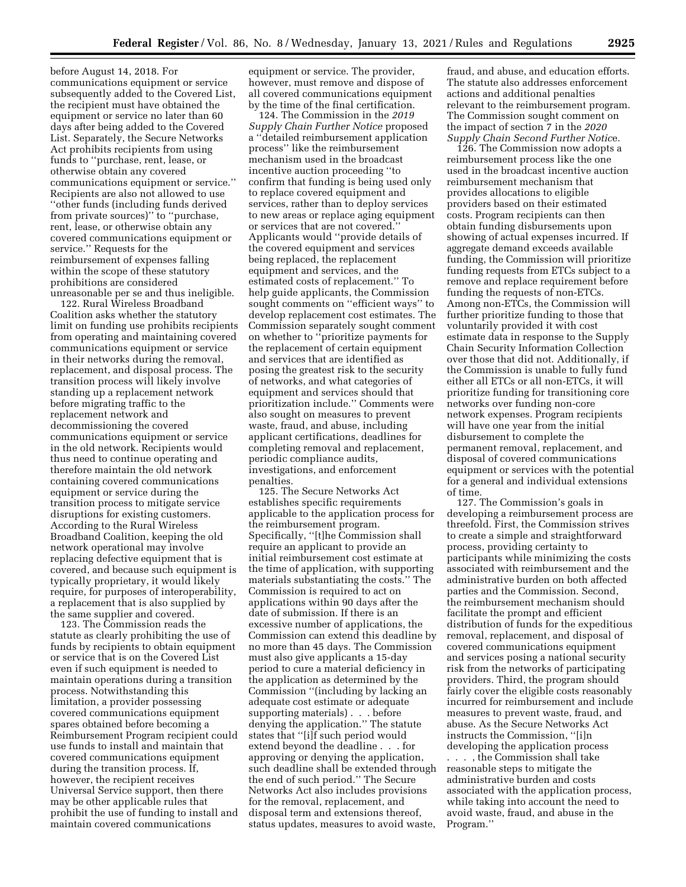before August 14, 2018. For communications equipment or service subsequently added to the Covered List, the recipient must have obtained the equipment or service no later than 60 days after being added to the Covered List. Separately, the Secure Networks Act prohibits recipients from using funds to ''purchase, rent, lease, or otherwise obtain any covered communications equipment or service.'' Recipients are also not allowed to use ''other funds (including funds derived from private sources)'' to ''purchase, rent, lease, or otherwise obtain any covered communications equipment or service.'' Requests for the reimbursement of expenses falling within the scope of these statutory prohibitions are considered unreasonable per se and thus ineligible.

122. Rural Wireless Broadband Coalition asks whether the statutory limit on funding use prohibits recipients from operating and maintaining covered communications equipment or service in their networks during the removal, replacement, and disposal process. The transition process will likely involve standing up a replacement network before migrating traffic to the replacement network and decommissioning the covered communications equipment or service in the old network. Recipients would thus need to continue operating and therefore maintain the old network containing covered communications equipment or service during the transition process to mitigate service disruptions for existing customers. According to the Rural Wireless Broadband Coalition, keeping the old network operational may involve replacing defective equipment that is covered, and because such equipment is typically proprietary, it would likely require, for purposes of interoperability, a replacement that is also supplied by the same supplier and covered.

123. The Commission reads the statute as clearly prohibiting the use of funds by recipients to obtain equipment or service that is on the Covered List even if such equipment is needed to maintain operations during a transition process. Notwithstanding this limitation, a provider possessing covered communications equipment spares obtained before becoming a Reimbursement Program recipient could use funds to install and maintain that covered communications equipment during the transition process. If, however, the recipient receives Universal Service support, then there may be other applicable rules that prohibit the use of funding to install and maintain covered communications

equipment or service. The provider, however, must remove and dispose of all covered communications equipment by the time of the final certification.

124. The Commission in the *2019 Supply Chain Further Notice* proposed a ''detailed reimbursement application process'' like the reimbursement mechanism used in the broadcast incentive auction proceeding ''to confirm that funding is being used only to replace covered equipment and services, rather than to deploy services to new areas or replace aging equipment or services that are not covered.'' Applicants would ''provide details of the covered equipment and services being replaced, the replacement equipment and services, and the estimated costs of replacement.'' To help guide applicants, the Commission sought comments on ''efficient ways'' to develop replacement cost estimates. The Commission separately sought comment on whether to ''prioritize payments for the replacement of certain equipment and services that are identified as posing the greatest risk to the security of networks, and what categories of equipment and services should that prioritization include.'' Comments were also sought on measures to prevent waste, fraud, and abuse, including applicant certifications, deadlines for completing removal and replacement, periodic compliance audits, investigations, and enforcement penalties.

125. The Secure Networks Act establishes specific requirements applicable to the application process for the reimbursement program. Specifically, ''[t]he Commission shall require an applicant to provide an initial reimbursement cost estimate at the time of application, with supporting materials substantiating the costs.'' The Commission is required to act on applications within 90 days after the date of submission. If there is an excessive number of applications, the Commission can extend this deadline by no more than 45 days. The Commission must also give applicants a 15-day period to cure a material deficiency in the application as determined by the Commission ''(including by lacking an adequate cost estimate or adequate supporting materials) . . . before denying the application.'' The statute states that ''[i]f such period would extend beyond the deadline . . . for approving or denying the application, such deadline shall be extended through the end of such period.'' The Secure Networks Act also includes provisions for the removal, replacement, and disposal term and extensions thereof, status updates, measures to avoid waste,

fraud, and abuse, and education efforts. The statute also addresses enforcement actions and additional penalties relevant to the reimbursement program. The Commission sought comment on the impact of section 7 in the *2020 Supply Chain Second Further Notic*e.

126. The Commission now adopts a reimbursement process like the one used in the broadcast incentive auction reimbursement mechanism that provides allocations to eligible providers based on their estimated costs. Program recipients can then obtain funding disbursements upon showing of actual expenses incurred. If aggregate demand exceeds available funding, the Commission will prioritize funding requests from ETCs subject to a remove and replace requirement before funding the requests of non-ETCs. Among non-ETCs, the Commission will further prioritize funding to those that voluntarily provided it with cost estimate data in response to the Supply Chain Security Information Collection over those that did not. Additionally, if the Commission is unable to fully fund either all ETCs or all non-ETCs, it will prioritize funding for transitioning core networks over funding non-core network expenses. Program recipients will have one year from the initial disbursement to complete the permanent removal, replacement, and disposal of covered communications equipment or services with the potential for a general and individual extensions of time.

127. The Commission's goals in developing a reimbursement process are threefold. First, the Commission strives to create a simple and straightforward process, providing certainty to participants while minimizing the costs associated with reimbursement and the administrative burden on both affected parties and the Commission. Second, the reimbursement mechanism should facilitate the prompt and efficient distribution of funds for the expeditious removal, replacement, and disposal of covered communications equipment and services posing a national security risk from the networks of participating providers. Third, the program should fairly cover the eligible costs reasonably incurred for reimbursement and include measures to prevent waste, fraud, and abuse. As the Secure Networks Act instructs the Commission, ''[i]n developing the application process

. . . , the Commission shall take reasonable steps to mitigate the administrative burden and costs associated with the application process, while taking into account the need to avoid waste, fraud, and abuse in the Program.''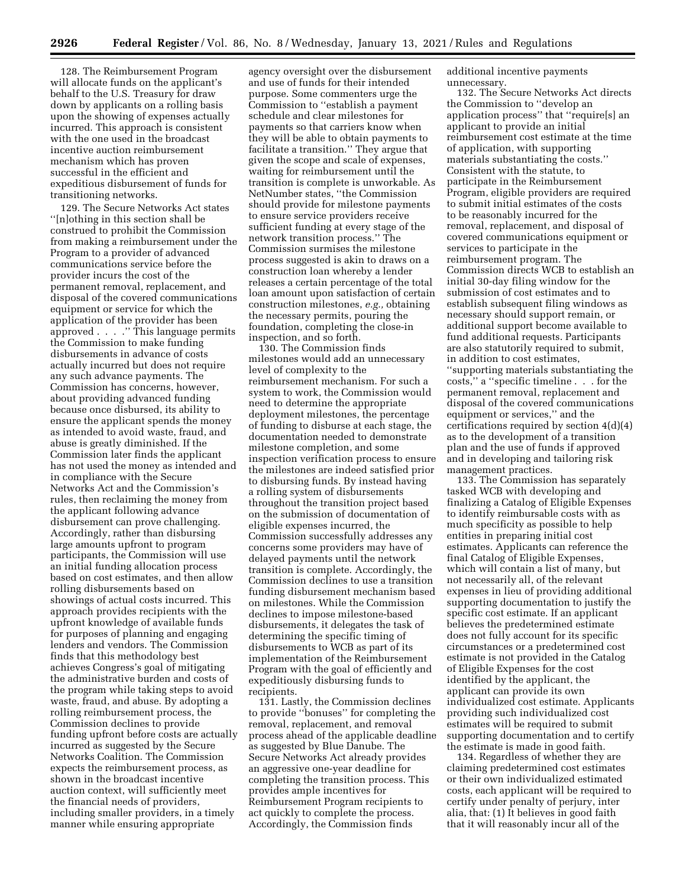128. The Reimbursement Program will allocate funds on the applicant's behalf to the U.S. Treasury for draw down by applicants on a rolling basis upon the showing of expenses actually incurred. This approach is consistent with the one used in the broadcast incentive auction reimbursement mechanism which has proven successful in the efficient and expeditious disbursement of funds for transitioning networks.

129. The Secure Networks Act states ''[n]othing in this section shall be construed to prohibit the Commission from making a reimbursement under the Program to a provider of advanced communications service before the provider incurs the cost of the permanent removal, replacement, and disposal of the covered communications equipment or service for which the application of the provider has been approved . . . .'' This language permits the Commission to make funding disbursements in advance of costs actually incurred but does not require any such advance payments. The Commission has concerns, however, about providing advanced funding because once disbursed, its ability to ensure the applicant spends the money as intended to avoid waste, fraud, and abuse is greatly diminished. If the Commission later finds the applicant has not used the money as intended and in compliance with the Secure Networks Act and the Commission's rules, then reclaiming the money from the applicant following advance disbursement can prove challenging. Accordingly, rather than disbursing large amounts upfront to program participants, the Commission will use an initial funding allocation process based on cost estimates, and then allow rolling disbursements based on showings of actual costs incurred. This approach provides recipients with the upfront knowledge of available funds for purposes of planning and engaging lenders and vendors. The Commission finds that this methodology best achieves Congress's goal of mitigating the administrative burden and costs of the program while taking steps to avoid waste, fraud, and abuse. By adopting a rolling reimbursement process, the Commission declines to provide funding upfront before costs are actually incurred as suggested by the Secure Networks Coalition. The Commission expects the reimbursement process, as shown in the broadcast incentive auction context, will sufficiently meet the financial needs of providers, including smaller providers, in a timely manner while ensuring appropriate

agency oversight over the disbursement and use of funds for their intended purpose. Some commenters urge the Commission to ''establish a payment schedule and clear milestones for payments so that carriers know when they will be able to obtain payments to facilitate a transition.'' They argue that given the scope and scale of expenses, waiting for reimbursement until the transition is complete is unworkable. As NetNumber states, ''the Commission should provide for milestone payments to ensure service providers receive sufficient funding at every stage of the network transition process.'' The Commission surmises the milestone process suggested is akin to draws on a construction loan whereby a lender releases a certain percentage of the total loan amount upon satisfaction of certain construction milestones, *e.g.,* obtaining the necessary permits, pouring the foundation, completing the close-in inspection, and so forth.

130. The Commission finds milestones would add an unnecessary level of complexity to the reimbursement mechanism. For such a system to work, the Commission would need to determine the appropriate deployment milestones, the percentage of funding to disburse at each stage, the documentation needed to demonstrate milestone completion, and some inspection verification process to ensure the milestones are indeed satisfied prior to disbursing funds. By instead having a rolling system of disbursements throughout the transition project based on the submission of documentation of eligible expenses incurred, the Commission successfully addresses any concerns some providers may have of delayed payments until the network transition is complete. Accordingly, the Commission declines to use a transition funding disbursement mechanism based on milestones. While the Commission declines to impose milestone-based disbursements, it delegates the task of determining the specific timing of disbursements to WCB as part of its implementation of the Reimbursement Program with the goal of efficiently and expeditiously disbursing funds to recipients.

131. Lastly, the Commission declines to provide ''bonuses'' for completing the removal, replacement, and removal process ahead of the applicable deadline as suggested by Blue Danube. The Secure Networks Act already provides an aggressive one-year deadline for completing the transition process. This provides ample incentives for Reimbursement Program recipients to act quickly to complete the process. Accordingly, the Commission finds

additional incentive payments unnecessary.

132. The Secure Networks Act directs the Commission to ''develop an application process'' that ''require[s] an applicant to provide an initial reimbursement cost estimate at the time of application, with supporting materials substantiating the costs.'' Consistent with the statute, to participate in the Reimbursement Program, eligible providers are required to submit initial estimates of the costs to be reasonably incurred for the removal, replacement, and disposal of covered communications equipment or services to participate in the reimbursement program. The Commission directs WCB to establish an initial 30-day filing window for the submission of cost estimates and to establish subsequent filing windows as necessary should support remain, or additional support become available to fund additional requests. Participants are also statutorily required to submit, in addition to cost estimates, ''supporting materials substantiating the costs,'' a ''specific timeline . . . for the permanent removal, replacement and disposal of the covered communications equipment or services,'' and the certifications required by section 4(d)(4) as to the development of a transition plan and the use of funds if approved and in developing and tailoring risk management practices.

133. The Commission has separately tasked WCB with developing and finalizing a Catalog of Eligible Expenses to identify reimbursable costs with as much specificity as possible to help entities in preparing initial cost estimates. Applicants can reference the final Catalog of Eligible Expenses, which will contain a list of many, but not necessarily all, of the relevant expenses in lieu of providing additional supporting documentation to justify the specific cost estimate. If an applicant believes the predetermined estimate does not fully account for its specific circumstances or a predetermined cost estimate is not provided in the Catalog of Eligible Expenses for the cost identified by the applicant, the applicant can provide its own individualized cost estimate. Applicants providing such individualized cost estimates will be required to submit supporting documentation and to certify the estimate is made in good faith.

134. Regardless of whether they are claiming predetermined cost estimates or their own individualized estimated costs, each applicant will be required to certify under penalty of perjury, inter alia, that: (1) It believes in good faith that it will reasonably incur all of the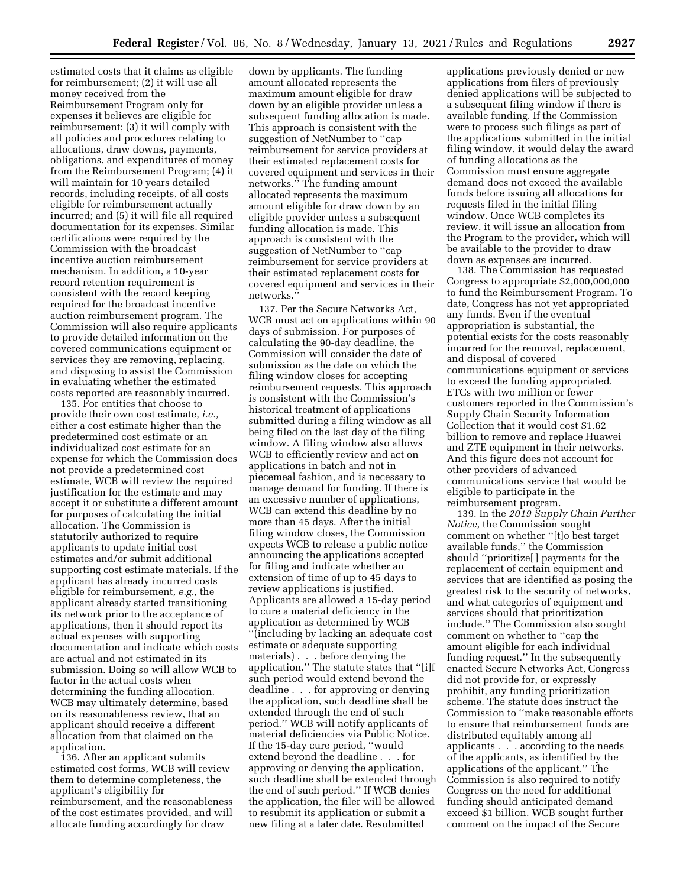estimated costs that it claims as eligible for reimbursement; (2) it will use all money received from the Reimbursement Program only for expenses it believes are eligible for reimbursement; (3) it will comply with all policies and procedures relating to allocations, draw downs, payments, obligations, and expenditures of money from the Reimbursement Program; (4) it will maintain for 10 years detailed records, including receipts, of all costs eligible for reimbursement actually incurred; and (5) it will file all required documentation for its expenses. Similar certifications were required by the Commission with the broadcast incentive auction reimbursement mechanism. In addition, a 10-year record retention requirement is consistent with the record keeping required for the broadcast incentive auction reimbursement program. The Commission will also require applicants to provide detailed information on the covered communications equipment or services they are removing, replacing, and disposing to assist the Commission in evaluating whether the estimated costs reported are reasonably incurred.

135. For entities that choose to provide their own cost estimate, *i.e.,*  either a cost estimate higher than the predetermined cost estimate or an individualized cost estimate for an expense for which the Commission does not provide a predetermined cost estimate, WCB will review the required justification for the estimate and may accept it or substitute a different amount for purposes of calculating the initial allocation. The Commission is statutorily authorized to require applicants to update initial cost estimates and/or submit additional supporting cost estimate materials. If the applicant has already incurred costs eligible for reimbursement, *e.g.,* the applicant already started transitioning its network prior to the acceptance of applications, then it should report its actual expenses with supporting documentation and indicate which costs are actual and not estimated in its submission. Doing so will allow WCB to factor in the actual costs when determining the funding allocation. WCB may ultimately determine, based on its reasonableness review, that an applicant should receive a different allocation from that claimed on the application.

136. After an applicant submits estimated cost forms, WCB will review them to determine completeness, the applicant's eligibility for reimbursement, and the reasonableness of the cost estimates provided, and will allocate funding accordingly for draw

down by applicants. The funding amount allocated represents the maximum amount eligible for draw down by an eligible provider unless a subsequent funding allocation is made. This approach is consistent with the suggestion of NetNumber to ''cap reimbursement for service providers at their estimated replacement costs for covered equipment and services in their networks.'' The funding amount allocated represents the maximum amount eligible for draw down by an eligible provider unless a subsequent funding allocation is made. This approach is consistent with the suggestion of NetNumber to ''cap reimbursement for service providers at their estimated replacement costs for covered equipment and services in their networks.

137. Per the Secure Networks Act, WCB must act on applications within 90 days of submission. For purposes of calculating the 90-day deadline, the Commission will consider the date of submission as the date on which the filing window closes for accepting reimbursement requests. This approach is consistent with the Commission's historical treatment of applications submitted during a filing window as all being filed on the last day of the filing window. A filing window also allows WCB to efficiently review and act on applications in batch and not in piecemeal fashion, and is necessary to manage demand for funding. If there is an excessive number of applications, WCB can extend this deadline by no more than 45 days. After the initial filing window closes, the Commission expects WCB to release a public notice announcing the applications accepted for filing and indicate whether an extension of time of up to 45 days to review applications is justified. Applicants are allowed a 15-day period to cure a material deficiency in the application as determined by WCB ''(including by lacking an adequate cost estimate or adequate supporting materials) . . . before denying the application.'' The statute states that ''[i]f such period would extend beyond the deadline . . . for approving or denying the application, such deadline shall be extended through the end of such period.'' WCB will notify applicants of material deficiencies via Public Notice. If the 15-day cure period, ''would extend beyond the deadline . . . for approving or denying the application, such deadline shall be extended through the end of such period.'' If WCB denies the application, the filer will be allowed to resubmit its application or submit a new filing at a later date. Resubmitted

applications previously denied or new applications from filers of previously denied applications will be subjected to a subsequent filing window if there is available funding. If the Commission were to process such filings as part of the applications submitted in the initial filing window, it would delay the award of funding allocations as the Commission must ensure aggregate demand does not exceed the available funds before issuing all allocations for requests filed in the initial filing window. Once WCB completes its review, it will issue an allocation from the Program to the provider, which will be available to the provider to draw down as expenses are incurred.

138. The Commission has requested Congress to appropriate \$2,000,000,000 to fund the Reimbursement Program. To date, Congress has not yet appropriated any funds. Even if the eventual appropriation is substantial, the potential exists for the costs reasonably incurred for the removal, replacement, and disposal of covered communications equipment or services to exceed the funding appropriated. ETCs with two million or fewer customers reported in the Commission's Supply Chain Security Information Collection that it would cost \$1.62 billion to remove and replace Huawei and ZTE equipment in their networks. And this figure does not account for other providers of advanced communications service that would be eligible to participate in the reimbursement program.

139. In the *2019 Supply Chain Further Notice,* the Commission sought comment on whether ''[t]o best target available funds,'' the Commission should ''prioritize[ ] payments for the replacement of certain equipment and services that are identified as posing the greatest risk to the security of networks, and what categories of equipment and services should that prioritization include.'' The Commission also sought comment on whether to ''cap the amount eligible for each individual funding request.'' In the subsequently enacted Secure Networks Act, Congress did not provide for, or expressly prohibit, any funding prioritization scheme. The statute does instruct the Commission to ''make reasonable efforts to ensure that reimbursement funds are distributed equitably among all applicants . . . according to the needs of the applicants, as identified by the applications of the applicant.'' The Commission is also required to notify Congress on the need for additional funding should anticipated demand exceed \$1 billion. WCB sought further comment on the impact of the Secure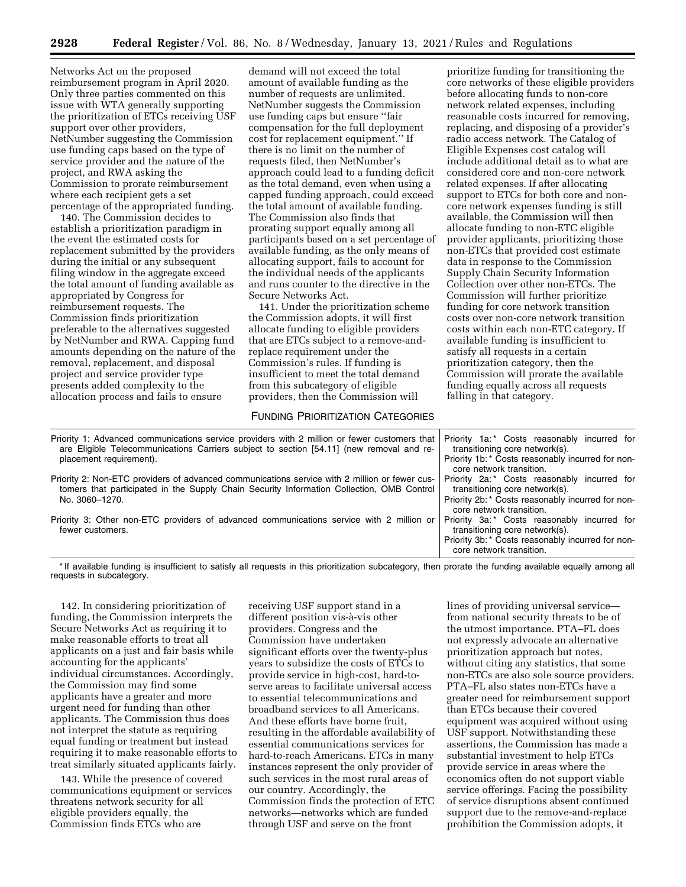Networks Act on the proposed reimbursement program in April 2020. Only three parties commented on this issue with WTA generally supporting the prioritization of ETCs receiving USF support over other providers, NetNumber suggesting the Commission use funding caps based on the type of service provider and the nature of the project, and RWA asking the Commission to prorate reimbursement where each recipient gets a set percentage of the appropriated funding.

140. The Commission decides to establish a prioritization paradigm in the event the estimated costs for replacement submitted by the providers during the initial or any subsequent filing window in the aggregate exceed the total amount of funding available as appropriated by Congress for reimbursement requests. The Commission finds prioritization preferable to the alternatives suggested by NetNumber and RWA. Capping fund amounts depending on the nature of the removal, replacement, and disposal project and service provider type presents added complexity to the allocation process and fails to ensure

demand will not exceed the total amount of available funding as the number of requests are unlimited. NetNumber suggests the Commission use funding caps but ensure ''fair compensation for the full deployment cost for replacement equipment.'' If there is no limit on the number of requests filed, then NetNumber's approach could lead to a funding deficit as the total demand, even when using a capped funding approach, could exceed the total amount of available funding. The Commission also finds that prorating support equally among all participants based on a set percentage of available funding, as the only means of allocating support, fails to account for the individual needs of the applicants and runs counter to the directive in the Secure Networks Act.

141. Under the prioritization scheme the Commission adopts, it will first allocate funding to eligible providers that are ETCs subject to a remove-andreplace requirement under the Commission's rules. If funding is insufficient to meet the total demand from this subcategory of eligible providers, then the Commission will

#### FUNDING PRIORITIZATION CATEGORIES

prioritize funding for transitioning the core networks of these eligible providers before allocating funds to non-core network related expenses, including reasonable costs incurred for removing, replacing, and disposing of a provider's radio access network. The Catalog of Eligible Expenses cost catalog will include additional detail as to what are considered core and non-core network related expenses. If after allocating support to ETCs for both core and noncore network expenses funding is still available, the Commission will then allocate funding to non-ETC eligible provider applicants, prioritizing those non-ETCs that provided cost estimate data in response to the Commission Supply Chain Security Information Collection over other non-ETCs. The Commission will further prioritize funding for core network transition costs over non-core network transition costs within each non-ETC category. If available funding is insufficient to satisfy all requests in a certain prioritization category, then the Commission will prorate the available funding equally across all requests falling in that category.

| Priority 1: Advanced communications service providers with 2 million or fewer customers that<br>are Eligible Telecommunications Carriers subject to section [54.11] (new removal and re-<br>placement requirement). | Priority 1a:* Costs reasonably incurred for<br>transitioning core network(s). |
|---------------------------------------------------------------------------------------------------------------------------------------------------------------------------------------------------------------------|-------------------------------------------------------------------------------|
|                                                                                                                                                                                                                     | Priority 1b: * Costs reasonably incurred for non-<br>core network transition. |
| Priority 2: Non-ETC providers of advanced communications service with 2 million or fewer cus-<br>tomers that participated in the Supply Chain Security Information Collection, OMB Control<br>No. 3060-1270.        | Priority 2a:* Costs reasonably incurred for<br>transitioning core network(s). |
|                                                                                                                                                                                                                     | Priority 2b: * Costs reasonably incurred for non-<br>core network transition. |
| Priority 3: Other non-ETC providers of advanced communications service with 2 million or<br>fewer customers.                                                                                                        | Priority 3a:* Costs reasonably incurred for<br>transitioning core network(s). |
|                                                                                                                                                                                                                     | Priority 3b: * Costs reasonably incurred for non-<br>core network transition. |

\* If available funding is insufficient to satisfy all requests in this prioritization subcategory, then prorate the funding available equally among all requests in subcategory.

142. In considering prioritization of funding, the Commission interprets the Secure Networks Act as requiring it to make reasonable efforts to treat all applicants on a just and fair basis while accounting for the applicants' individual circumstances. Accordingly, the Commission may find some applicants have a greater and more urgent need for funding than other applicants. The Commission thus does not interpret the statute as requiring equal funding or treatment but instead requiring it to make reasonable efforts to treat similarly situated applicants fairly.

143. While the presence of covered communications equipment or services threatens network security for all eligible providers equally, the Commission finds ETCs who are

receiving USF support stand in a different position vis-à-vis other providers. Congress and the Commission have undertaken significant efforts over the twenty-plus years to subsidize the costs of ETCs to provide service in high-cost, hard-toserve areas to facilitate universal access to essential telecommunications and broadband services to all Americans. And these efforts have borne fruit, resulting in the affordable availability of essential communications services for hard-to-reach Americans. ETCs in many instances represent the only provider of such services in the most rural areas of our country. Accordingly, the Commission finds the protection of ETC networks—networks which are funded through USF and serve on the front

lines of providing universal service from national security threats to be of the utmost importance. PTA–FL does not expressly advocate an alternative prioritization approach but notes, without citing any statistics, that some non-ETCs are also sole source providers. PTA–FL also states non-ETCs have a greater need for reimbursement support than ETCs because their covered equipment was acquired without using USF support. Notwithstanding these assertions, the Commission has made a substantial investment to help ETCs provide service in areas where the economics often do not support viable service offerings. Facing the possibility of service disruptions absent continued support due to the remove-and-replace prohibition the Commission adopts, it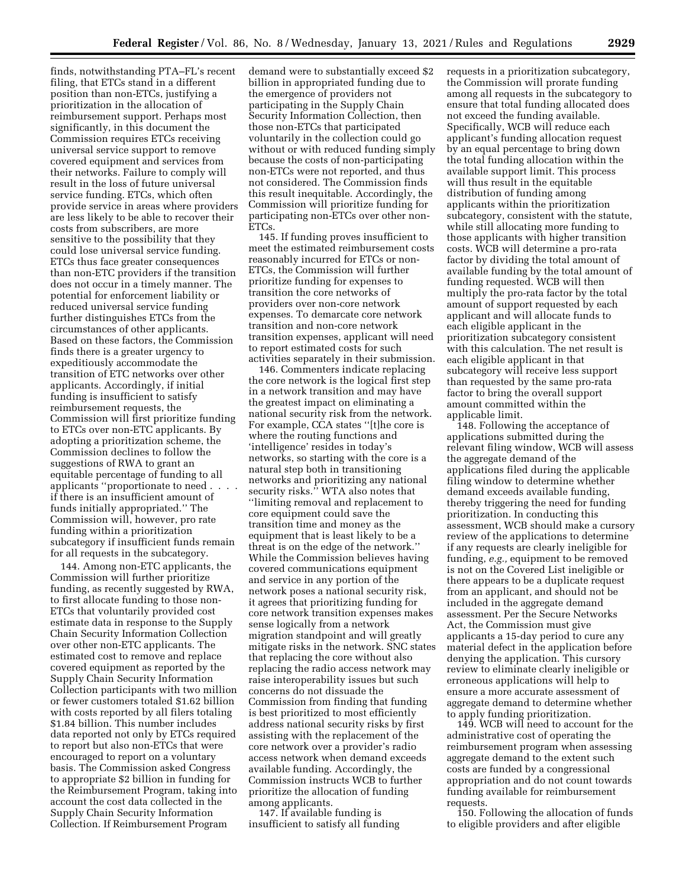finds, notwithstanding PTA–FL's recent filing, that ETCs stand in a different position than non-ETCs, justifying a prioritization in the allocation of reimbursement support. Perhaps most significantly, in this document the Commission requires ETCs receiving universal service support to remove covered equipment and services from their networks. Failure to comply will result in the loss of future universal service funding. ETCs, which often provide service in areas where providers are less likely to be able to recover their costs from subscribers, are more sensitive to the possibility that they could lose universal service funding. ETCs thus face greater consequences than non-ETC providers if the transition does not occur in a timely manner. The potential for enforcement liability or reduced universal service funding further distinguishes ETCs from the circumstances of other applicants. Based on these factors, the Commission finds there is a greater urgency to expeditiously accommodate the transition of ETC networks over other applicants. Accordingly, if initial funding is insufficient to satisfy reimbursement requests, the Commission will first prioritize funding to ETCs over non-ETC applicants. By adopting a prioritization scheme, the Commission declines to follow the suggestions of RWA to grant an equitable percentage of funding to all applicants "proportionate to need . if there is an insufficient amount of funds initially appropriated.'' The Commission will, however, pro rate funding within a prioritization subcategory if insufficient funds remain for all requests in the subcategory.

144. Among non-ETC applicants, the Commission will further prioritize funding, as recently suggested by RWA, to first allocate funding to those non-ETCs that voluntarily provided cost estimate data in response to the Supply Chain Security Information Collection over other non-ETC applicants. The estimated cost to remove and replace covered equipment as reported by the Supply Chain Security Information Collection participants with two million or fewer customers totaled \$1.62 billion with costs reported by all filers totaling \$1.84 billion. This number includes data reported not only by ETCs required to report but also non-ETCs that were encouraged to report on a voluntary basis. The Commission asked Congress to appropriate \$2 billion in funding for the Reimbursement Program, taking into account the cost data collected in the Supply Chain Security Information Collection. If Reimbursement Program

demand were to substantially exceed \$2 billion in appropriated funding due to the emergence of providers not participating in the Supply Chain Security Information Collection, then those non-ETCs that participated voluntarily in the collection could go without or with reduced funding simply because the costs of non-participating non-ETCs were not reported, and thus not considered. The Commission finds this result inequitable. Accordingly, the Commission will prioritize funding for participating non-ETCs over other non-ETCs.

145. If funding proves insufficient to meet the estimated reimbursement costs reasonably incurred for ETCs or non-ETCs, the Commission will further prioritize funding for expenses to transition the core networks of providers over non-core network expenses. To demarcate core network transition and non-core network transition expenses, applicant will need to report estimated costs for such activities separately in their submission.

146. Commenters indicate replacing the core network is the logical first step in a network transition and may have the greatest impact on eliminating a national security risk from the network. For example, CCA states ''[t]he core is where the routing functions and 'intelligence' resides in today's networks, so starting with the core is a natural step both in transitioning networks and prioritizing any national security risks." WTA also notes that ''limiting removal and replacement to core equipment could save the transition time and money as the equipment that is least likely to be a threat is on the edge of the network.'' While the Commission believes having covered communications equipment and service in any portion of the network poses a national security risk, it agrees that prioritizing funding for core network transition expenses makes sense logically from a network migration standpoint and will greatly mitigate risks in the network. SNC states that replacing the core without also replacing the radio access network may raise interoperability issues but such concerns do not dissuade the Commission from finding that funding is best prioritized to most efficiently address national security risks by first assisting with the replacement of the core network over a provider's radio access network when demand exceeds available funding. Accordingly, the Commission instructs WCB to further prioritize the allocation of funding among applicants.

147. If available funding is insufficient to satisfy all funding requests in a prioritization subcategory, the Commission will prorate funding among all requests in the subcategory to ensure that total funding allocated does not exceed the funding available. Specifically, WCB will reduce each applicant's funding allocation request by an equal percentage to bring down the total funding allocation within the available support limit. This process will thus result in the equitable distribution of funding among applicants within the prioritization subcategory, consistent with the statute, while still allocating more funding to those applicants with higher transition costs. WCB will determine a pro-rata factor by dividing the total amount of available funding by the total amount of funding requested. WCB will then multiply the pro-rata factor by the total amount of support requested by each applicant and will allocate funds to each eligible applicant in the prioritization subcategory consistent with this calculation. The net result is each eligible applicant in that subcategory will receive less support than requested by the same pro-rata factor to bring the overall support amount committed within the applicable limit.

148. Following the acceptance of applications submitted during the relevant filing window, WCB will assess the aggregate demand of the applications filed during the applicable filing window to determine whether demand exceeds available funding, thereby triggering the need for funding prioritization. In conducting this assessment, WCB should make a cursory review of the applications to determine if any requests are clearly ineligible for funding, *e.g.,* equipment to be removed is not on the Covered List ineligible or there appears to be a duplicate request from an applicant, and should not be included in the aggregate demand assessment. Per the Secure Networks Act, the Commission must give applicants a 15-day period to cure any material defect in the application before denying the application. This cursory review to eliminate clearly ineligible or erroneous applications will help to ensure a more accurate assessment of aggregate demand to determine whether to apply funding prioritization.

149. WCB will need to account for the administrative cost of operating the reimbursement program when assessing aggregate demand to the extent such costs are funded by a congressional appropriation and do not count towards funding available for reimbursement requests.

150. Following the allocation of funds to eligible providers and after eligible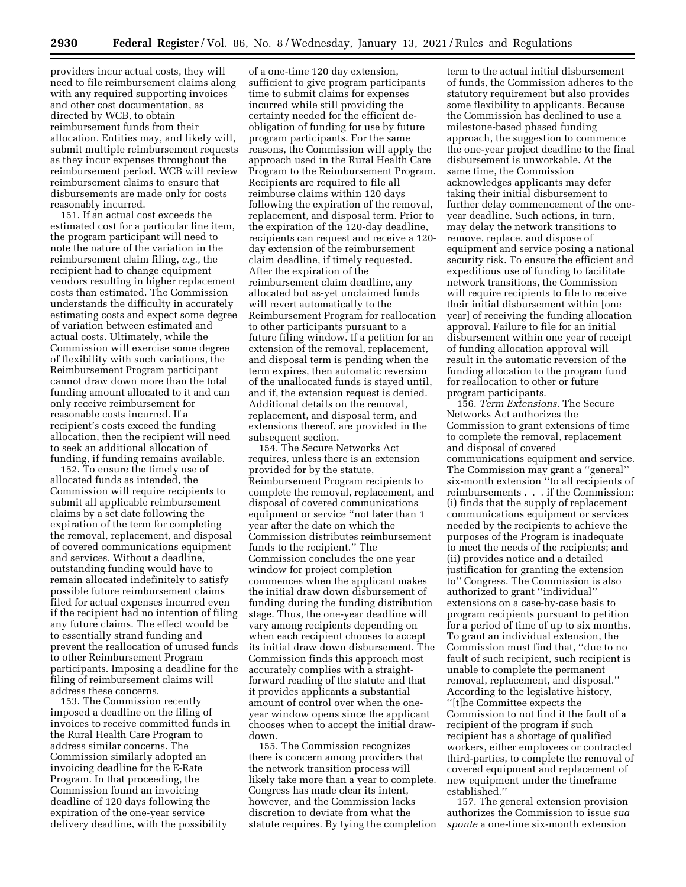providers incur actual costs, they will need to file reimbursement claims along with any required supporting invoices and other cost documentation, as directed by WCB, to obtain reimbursement funds from their allocation. Entities may, and likely will, submit multiple reimbursement requests as they incur expenses throughout the reimbursement period. WCB will review reimbursement claims to ensure that disbursements are made only for costs reasonably incurred.

151. If an actual cost exceeds the estimated cost for a particular line item, the program participant will need to note the nature of the variation in the reimbursement claim filing, *e.g.,* the recipient had to change equipment vendors resulting in higher replacement costs than estimated. The Commission understands the difficulty in accurately estimating costs and expect some degree of variation between estimated and actual costs. Ultimately, while the Commission will exercise some degree of flexibility with such variations, the Reimbursement Program participant cannot draw down more than the total funding amount allocated to it and can only receive reimbursement for reasonable costs incurred. If a recipient's costs exceed the funding allocation, then the recipient will need to seek an additional allocation of funding, if funding remains available.

152. To ensure the timely use of allocated funds as intended, the Commission will require recipients to submit all applicable reimbursement claims by a set date following the expiration of the term for completing the removal, replacement, and disposal of covered communications equipment and services. Without a deadline, outstanding funding would have to remain allocated indefinitely to satisfy possible future reimbursement claims filed for actual expenses incurred even if the recipient had no intention of filing any future claims. The effect would be to essentially strand funding and prevent the reallocation of unused funds to other Reimbursement Program participants. Imposing a deadline for the filing of reimbursement claims will address these concerns.

153. The Commission recently imposed a deadline on the filing of invoices to receive committed funds in the Rural Health Care Program to address similar concerns. The Commission similarly adopted an invoicing deadline for the E-Rate Program. In that proceeding, the Commission found an invoicing deadline of 120 days following the expiration of the one-year service delivery deadline, with the possibility

of a one-time 120 day extension, sufficient to give program participants time to submit claims for expenses incurred while still providing the certainty needed for the efficient deobligation of funding for use by future program participants. For the same reasons, the Commission will apply the approach used in the Rural Health Care Program to the Reimbursement Program. Recipients are required to file all reimburse claims within 120 days following the expiration of the removal, replacement, and disposal term. Prior to the expiration of the 120-day deadline, recipients can request and receive a 120 day extension of the reimbursement claim deadline, if timely requested. After the expiration of the reimbursement claim deadline, any allocated but as-yet unclaimed funds will revert automatically to the Reimbursement Program for reallocation to other participants pursuant to a future filing window. If a petition for an extension of the removal, replacement, and disposal term is pending when the term expires, then automatic reversion of the unallocated funds is stayed until, and if, the extension request is denied. Additional details on the removal, replacement, and disposal term, and extensions thereof, are provided in the subsequent section.

154. The Secure Networks Act requires, unless there is an extension provided for by the statute, Reimbursement Program recipients to complete the removal, replacement, and disposal of covered communications equipment or service ''not later than 1 year after the date on which the Commission distributes reimbursement funds to the recipient.'' The Commission concludes the one year window for project completion commences when the applicant makes the initial draw down disbursement of funding during the funding distribution stage. Thus, the one-year deadline will vary among recipients depending on when each recipient chooses to accept its initial draw down disbursement. The Commission finds this approach most accurately complies with a straightforward reading of the statute and that it provides applicants a substantial amount of control over when the oneyear window opens since the applicant chooses when to accept the initial drawdown.

155. The Commission recognizes there is concern among providers that the network transition process will likely take more than a year to complete. Congress has made clear its intent, however, and the Commission lacks discretion to deviate from what the statute requires. By tying the completion

term to the actual initial disbursement of funds, the Commission adheres to the statutory requirement but also provides some flexibility to applicants. Because the Commission has declined to use a milestone-based phased funding approach, the suggestion to commence the one-year project deadline to the final disbursement is unworkable. At the same time, the Commission acknowledges applicants may defer taking their initial disbursement to further delay commencement of the oneyear deadline. Such actions, in turn, may delay the network transitions to remove, replace, and dispose of equipment and service posing a national security risk. To ensure the efficient and expeditious use of funding to facilitate network transitions, the Commission will require recipients to file to receive their initial disbursement within [one year] of receiving the funding allocation approval. Failure to file for an initial disbursement within one year of receipt of funding allocation approval will result in the automatic reversion of the funding allocation to the program fund for reallocation to other or future program participants.

156. *Term Extensions.* The Secure Networks Act authorizes the Commission to grant extensions of time to complete the removal, replacement and disposal of covered communications equipment and service. The Commission may grant a ''general'' six-month extension ''to all recipients of reimbursements . . . if the Commission: (i) finds that the supply of replacement communications equipment or services needed by the recipients to achieve the purposes of the Program is inadequate to meet the needs of the recipients; and (ii) provides notice and a detailed justification for granting the extension to'' Congress. The Commission is also authorized to grant ''individual'' extensions on a case-by-case basis to program recipients pursuant to petition for a period of time of up to six months. To grant an individual extension, the Commission must find that, ''due to no fault of such recipient, such recipient is unable to complete the permanent removal, replacement, and disposal.'' According to the legislative history, ''[t]he Committee expects the Commission to not find it the fault of a recipient of the program if such recipient has a shortage of qualified workers, either employees or contracted third-parties, to complete the removal of covered equipment and replacement of new equipment under the timeframe established.''

157. The general extension provision authorizes the Commission to issue *sua sponte* a one-time six-month extension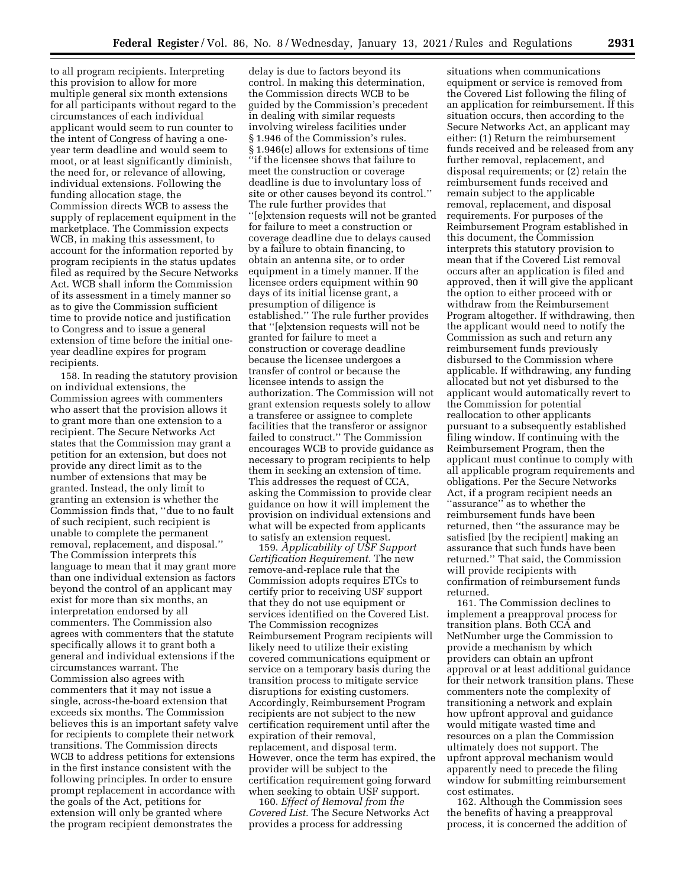to all program recipients. Interpreting this provision to allow for more multiple general six month extensions for all participants without regard to the circumstances of each individual applicant would seem to run counter to the intent of Congress of having a oneyear term deadline and would seem to moot, or at least significantly diminish, the need for, or relevance of allowing, individual extensions. Following the funding allocation stage, the Commission directs WCB to assess the supply of replacement equipment in the marketplace. The Commission expects WCB, in making this assessment, to account for the information reported by program recipients in the status updates filed as required by the Secure Networks Act. WCB shall inform the Commission of its assessment in a timely manner so as to give the Commission sufficient time to provide notice and justification to Congress and to issue a general extension of time before the initial oneyear deadline expires for program recipients.

158. In reading the statutory provision on individual extensions, the Commission agrees with commenters who assert that the provision allows it to grant more than one extension to a recipient. The Secure Networks Act states that the Commission may grant a petition for an extension, but does not provide any direct limit as to the number of extensions that may be granted. Instead, the only limit to granting an extension is whether the Commission finds that, ''due to no fault of such recipient, such recipient is unable to complete the permanent removal, replacement, and disposal.'' The Commission interprets this language to mean that it may grant more than one individual extension as factors beyond the control of an applicant may exist for more than six months, an interpretation endorsed by all commenters. The Commission also agrees with commenters that the statute specifically allows it to grant both a general and individual extensions if the circumstances warrant. The Commission also agrees with commenters that it may not issue a single, across-the-board extension that exceeds six months. The Commission believes this is an important safety valve for recipients to complete their network transitions. The Commission directs WCB to address petitions for extensions in the first instance consistent with the following principles. In order to ensure prompt replacement in accordance with the goals of the Act, petitions for extension will only be granted where the program recipient demonstrates the

delay is due to factors beyond its control. In making this determination, the Commission directs WCB to be guided by the Commission's precedent in dealing with similar requests involving wireless facilities under § 1.946 of the Commission's rules. § 1.946(e) allows for extensions of time ''if the licensee shows that failure to meet the construction or coverage deadline is due to involuntary loss of site or other causes beyond its control.'' The rule further provides that ''[e]xtension requests will not be granted for failure to meet a construction or coverage deadline due to delays caused by a failure to obtain financing, to obtain an antenna site, or to order equipment in a timely manner. If the licensee orders equipment within 90 days of its initial license grant, a presumption of diligence is established.'' The rule further provides that ''[e]xtension requests will not be granted for failure to meet a construction or coverage deadline because the licensee undergoes a transfer of control or because the licensee intends to assign the authorization. The Commission will not grant extension requests solely to allow a transferee or assignee to complete facilities that the transferor or assignor failed to construct.'' The Commission encourages WCB to provide guidance as necessary to program recipients to help them in seeking an extension of time. This addresses the request of CCA, asking the Commission to provide clear guidance on how it will implement the provision on individual extensions and what will be expected from applicants to satisfy an extension request.

159. *Applicability of USF Support Certification Requirement.* The new remove-and-replace rule that the Commission adopts requires ETCs to certify prior to receiving USF support that they do not use equipment or services identified on the Covered List. The Commission recognizes Reimbursement Program recipients will likely need to utilize their existing covered communications equipment or service on a temporary basis during the transition process to mitigate service disruptions for existing customers. Accordingly, Reimbursement Program recipients are not subject to the new certification requirement until after the expiration of their removal, replacement, and disposal term. However, once the term has expired, the provider will be subject to the certification requirement going forward when seeking to obtain USF support.

160. *Effect of Removal from the Covered List.* The Secure Networks Act provides a process for addressing

situations when communications equipment or service is removed from the Covered List following the filing of an application for reimbursement. If this situation occurs, then according to the Secure Networks Act, an applicant may either: (1) Return the reimbursement funds received and be released from any further removal, replacement, and disposal requirements; or (2) retain the reimbursement funds received and remain subject to the applicable removal, replacement, and disposal requirements. For purposes of the Reimbursement Program established in this document, the Commission interprets this statutory provision to mean that if the Covered List removal occurs after an application is filed and approved, then it will give the applicant the option to either proceed with or withdraw from the Reimbursement Program altogether. If withdrawing, then the applicant would need to notify the Commission as such and return any reimbursement funds previously disbursed to the Commission where applicable. If withdrawing, any funding allocated but not yet disbursed to the applicant would automatically revert to the Commission for potential reallocation to other applicants pursuant to a subsequently established filing window. If continuing with the Reimbursement Program, then the applicant must continue to comply with all applicable program requirements and obligations. Per the Secure Networks Act, if a program recipient needs an ''assurance'' as to whether the reimbursement funds have been returned, then ''the assurance may be satisfied [by the recipient] making an assurance that such funds have been returned.'' That said, the Commission will provide recipients with confirmation of reimbursement funds returned.

161. The Commission declines to implement a preapproval process for transition plans. Both CCA and NetNumber urge the Commission to provide a mechanism by which providers can obtain an upfront approval or at least additional guidance for their network transition plans. These commenters note the complexity of transitioning a network and explain how upfront approval and guidance would mitigate wasted time and resources on a plan the Commission ultimately does not support. The upfront approval mechanism would apparently need to precede the filing window for submitting reimbursement cost estimates.

162. Although the Commission sees the benefits of having a preapproval process, it is concerned the addition of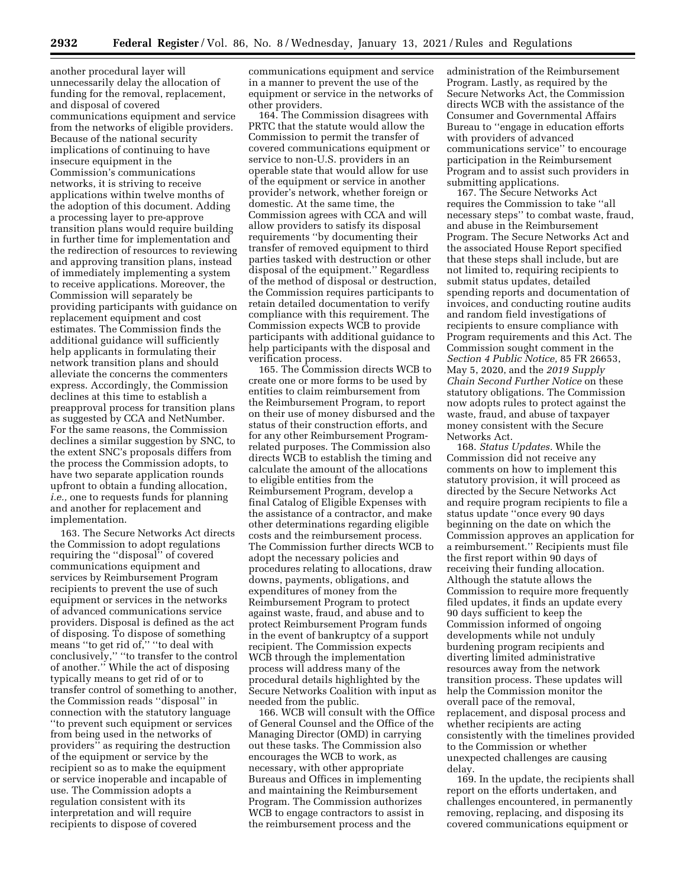another procedural layer will unnecessarily delay the allocation of funding for the removal, replacement, and disposal of covered communications equipment and service from the networks of eligible providers. Because of the national security implications of continuing to have insecure equipment in the Commission's communications networks, it is striving to receive applications within twelve months of the adoption of this document. Adding a processing layer to pre-approve transition plans would require building in further time for implementation and the redirection of resources to reviewing and approving transition plans, instead of immediately implementing a system to receive applications. Moreover, the Commission will separately be providing participants with guidance on replacement equipment and cost estimates. The Commission finds the additional guidance will sufficiently help applicants in formulating their network transition plans and should alleviate the concerns the commenters express. Accordingly, the Commission declines at this time to establish a preapproval process for transition plans as suggested by CCA and NetNumber. For the same reasons, the Commission declines a similar suggestion by SNC, to the extent SNC's proposals differs from the process the Commission adopts, to have two separate application rounds upfront to obtain a funding allocation, *i.e.,* one to requests funds for planning and another for replacement and implementation.

163. The Secure Networks Act directs the Commission to adopt regulations requiring the ''disposal'' of covered communications equipment and services by Reimbursement Program recipients to prevent the use of such equipment or services in the networks of advanced communications service providers. Disposal is defined as the act of disposing. To dispose of something means ''to get rid of,'' ''to deal with conclusively,'' ''to transfer to the control of another.'' While the act of disposing typically means to get rid of or to transfer control of something to another, the Commission reads ''disposal'' in connection with the statutory language ''to prevent such equipment or services from being used in the networks of providers'' as requiring the destruction of the equipment or service by the recipient so as to make the equipment or service inoperable and incapable of use. The Commission adopts a regulation consistent with its interpretation and will require recipients to dispose of covered

communications equipment and service in a manner to prevent the use of the equipment or service in the networks of other providers.

164. The Commission disagrees with PRTC that the statute would allow the Commission to permit the transfer of covered communications equipment or service to non-U.S. providers in an operable state that would allow for use of the equipment or service in another provider's network, whether foreign or domestic. At the same time, the Commission agrees with CCA and will allow providers to satisfy its disposal requirements ''by documenting their transfer of removed equipment to third parties tasked with destruction or other disposal of the equipment.'' Regardless of the method of disposal or destruction, the Commission requires participants to retain detailed documentation to verify compliance with this requirement. The Commission expects WCB to provide participants with additional guidance to help participants with the disposal and verification process.

165. The Commission directs WCB to create one or more forms to be used by entities to claim reimbursement from the Reimbursement Program, to report on their use of money disbursed and the status of their construction efforts, and for any other Reimbursement Programrelated purposes. The Commission also directs WCB to establish the timing and calculate the amount of the allocations to eligible entities from the Reimbursement Program, develop a final Catalog of Eligible Expenses with the assistance of a contractor, and make other determinations regarding eligible costs and the reimbursement process. The Commission further directs WCB to adopt the necessary policies and procedures relating to allocations, draw downs, payments, obligations, and expenditures of money from the Reimbursement Program to protect against waste, fraud, and abuse and to protect Reimbursement Program funds in the event of bankruptcy of a support recipient. The Commission expects WCB through the implementation process will address many of the procedural details highlighted by the Secure Networks Coalition with input as needed from the public.

166. WCB will consult with the Office of General Counsel and the Office of the Managing Director (OMD) in carrying out these tasks. The Commission also encourages the WCB to work, as necessary, with other appropriate Bureaus and Offices in implementing and maintaining the Reimbursement Program. The Commission authorizes WCB to engage contractors to assist in the reimbursement process and the

administration of the Reimbursement Program. Lastly, as required by the Secure Networks Act, the Commission directs WCB with the assistance of the Consumer and Governmental Affairs Bureau to ''engage in education efforts with providers of advanced communications service'' to encourage participation in the Reimbursement Program and to assist such providers in submitting applications.

167. The Secure Networks Act requires the Commission to take ''all necessary steps'' to combat waste, fraud, and abuse in the Reimbursement Program. The Secure Networks Act and the associated House Report specified that these steps shall include, but are not limited to, requiring recipients to submit status updates, detailed spending reports and documentation of invoices, and conducting routine audits and random field investigations of recipients to ensure compliance with Program requirements and this Act. The Commission sought comment in the *Section 4 Public Notice,* 85 FR 26653, May 5, 2020, and the *2019 Supply Chain Second Further Notice* on these statutory obligations. The Commission now adopts rules to protect against the waste, fraud, and abuse of taxpayer money consistent with the Secure Networks Act.

168. *Status Updates.* While the Commission did not receive any comments on how to implement this statutory provision, it will proceed as directed by the Secure Networks Act and require program recipients to file a status update ''once every 90 days beginning on the date on which the Commission approves an application for a reimbursement.'' Recipients must file the first report within 90 days of receiving their funding allocation. Although the statute allows the Commission to require more frequently filed updates, it finds an update every 90 days sufficient to keep the Commission informed of ongoing developments while not unduly burdening program recipients and diverting limited administrative resources away from the network transition process. These updates will help the Commission monitor the overall pace of the removal, replacement, and disposal process and whether recipients are acting consistently with the timelines provided to the Commission or whether unexpected challenges are causing delay.

169. In the update, the recipients shall report on the efforts undertaken, and challenges encountered, in permanently removing, replacing, and disposing its covered communications equipment or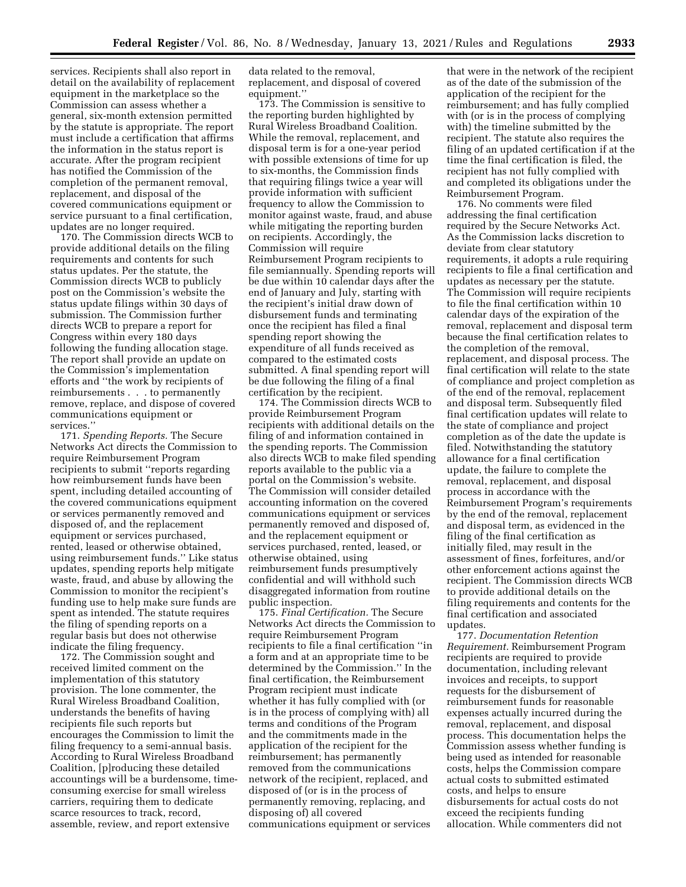services. Recipients shall also report in detail on the availability of replacement equipment in the marketplace so the Commission can assess whether a general, six-month extension permitted by the statute is appropriate. The report must include a certification that affirms the information in the status report is accurate. After the program recipient has notified the Commission of the completion of the permanent removal, replacement, and disposal of the covered communications equipment or service pursuant to a final certification, updates are no longer required.

170. The Commission directs WCB to provide additional details on the filing requirements and contents for such status updates. Per the statute, the Commission directs WCB to publicly post on the Commission's website the status update filings within 30 days of submission. The Commission further directs WCB to prepare a report for Congress within every 180 days following the funding allocation stage. The report shall provide an update on the Commission's implementation efforts and ''the work by recipients of reimbursements . . . to permanently remove, replace, and dispose of covered communications equipment or services.''

171. *Spending Reports.* The Secure Networks Act directs the Commission to require Reimbursement Program recipients to submit ''reports regarding how reimbursement funds have been spent, including detailed accounting of the covered communications equipment or services permanently removed and disposed of, and the replacement equipment or services purchased, rented, leased or otherwise obtained, using reimbursement funds.'' Like status updates, spending reports help mitigate waste, fraud, and abuse by allowing the Commission to monitor the recipient's funding use to help make sure funds are spent as intended. The statute requires the filing of spending reports on a regular basis but does not otherwise indicate the filing frequency.

172. The Commission sought and received limited comment on the implementation of this statutory provision. The lone commenter, the Rural Wireless Broadband Coalition, understands the benefits of having recipients file such reports but encourages the Commission to limit the filing frequency to a semi-annual basis. According to Rural Wireless Broadband Coalition, [p]roducing these detailed accountings will be a burdensome, timeconsuming exercise for small wireless carriers, requiring them to dedicate scarce resources to track, record, assemble, review, and report extensive

data related to the removal, replacement, and disposal of covered equipment.''

173. The Commission is sensitive to the reporting burden highlighted by Rural Wireless Broadband Coalition. While the removal, replacement, and disposal term is for a one-year period with possible extensions of time for up to six-months, the Commission finds that requiring filings twice a year will provide information with sufficient frequency to allow the Commission to monitor against waste, fraud, and abuse while mitigating the reporting burden on recipients. Accordingly, the Commission will require Reimbursement Program recipients to file semiannually. Spending reports will be due within 10 calendar days after the end of January and July, starting with the recipient's initial draw down of disbursement funds and terminating once the recipient has filed a final spending report showing the expenditure of all funds received as compared to the estimated costs submitted. A final spending report will be due following the filing of a final certification by the recipient.

174. The Commission directs WCB to provide Reimbursement Program recipients with additional details on the filing of and information contained in the spending reports. The Commission also directs WCB to make filed spending reports available to the public via a portal on the Commission's website. The Commission will consider detailed accounting information on the covered communications equipment or services permanently removed and disposed of, and the replacement equipment or services purchased, rented, leased, or otherwise obtained, using reimbursement funds presumptively confidential and will withhold such disaggregated information from routine public inspection.

175. *Final Certification.* The Secure Networks Act directs the Commission to require Reimbursement Program recipients to file a final certification ''in a form and at an appropriate time to be determined by the Commission.'' In the final certification, the Reimbursement Program recipient must indicate whether it has fully complied with (or is in the process of complying with) all terms and conditions of the Program and the commitments made in the application of the recipient for the reimbursement; has permanently removed from the communications network of the recipient, replaced, and disposed of (or is in the process of permanently removing, replacing, and disposing of) all covered communications equipment or services

that were in the network of the recipient as of the date of the submission of the application of the recipient for the reimbursement; and has fully complied with (or is in the process of complying with) the timeline submitted by the recipient. The statute also requires the filing of an updated certification if at the time the final certification is filed, the recipient has not fully complied with and completed its obligations under the Reimbursement Program.

176. No comments were filed addressing the final certification required by the Secure Networks Act. As the Commission lacks discretion to deviate from clear statutory requirements, it adopts a rule requiring recipients to file a final certification and updates as necessary per the statute. The Commission will require recipients to file the final certification within 10 calendar days of the expiration of the removal, replacement and disposal term because the final certification relates to the completion of the removal, replacement, and disposal process. The final certification will relate to the state of compliance and project completion as of the end of the removal, replacement and disposal term. Subsequently filed final certification updates will relate to the state of compliance and project completion as of the date the update is filed. Notwithstanding the statutory allowance for a final certification update, the failure to complete the removal, replacement, and disposal process in accordance with the Reimbursement Program's requirements by the end of the removal, replacement and disposal term, as evidenced in the filing of the final certification as initially filed, may result in the assessment of fines, forfeitures, and/or other enforcement actions against the recipient. The Commission directs WCB to provide additional details on the filing requirements and contents for the final certification and associated updates.

177. *Documentation Retention Requirement.* Reimbursement Program recipients are required to provide documentation, including relevant invoices and receipts, to support requests for the disbursement of reimbursement funds for reasonable expenses actually incurred during the removal, replacement, and disposal process. This documentation helps the Commission assess whether funding is being used as intended for reasonable costs, helps the Commission compare actual costs to submitted estimated costs, and helps to ensure disbursements for actual costs do not exceed the recipients funding allocation. While commenters did not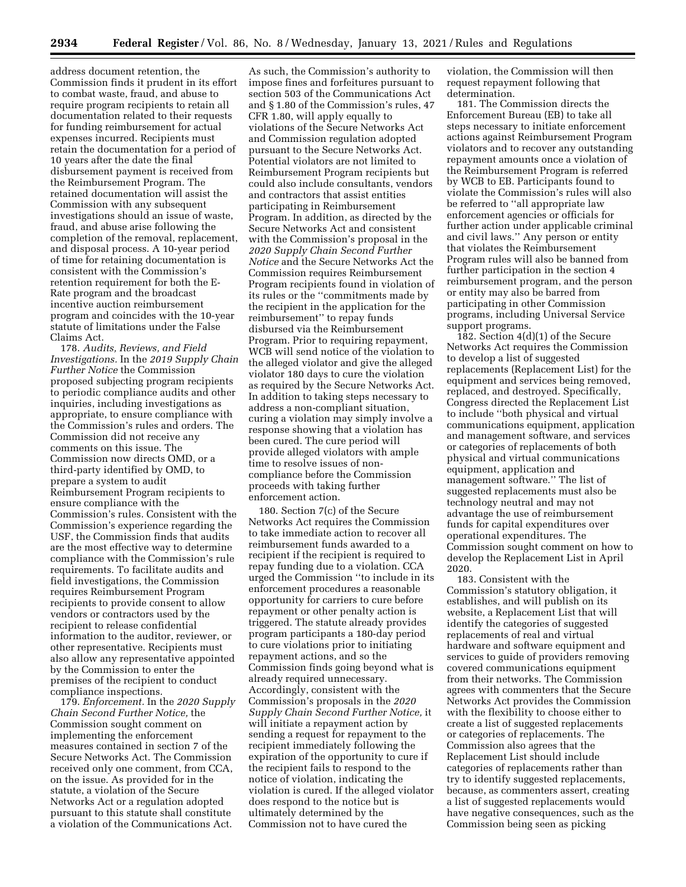address document retention, the Commission finds it prudent in its effort to combat waste, fraud, and abuse to require program recipients to retain all documentation related to their requests for funding reimbursement for actual expenses incurred. Recipients must retain the documentation for a period of 10 years after the date the final disbursement payment is received from the Reimbursement Program. The retained documentation will assist the Commission with any subsequent investigations should an issue of waste, fraud, and abuse arise following the completion of the removal, replacement, and disposal process. A 10-year period of time for retaining documentation is consistent with the Commission's retention requirement for both the E-Rate program and the broadcast incentive auction reimbursement program and coincides with the 10-year statute of limitations under the False Claims Act.

178. *Audits, Reviews, and Field Investigations.* In the *2019 Supply Chain Further Notice* the Commission proposed subjecting program recipients to periodic compliance audits and other inquiries, including investigations as appropriate, to ensure compliance with the Commission's rules and orders. The Commission did not receive any comments on this issue. The Commission now directs OMD, or a third-party identified by OMD, to prepare a system to audit Reimbursement Program recipients to ensure compliance with the Commission's rules. Consistent with the Commission's experience regarding the USF, the Commission finds that audits are the most effective way to determine compliance with the Commission's rule requirements. To facilitate audits and field investigations, the Commission requires Reimbursement Program recipients to provide consent to allow vendors or contractors used by the recipient to release confidential information to the auditor, reviewer, or other representative. Recipients must also allow any representative appointed by the Commission to enter the premises of the recipient to conduct compliance inspections.

179. *Enforcement.* In the *2020 Supply Chain Second Further Notice,* the Commission sought comment on implementing the enforcement measures contained in section 7 of the Secure Networks Act. The Commission received only one comment, from CCA, on the issue. As provided for in the statute, a violation of the Secure Networks Act or a regulation adopted pursuant to this statute shall constitute a violation of the Communications Act.

As such, the Commission's authority to impose fines and forfeitures pursuant to section 503 of the Communications Act and § 1.80 of the Commission's rules, 47 CFR 1.80, will apply equally to violations of the Secure Networks Act and Commission regulation adopted pursuant to the Secure Networks Act. Potential violators are not limited to Reimbursement Program recipients but could also include consultants, vendors and contractors that assist entities participating in Reimbursement Program. In addition, as directed by the Secure Networks Act and consistent with the Commission's proposal in the *2020 Supply Chain Second Further Notice* and the Secure Networks Act the Commission requires Reimbursement Program recipients found in violation of its rules or the ''commitments made by the recipient in the application for the reimbursement'' to repay funds disbursed via the Reimbursement Program. Prior to requiring repayment, WCB will send notice of the violation to the alleged violator and give the alleged violator 180 days to cure the violation as required by the Secure Networks Act. In addition to taking steps necessary to address a non-compliant situation, curing a violation may simply involve a response showing that a violation has been cured. The cure period will provide alleged violators with ample time to resolve issues of noncompliance before the Commission proceeds with taking further enforcement action.

180. Section 7(c) of the Secure Networks Act requires the Commission to take immediate action to recover all reimbursement funds awarded to a recipient if the recipient is required to repay funding due to a violation. CCA urged the Commission ''to include in its enforcement procedures a reasonable opportunity for carriers to cure before repayment or other penalty action is triggered. The statute already provides program participants a 180-day period to cure violations prior to initiating repayment actions, and so the Commission finds going beyond what is already required unnecessary. Accordingly, consistent with the Commission's proposals in the *2020 Supply Chain Second Further Notice,* it will initiate a repayment action by sending a request for repayment to the recipient immediately following the expiration of the opportunity to cure if the recipient fails to respond to the notice of violation, indicating the violation is cured. If the alleged violator does respond to the notice but is ultimately determined by the Commission not to have cured the

violation, the Commission will then request repayment following that determination.

181. The Commission directs the Enforcement Bureau (EB) to take all steps necessary to initiate enforcement actions against Reimbursement Program violators and to recover any outstanding repayment amounts once a violation of the Reimbursement Program is referred by WCB to EB. Participants found to violate the Commission's rules will also be referred to ''all appropriate law enforcement agencies or officials for further action under applicable criminal and civil laws.'' Any person or entity that violates the Reimbursement Program rules will also be banned from further participation in the section 4 reimbursement program, and the person or entity may also be barred from participating in other Commission programs, including Universal Service support programs.

182. Section 4(d)(1) of the Secure Networks Act requires the Commission to develop a list of suggested replacements (Replacement List) for the equipment and services being removed, replaced, and destroyed. Specifically, Congress directed the Replacement List to include ''both physical and virtual communications equipment, application and management software, and services or categories of replacements of both physical and virtual communications equipment, application and management software.'' The list of suggested replacements must also be technology neutral and may not advantage the use of reimbursement funds for capital expenditures over operational expenditures. The Commission sought comment on how to develop the Replacement List in April 2020.

183. Consistent with the Commission's statutory obligation, it establishes, and will publish on its website, a Replacement List that will identify the categories of suggested replacements of real and virtual hardware and software equipment and services to guide of providers removing covered communications equipment from their networks. The Commission agrees with commenters that the Secure Networks Act provides the Commission with the flexibility to choose either to create a list of suggested replacements or categories of replacements. The Commission also agrees that the Replacement List should include categories of replacements rather than try to identify suggested replacements, because, as commenters assert, creating a list of suggested replacements would have negative consequences, such as the Commission being seen as picking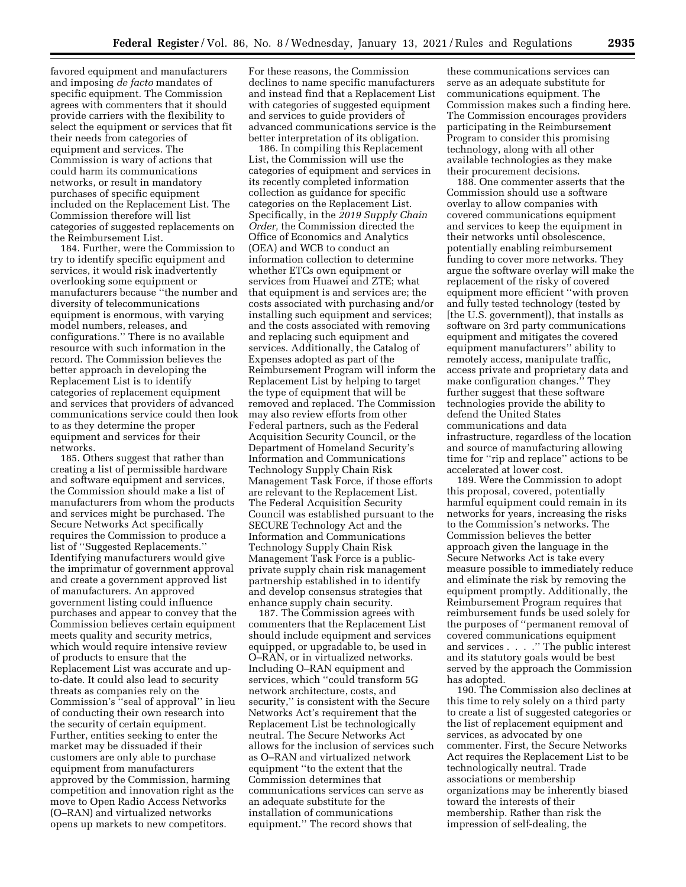favored equipment and manufacturers and imposing *de facto* mandates of specific equipment. The Commission agrees with commenters that it should provide carriers with the flexibility to select the equipment or services that fit their needs from categories of equipment and services. The Commission is wary of actions that could harm its communications networks, or result in mandatory purchases of specific equipment included on the Replacement List. The Commission therefore will list categories of suggested replacements on the Reimbursement List.

184. Further, were the Commission to try to identify specific equipment and services, it would risk inadvertently overlooking some equipment or manufacturers because ''the number and diversity of telecommunications equipment is enormous, with varying model numbers, releases, and configurations.'' There is no available resource with such information in the record. The Commission believes the better approach in developing the Replacement List is to identify categories of replacement equipment and services that providers of advanced communications service could then look to as they determine the proper equipment and services for their networks.

185. Others suggest that rather than creating a list of permissible hardware and software equipment and services, the Commission should make a list of manufacturers from whom the products and services might be purchased. The Secure Networks Act specifically requires the Commission to produce a list of ''Suggested Replacements.'' Identifying manufacturers would give the imprimatur of government approval and create a government approved list of manufacturers. An approved government listing could influence purchases and appear to convey that the Commission believes certain equipment meets quality and security metrics, which would require intensive review of products to ensure that the Replacement List was accurate and upto-date. It could also lead to security threats as companies rely on the Commission's ''seal of approval'' in lieu of conducting their own research into the security of certain equipment. Further, entities seeking to enter the market may be dissuaded if their customers are only able to purchase equipment from manufacturers approved by the Commission, harming competition and innovation right as the move to Open Radio Access Networks (O–RAN) and virtualized networks opens up markets to new competitors.

For these reasons, the Commission declines to name specific manufacturers and instead find that a Replacement List with categories of suggested equipment and services to guide providers of advanced communications service is the better interpretation of its obligation.

186. In compiling this Replacement List, the Commission will use the categories of equipment and services in its recently completed information collection as guidance for specific categories on the Replacement List. Specifically, in the *2019 Supply Chain Order,* the Commission directed the Office of Economics and Analytics (OEA) and WCB to conduct an information collection to determine whether ETCs own equipment or services from Huawei and ZTE; what that equipment is and services are; the costs associated with purchasing and/or installing such equipment and services; and the costs associated with removing and replacing such equipment and services. Additionally, the Catalog of Expenses adopted as part of the Reimbursement Program will inform the Replacement List by helping to target the type of equipment that will be removed and replaced. The Commission may also review efforts from other Federal partners, such as the Federal Acquisition Security Council, or the Department of Homeland Security's Information and Communications Technology Supply Chain Risk Management Task Force, if those efforts are relevant to the Replacement List. The Federal Acquisition Security Council was established pursuant to the SECURE Technology Act and the Information and Communications Technology Supply Chain Risk Management Task Force is a publicprivate supply chain risk management partnership established in to identify and develop consensus strategies that enhance supply chain security.

187. The Commission agrees with commenters that the Replacement List should include equipment and services equipped, or upgradable to, be used in O–RAN, or in virtualized networks. Including O–RAN equipment and services, which ''could transform 5G network architecture, costs, and security,'' is consistent with the Secure Networks Act's requirement that the Replacement List be technologically neutral. The Secure Networks Act allows for the inclusion of services such as O–RAN and virtualized network equipment ''to the extent that the Commission determines that communications services can serve as an adequate substitute for the installation of communications equipment.'' The record shows that

these communications services can serve as an adequate substitute for communications equipment. The Commission makes such a finding here. The Commission encourages providers participating in the Reimbursement Program to consider this promising technology, along with all other available technologies as they make their procurement decisions.

188. One commenter asserts that the Commission should use a software overlay to allow companies with covered communications equipment and services to keep the equipment in their networks until obsolescence, potentially enabling reimbursement funding to cover more networks. They argue the software overlay will make the replacement of the risky of covered equipment more efficient ''with proven and fully tested technology (tested by [the U.S. government]), that installs as software on 3rd party communications equipment and mitigates the covered equipment manufacturers'' ability to remotely access, manipulate traffic, access private and proprietary data and make configuration changes.'' They further suggest that these software technologies provide the ability to defend the United States communications and data infrastructure, regardless of the location and source of manufacturing allowing time for ''rip and replace'' actions to be accelerated at lower cost.

189. Were the Commission to adopt this proposal, covered, potentially harmful equipment could remain in its networks for years, increasing the risks to the Commission's networks. The Commission believes the better approach given the language in the Secure Networks Act is take every measure possible to immediately reduce and eliminate the risk by removing the equipment promptly. Additionally, the Reimbursement Program requires that reimbursement funds be used solely for the purposes of ''permanent removal of covered communications equipment and services . . . .'' The public interest and its statutory goals would be best served by the approach the Commission has adopted.

190. The Commission also declines at this time to rely solely on a third party to create a list of suggested categories or the list of replacement equipment and services, as advocated by one commenter. First, the Secure Networks Act requires the Replacement List to be technologically neutral. Trade associations or membership organizations may be inherently biased toward the interests of their membership. Rather than risk the impression of self-dealing, the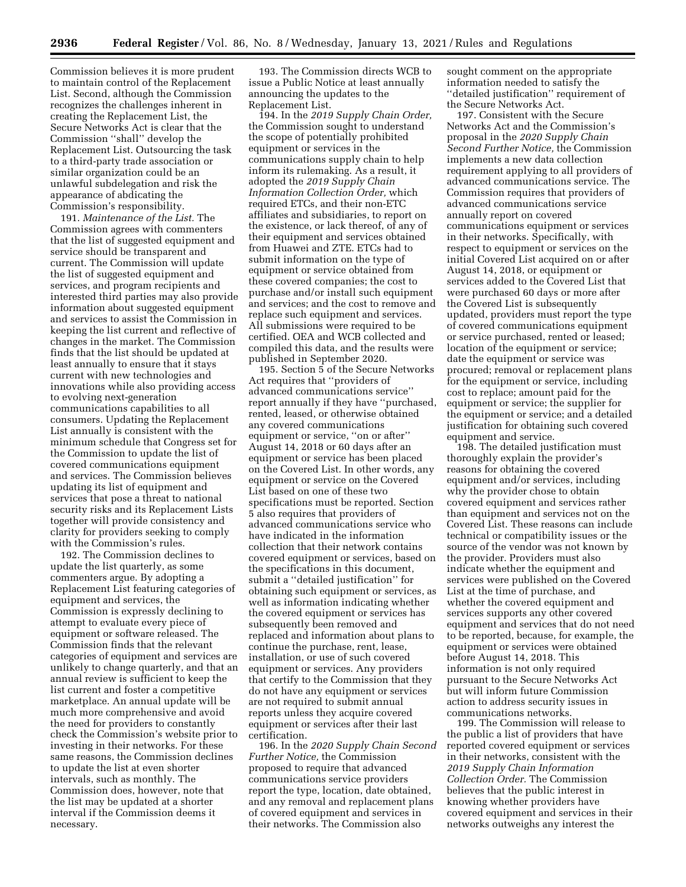Commission believes it is more prudent to maintain control of the Replacement List. Second, although the Commission recognizes the challenges inherent in creating the Replacement List, the Secure Networks Act is clear that the Commission ''shall'' develop the Replacement List. Outsourcing the task to a third-party trade association or similar organization could be an unlawful subdelegation and risk the appearance of abdicating the Commission's responsibility.

191. *Maintenance of the List.* The Commission agrees with commenters that the list of suggested equipment and service should be transparent and current. The Commission will update the list of suggested equipment and services, and program recipients and interested third parties may also provide information about suggested equipment and services to assist the Commission in keeping the list current and reflective of changes in the market. The Commission finds that the list should be updated at least annually to ensure that it stays current with new technologies and innovations while also providing access to evolving next-generation communications capabilities to all consumers. Updating the Replacement List annually is consistent with the minimum schedule that Congress set for the Commission to update the list of covered communications equipment and services. The Commission believes updating its list of equipment and services that pose a threat to national security risks and its Replacement Lists together will provide consistency and clarity for providers seeking to comply with the Commission's rules.

192. The Commission declines to update the list quarterly, as some commenters argue. By adopting a Replacement List featuring categories of equipment and services, the Commission is expressly declining to attempt to evaluate every piece of equipment or software released. The Commission finds that the relevant categories of equipment and services are unlikely to change quarterly, and that an annual review is sufficient to keep the list current and foster a competitive marketplace. An annual update will be much more comprehensive and avoid the need for providers to constantly check the Commission's website prior to investing in their networks. For these same reasons, the Commission declines to update the list at even shorter intervals, such as monthly. The Commission does, however, note that the list may be updated at a shorter interval if the Commission deems it necessary.

193. The Commission directs WCB to issue a Public Notice at least annually announcing the updates to the Replacement List.

194. In the *2019 Supply Chain Order,*  the Commission sought to understand the scope of potentially prohibited equipment or services in the communications supply chain to help inform its rulemaking. As a result, it adopted the *2019 Supply Chain Information Collection Order,* which required ETCs, and their non-ETC affiliates and subsidiaries, to report on the existence, or lack thereof, of any of their equipment and services obtained from Huawei and ZTE. ETCs had to submit information on the type of equipment or service obtained from these covered companies; the cost to purchase and/or install such equipment and services; and the cost to remove and replace such equipment and services. All submissions were required to be certified. OEA and WCB collected and compiled this data, and the results were published in September 2020.

195. Section 5 of the Secure Networks Act requires that ''providers of advanced communications service'' report annually if they have ''purchased, rented, leased, or otherwise obtained any covered communications equipment or service, ''on or after'' August 14, 2018 or 60 days after an equipment or service has been placed on the Covered List. In other words, any equipment or service on the Covered List based on one of these two specifications must be reported. Section 5 also requires that providers of advanced communications service who have indicated in the information collection that their network contains covered equipment or services, based on the specifications in this document, submit a ''detailed justification'' for obtaining such equipment or services, as well as information indicating whether the covered equipment or services has subsequently been removed and replaced and information about plans to continue the purchase, rent, lease, installation, or use of such covered equipment or services. Any providers that certify to the Commission that they do not have any equipment or services are not required to submit annual reports unless they acquire covered equipment or services after their last certification.

196. In the *2020 Supply Chain Second Further Notice,* the Commission proposed to require that advanced communications service providers report the type, location, date obtained, and any removal and replacement plans of covered equipment and services in their networks. The Commission also

sought comment on the appropriate information needed to satisfy the ''detailed justification'' requirement of the Secure Networks Act.

197. Consistent with the Secure Networks Act and the Commission's proposal in the *2020 Supply Chain Second Further Notice,* the Commission implements a new data collection requirement applying to all providers of advanced communications service. The Commission requires that providers of advanced communications service annually report on covered communications equipment or services in their networks. Specifically, with respect to equipment or services on the initial Covered List acquired on or after August 14, 2018, or equipment or services added to the Covered List that were purchased 60 days or more after the Covered List is subsequently updated, providers must report the type of covered communications equipment or service purchased, rented or leased; location of the equipment or service; date the equipment or service was procured; removal or replacement plans for the equipment or service, including cost to replace; amount paid for the equipment or service; the supplier for the equipment or service; and a detailed justification for obtaining such covered equipment and service.

198. The detailed justification must thoroughly explain the provider's reasons for obtaining the covered equipment and/or services, including why the provider chose to obtain covered equipment and services rather than equipment and services not on the Covered List. These reasons can include technical or compatibility issues or the source of the vendor was not known by the provider. Providers must also indicate whether the equipment and services were published on the Covered List at the time of purchase, and whether the covered equipment and services supports any other covered equipment and services that do not need to be reported, because, for example, the equipment or services were obtained before August 14, 2018. This information is not only required pursuant to the Secure Networks Act but will inform future Commission action to address security issues in communications networks.

199. The Commission will release to the public a list of providers that have reported covered equipment or services in their networks, consistent with the *2019 Supply Chain Information Collection Order.* The Commission believes that the public interest in knowing whether providers have covered equipment and services in their networks outweighs any interest the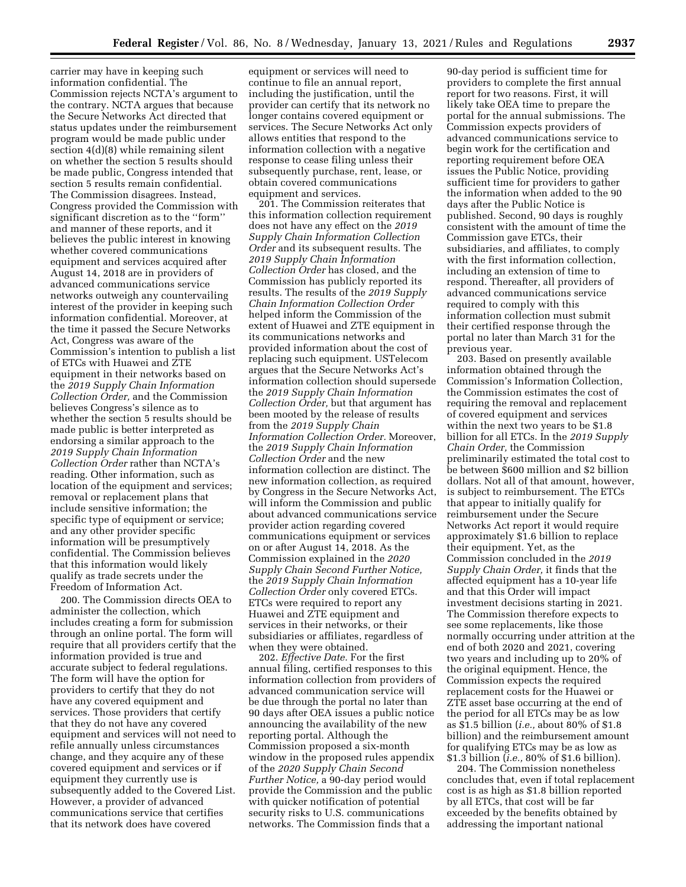carrier may have in keeping such information confidential. The Commission rejects NCTA's argument to the contrary. NCTA argues that because the Secure Networks Act directed that status updates under the reimbursement program would be made public under section 4(d)(8) while remaining silent on whether the section 5 results should be made public, Congress intended that section 5 results remain confidential. The Commission disagrees. Instead, Congress provided the Commission with significant discretion as to the ''form'' and manner of these reports, and it believes the public interest in knowing whether covered communications equipment and services acquired after August 14, 2018 are in providers of advanced communications service networks outweigh any countervailing interest of the provider in keeping such information confidential. Moreover, at the time it passed the Secure Networks Act, Congress was aware of the Commission's intention to publish a list of ETCs with Huawei and ZTE equipment in their networks based on the *2019 Supply Chain Information Collection Order,* and the Commission believes Congress's silence as to whether the section 5 results should be made public is better interpreted as endorsing a similar approach to the *2019 Supply Chain Information Collection Order* rather than NCTA's reading. Other information, such as location of the equipment and services; removal or replacement plans that include sensitive information; the specific type of equipment or service; and any other provider specific information will be presumptively confidential. The Commission believes that this information would likely qualify as trade secrets under the Freedom of Information Act.

200. The Commission directs OEA to administer the collection, which includes creating a form for submission through an online portal. The form will require that all providers certify that the information provided is true and accurate subject to federal regulations. The form will have the option for providers to certify that they do not have any covered equipment and services. Those providers that certify that they do not have any covered equipment and services will not need to refile annually unless circumstances change, and they acquire any of these covered equipment and services or if equipment they currently use is subsequently added to the Covered List. However, a provider of advanced communications service that certifies that its network does have covered

equipment or services will need to continue to file an annual report, including the justification, until the provider can certify that its network no longer contains covered equipment or services. The Secure Networks Act only allows entities that respond to the information collection with a negative response to cease filing unless their subsequently purchase, rent, lease, or obtain covered communications equipment and services.

201. The Commission reiterates that this information collection requirement does not have any effect on the *2019 Supply Chain Information Collection Order* and its subsequent results. The *2019 Supply Chain Information Collection Order* has closed, and the Commission has publicly reported its results. The results of the *2019 Supply Chain Information Collection Order*  helped inform the Commission of the extent of Huawei and ZTE equipment in its communications networks and provided information about the cost of replacing such equipment. USTelecom argues that the Secure Networks Act's information collection should supersede the *2019 Supply Chain Information Collection Order,* but that argument has been mooted by the release of results from the *2019 Supply Chain Information Collection Order.* Moreover, the *2019 Supply Chain Information Collection Order* and the new information collection are distinct. The new information collection, as required by Congress in the Secure Networks Act, will inform the Commission and public about advanced communications service provider action regarding covered communications equipment or services on or after August 14, 2018. As the Commission explained in the *2020 Supply Chain Second Further Notice,*  the *2019 Supply Chain Information Collection Order* only covered ETCs. ETCs were required to report any Huawei and ZTE equipment and services in their networks, or their subsidiaries or affiliates, regardless of when they were obtained.

202. *Effective Date.* For the first annual filing, certified responses to this information collection from providers of advanced communication service will be due through the portal no later than 90 days after OEA issues a public notice announcing the availability of the new reporting portal. Although the Commission proposed a six-month window in the proposed rules appendix of the *2020 Supply Chain Second Further Notice,* a 90-day period would provide the Commission and the public with quicker notification of potential security risks to U.S. communications networks. The Commission finds that a

90-day period is sufficient time for providers to complete the first annual report for two reasons. First, it will likely take OEA time to prepare the portal for the annual submissions. The Commission expects providers of advanced communications service to begin work for the certification and reporting requirement before OEA issues the Public Notice, providing sufficient time for providers to gather the information when added to the 90 days after the Public Notice is published. Second, 90 days is roughly consistent with the amount of time the Commission gave ETCs, their subsidiaries, and affiliates, to comply with the first information collection, including an extension of time to respond. Thereafter, all providers of advanced communications service required to comply with this information collection must submit their certified response through the portal no later than March 31 for the previous year.

203. Based on presently available information obtained through the Commission's Information Collection, the Commission estimates the cost of requiring the removal and replacement of covered equipment and services within the next two years to be \$1.8 billion for all ETCs. In the *2019 Supply Chain Order,* the Commission preliminarily estimated the total cost to be between \$600 million and \$2 billion dollars. Not all of that amount, however, is subject to reimbursement. The ETCs that appear to initially qualify for reimbursement under the Secure Networks Act report it would require approximately \$1.6 billion to replace their equipment. Yet, as the Commission concluded in the *2019 Supply Chain Order,* it finds that the affected equipment has a 10-year life and that this Order will impact investment decisions starting in 2021. The Commission therefore expects to see some replacements, like those normally occurring under attrition at the end of both 2020 and 2021, covering two years and including up to 20% of the original equipment. Hence, the Commission expects the required replacement costs for the Huawei or ZTE asset base occurring at the end of the period for all ETCs may be as low as \$1.5 billion (*i.e.,* about 80% of \$1.8 billion) and the reimbursement amount for qualifying ETCs may be as low as \$1.3 billion (*i.e.,* 80% of \$1.6 billion).

204. The Commission nonetheless concludes that, even if total replacement cost is as high as \$1.8 billion reported by all ETCs, that cost will be far exceeded by the benefits obtained by addressing the important national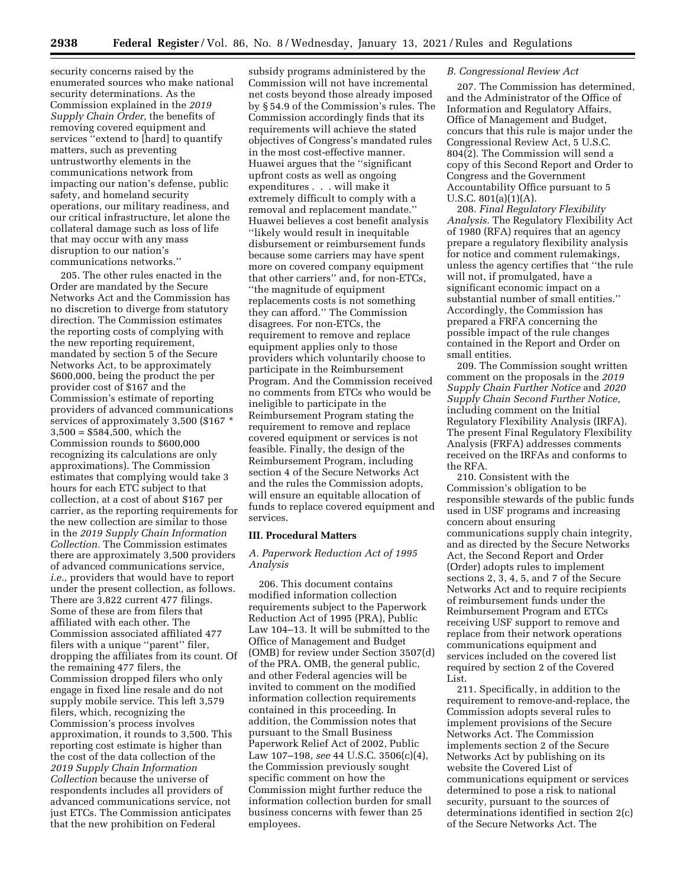security concerns raised by the enumerated sources who make national security determinations. As the Commission explained in the *2019 Supply Chain Order,* the benefits of removing covered equipment and services ''extend to [hard] to quantify matters, such as preventing untrustworthy elements in the communications network from impacting our nation's defense, public safety, and homeland security operations, our military readiness, and our critical infrastructure, let alone the collateral damage such as loss of life that may occur with any mass disruption to our nation's communications networks.''

205. The other rules enacted in the Order are mandated by the Secure Networks Act and the Commission has no discretion to diverge from statutory direction. The Commission estimates the reporting costs of complying with the new reporting requirement, mandated by section 5 of the Secure Networks Act, to be approximately \$600,000, being the product the per provider cost of \$167 and the Commission's estimate of reporting providers of advanced communications services of approximately 3,500 (\$167 \* 3,500 = \$584,500, which the Commission rounds to \$600,000 recognizing its calculations are only approximations). The Commission estimates that complying would take 3 hours for each ETC subject to that collection, at a cost of about \$167 per carrier, as the reporting requirements for the new collection are similar to those in the *2019 Supply Chain Information Collection.* The Commission estimates there are approximately 3,500 providers of advanced communications service, *i.e.,* providers that would have to report under the present collection, as follows. There are 3,822 current 477 filings. Some of these are from filers that affiliated with each other. The Commission associated affiliated 477 filers with a unique "parent" filer, dropping the affiliates from its count. Of the remaining 477 filers, the Commission dropped filers who only engage in fixed line resale and do not supply mobile service. This left 3,579 filers, which, recognizing the Commission's process involves approximation, it rounds to 3,500. This reporting cost estimate is higher than the cost of the data collection of the *2019 Supply Chain Information Collection* because the universe of respondents includes all providers of advanced communications service, not just ETCs. The Commission anticipates that the new prohibition on Federal

subsidy programs administered by the Commission will not have incremental net costs beyond those already imposed by § 54.9 of the Commission's rules. The Commission accordingly finds that its requirements will achieve the stated objectives of Congress's mandated rules in the most cost-effective manner. Huawei argues that the ''significant upfront costs as well as ongoing expenditures . . . will make it extremely difficult to comply with a removal and replacement mandate.'' Huawei believes a cost benefit analysis ''likely would result in inequitable disbursement or reimbursement funds because some carriers may have spent more on covered company equipment that other carriers'' and, for non-ETCs, ''the magnitude of equipment replacements costs is not something they can afford.'' The Commission disagrees. For non-ETCs, the requirement to remove and replace equipment applies only to those providers which voluntarily choose to participate in the Reimbursement Program. And the Commission received no comments from ETCs who would be ineligible to participate in the Reimbursement Program stating the requirement to remove and replace covered equipment or services is not feasible. Finally, the design of the Reimbursement Program, including section 4 of the Secure Networks Act and the rules the Commission adopts, will ensure an equitable allocation of funds to replace covered equipment and services.

## **III. Procedural Matters**

# *A. Paperwork Reduction Act of 1995 Analysis*

206. This document contains modified information collection requirements subject to the Paperwork Reduction Act of 1995 (PRA), Public Law 104–13. It will be submitted to the Office of Management and Budget (OMB) for review under Section 3507(d) of the PRA. OMB, the general public, and other Federal agencies will be invited to comment on the modified information collection requirements contained in this proceeding. In addition, the Commission notes that pursuant to the Small Business Paperwork Relief Act of 2002, Public Law 107–198, *see* 44 U.S.C. 3506(c)(4), the Commission previously sought specific comment on how the Commission might further reduce the information collection burden for small business concerns with fewer than 25 employees.

#### *B. Congressional Review Act*

207. The Commission has determined, and the Administrator of the Office of Information and Regulatory Affairs, Office of Management and Budget, concurs that this rule is major under the Congressional Review Act, 5 U.S.C. 804(2). The Commission will send a copy of this Second Report and Order to Congress and the Government Accountability Office pursuant to 5 U.S.C. 801(a)(1)(A).

208. *Final Regulatory Flexibility Analysis.* The Regulatory Flexibility Act of 1980 (RFA) requires that an agency prepare a regulatory flexibility analysis for notice and comment rulemakings, unless the agency certifies that ''the rule will not, if promulgated, have a significant economic impact on a substantial number of small entities.'' Accordingly, the Commission has prepared a FRFA concerning the possible impact of the rule changes contained in the Report and Order on small entities.

209. The Commission sought written comment on the proposals in the *2019 Supply Chain Further Notice* and *2020 Supply Chain Second Further Notice,*  including comment on the Initial Regulatory Flexibility Analysis (IRFA). The present Final Regulatory Flexibility Analysis (FRFA) addresses comments received on the IRFAs and conforms to the RFA.

210. Consistent with the Commission's obligation to be responsible stewards of the public funds used in USF programs and increasing concern about ensuring communications supply chain integrity, and as directed by the Secure Networks Act, the Second Report and Order (Order) adopts rules to implement sections 2, 3, 4, 5, and 7 of the Secure Networks Act and to require recipients of reimbursement funds under the Reimbursement Program and ETCs receiving USF support to remove and replace from their network operations communications equipment and services included on the covered list required by section 2 of the Covered List.

211. Specifically, in addition to the requirement to remove-and-replace, the Commission adopts several rules to implement provisions of the Secure Networks Act. The Commission implements section 2 of the Secure Networks Act by publishing on its website the Covered List of communications equipment or services determined to pose a risk to national security, pursuant to the sources of determinations identified in section 2(c) of the Secure Networks Act. The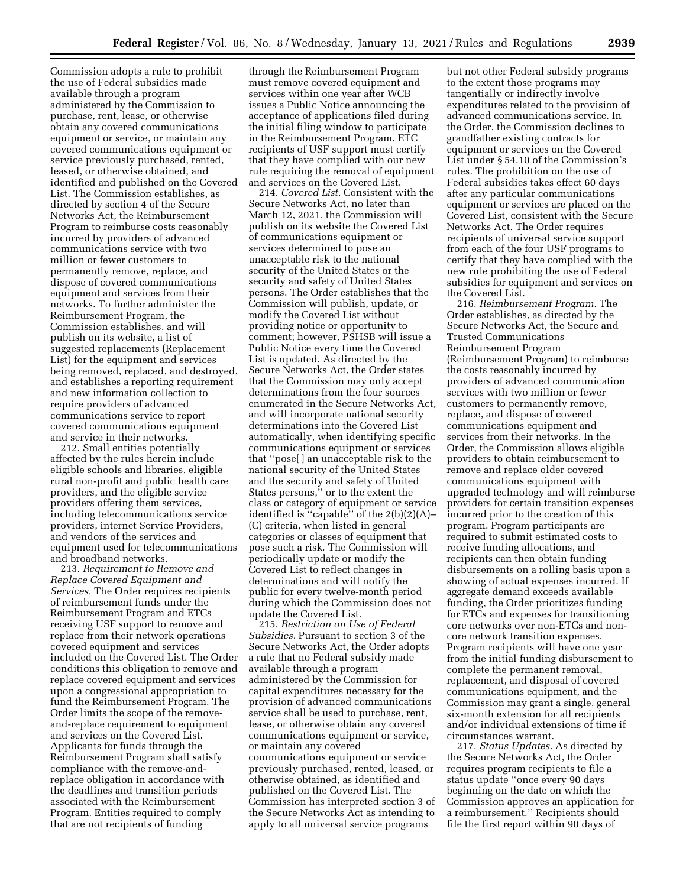Commission adopts a rule to prohibit the use of Federal subsidies made available through a program administered by the Commission to purchase, rent, lease, or otherwise obtain any covered communications equipment or service, or maintain any covered communications equipment or service previously purchased, rented, leased, or otherwise obtained, and identified and published on the Covered List. The Commission establishes, as directed by section 4 of the Secure Networks Act, the Reimbursement Program to reimburse costs reasonably incurred by providers of advanced communications service with two million or fewer customers to permanently remove, replace, and dispose of covered communications equipment and services from their networks. To further administer the Reimbursement Program, the Commission establishes, and will publish on its website, a list of suggested replacements (Replacement List) for the equipment and services being removed, replaced, and destroyed, and establishes a reporting requirement and new information collection to require providers of advanced communications service to report covered communications equipment and service in their networks.

212. Small entities potentially affected by the rules herein include eligible schools and libraries, eligible rural non-profit and public health care providers, and the eligible service providers offering them services, including telecommunications service providers, internet Service Providers, and vendors of the services and equipment used for telecommunications and broadband networks.

213. *Requirement to Remove and Replace Covered Equipment and Services.* The Order requires recipients of reimbursement funds under the Reimbursement Program and ETCs receiving USF support to remove and replace from their network operations covered equipment and services included on the Covered List. The Order conditions this obligation to remove and replace covered equipment and services upon a congressional appropriation to fund the Reimbursement Program. The Order limits the scope of the removeand-replace requirement to equipment and services on the Covered List. Applicants for funds through the Reimbursement Program shall satisfy compliance with the remove-andreplace obligation in accordance with the deadlines and transition periods associated with the Reimbursement Program. Entities required to comply that are not recipients of funding

through the Reimbursement Program must remove covered equipment and services within one year after WCB issues a Public Notice announcing the acceptance of applications filed during the initial filing window to participate in the Reimbursement Program. ETC recipients of USF support must certify that they have complied with our new rule requiring the removal of equipment and services on the Covered List.

214. *Covered List.* Consistent with the Secure Networks Act, no later than March 12, 2021, the Commission will publish on its website the Covered List of communications equipment or services determined to pose an unacceptable risk to the national security of the United States or the security and safety of United States persons. The Order establishes that the Commission will publish, update, or modify the Covered List without providing notice or opportunity to comment; however, PSHSB will issue a Public Notice every time the Covered List is updated. As directed by the Secure Networks Act, the Order states that the Commission may only accept determinations from the four sources enumerated in the Secure Networks Act, and will incorporate national security determinations into the Covered List automatically, when identifying specific communications equipment or services that ''pose[ ] an unacceptable risk to the national security of the United States and the security and safety of United States persons,'' or to the extent the class or category of equipment or service identified is ''capable'' of the 2(b)(2)(A)– (C) criteria, when listed in general categories or classes of equipment that pose such a risk. The Commission will periodically update or modify the Covered List to reflect changes in determinations and will notify the public for every twelve-month period during which the Commission does not update the Covered List.

215. *Restriction on Use of Federal Subsidies.* Pursuant to section 3 of the Secure Networks Act, the Order adopts a rule that no Federal subsidy made available through a program administered by the Commission for capital expenditures necessary for the provision of advanced communications service shall be used to purchase, rent, lease, or otherwise obtain any covered communications equipment or service, or maintain any covered communications equipment or service previously purchased, rented, leased, or otherwise obtained, as identified and published on the Covered List. The Commission has interpreted section 3 of the Secure Networks Act as intending to apply to all universal service programs

but not other Federal subsidy programs to the extent those programs may tangentially or indirectly involve expenditures related to the provision of advanced communications service. In the Order, the Commission declines to grandfather existing contracts for equipment or services on the Covered List under § 54.10 of the Commission's rules. The prohibition on the use of Federal subsidies takes effect 60 days after any particular communications equipment or services are placed on the Covered List, consistent with the Secure Networks Act. The Order requires recipients of universal service support from each of the four USF programs to certify that they have complied with the new rule prohibiting the use of Federal subsidies for equipment and services on the Covered List.

216. *Reimbursement Program.* The Order establishes, as directed by the Secure Networks Act, the Secure and Trusted Communications Reimbursement Program (Reimbursement Program) to reimburse the costs reasonably incurred by providers of advanced communication services with two million or fewer customers to permanently remove, replace, and dispose of covered communications equipment and services from their networks. In the Order, the Commission allows eligible providers to obtain reimbursement to remove and replace older covered communications equipment with upgraded technology and will reimburse providers for certain transition expenses incurred prior to the creation of this program. Program participants are required to submit estimated costs to receive funding allocations, and recipients can then obtain funding disbursements on a rolling basis upon a showing of actual expenses incurred. If aggregate demand exceeds available funding, the Order prioritizes funding for ETCs and expenses for transitioning core networks over non-ETCs and noncore network transition expenses. Program recipients will have one year from the initial funding disbursement to complete the permanent removal, replacement, and disposal of covered communications equipment, and the Commission may grant a single, general six-month extension for all recipients and/or individual extensions of time if circumstances warrant.

217. *Status Updates.* As directed by the Secure Networks Act, the Order requires program recipients to file a status update ''once every 90 days beginning on the date on which the Commission approves an application for a reimbursement.'' Recipients should file the first report within 90 days of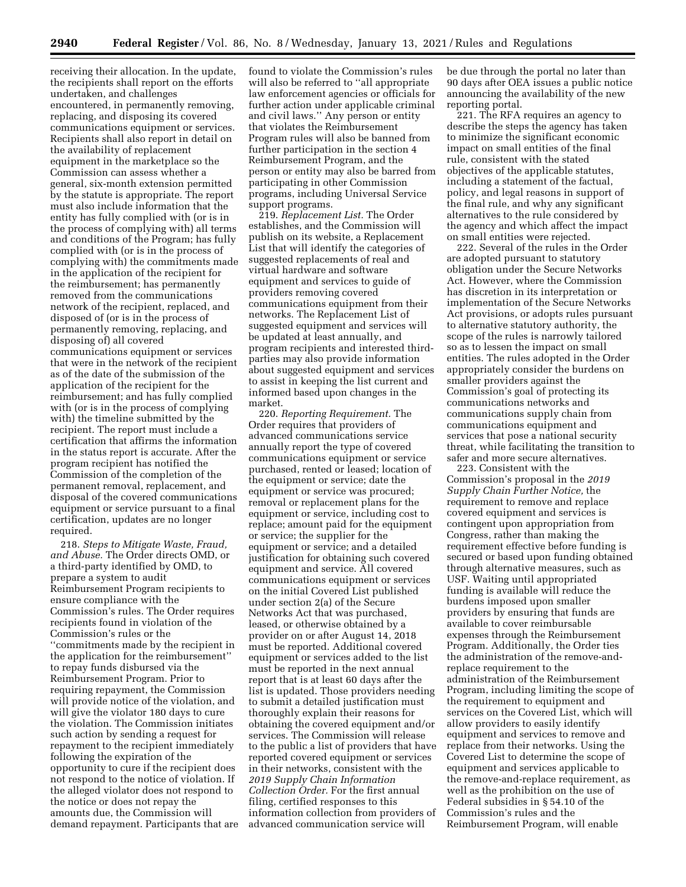receiving their allocation. In the update, the recipients shall report on the efforts undertaken, and challenges encountered, in permanently removing, replacing, and disposing its covered communications equipment or services. Recipients shall also report in detail on the availability of replacement equipment in the marketplace so the Commission can assess whether a general, six-month extension permitted by the statute is appropriate. The report must also include information that the entity has fully complied with (or is in the process of complying with) all terms and conditions of the Program; has fully complied with (or is in the process of complying with) the commitments made in the application of the recipient for the reimbursement; has permanently removed from the communications network of the recipient, replaced, and disposed of (or is in the process of permanently removing, replacing, and disposing of) all covered communications equipment or services that were in the network of the recipient as of the date of the submission of the application of the recipient for the reimbursement; and has fully complied with (or is in the process of complying with) the timeline submitted by the recipient. The report must include a certification that affirms the information in the status report is accurate. After the program recipient has notified the Commission of the completion of the permanent removal, replacement, and disposal of the covered communications equipment or service pursuant to a final certification, updates are no longer required.

218. *Steps to Mitigate Waste, Fraud, and Abuse.* The Order directs OMD, or a third-party identified by OMD, to prepare a system to audit Reimbursement Program recipients to ensure compliance with the Commission's rules. The Order requires recipients found in violation of the Commission's rules or the ''commitments made by the recipient in the application for the reimbursement'' to repay funds disbursed via the Reimbursement Program. Prior to requiring repayment, the Commission will provide notice of the violation, and will give the violator 180 days to cure the violation. The Commission initiates such action by sending a request for repayment to the recipient immediately following the expiration of the opportunity to cure if the recipient does not respond to the notice of violation. If the alleged violator does not respond to the notice or does not repay the amounts due, the Commission will demand repayment. Participants that are found to violate the Commission's rules will also be referred to ''all appropriate law enforcement agencies or officials for further action under applicable criminal and civil laws.'' Any person or entity that violates the Reimbursement Program rules will also be banned from further participation in the section 4 Reimbursement Program, and the person or entity may also be barred from participating in other Commission programs, including Universal Service support programs.

219. *Replacement List.* The Order establishes, and the Commission will publish on its website, a Replacement List that will identify the categories of suggested replacements of real and virtual hardware and software equipment and services to guide of providers removing covered communications equipment from their networks. The Replacement List of suggested equipment and services will be updated at least annually, and program recipients and interested thirdparties may also provide information about suggested equipment and services to assist in keeping the list current and informed based upon changes in the market.

220. *Reporting Requirement.* The Order requires that providers of advanced communications service annually report the type of covered communications equipment or service purchased, rented or leased; location of the equipment or service; date the equipment or service was procured; removal or replacement plans for the equipment or service, including cost to replace; amount paid for the equipment or service; the supplier for the equipment or service; and a detailed justification for obtaining such covered equipment and service. All covered communications equipment or services on the initial Covered List published under section 2(a) of the Secure Networks Act that was purchased, leased, or otherwise obtained by a provider on or after August 14, 2018 must be reported. Additional covered equipment or services added to the list must be reported in the next annual report that is at least 60 days after the list is updated. Those providers needing to submit a detailed justification must thoroughly explain their reasons for obtaining the covered equipment and/or services. The Commission will release to the public a list of providers that have reported covered equipment or services in their networks, consistent with the *2019 Supply Chain Information Collection Order.* For the first annual filing, certified responses to this information collection from providers of advanced communication service will

be due through the portal no later than 90 days after OEA issues a public notice announcing the availability of the new reporting portal.

221. The RFA requires an agency to describe the steps the agency has taken to minimize the significant economic impact on small entities of the final rule, consistent with the stated objectives of the applicable statutes, including a statement of the factual, policy, and legal reasons in support of the final rule, and why any significant alternatives to the rule considered by the agency and which affect the impact on small entities were rejected.

222. Several of the rules in the Order are adopted pursuant to statutory obligation under the Secure Networks Act. However, where the Commission has discretion in its interpretation or implementation of the Secure Networks Act provisions, or adopts rules pursuant to alternative statutory authority, the scope of the rules is narrowly tailored so as to lessen the impact on small entities. The rules adopted in the Order appropriately consider the burdens on smaller providers against the Commission's goal of protecting its communications networks and communications supply chain from communications equipment and services that pose a national security threat, while facilitating the transition to safer and more secure alternatives.

223. Consistent with the Commission's proposal in the *2019 Supply Chain Further Notice,* the requirement to remove and replace covered equipment and services is contingent upon appropriation from Congress, rather than making the requirement effective before funding is secured or based upon funding obtained through alternative measures, such as USF. Waiting until appropriated funding is available will reduce the burdens imposed upon smaller providers by ensuring that funds are available to cover reimbursable expenses through the Reimbursement Program. Additionally, the Order ties the administration of the remove-andreplace requirement to the administration of the Reimbursement Program, including limiting the scope of the requirement to equipment and services on the Covered List, which will allow providers to easily identify equipment and services to remove and replace from their networks. Using the Covered List to determine the scope of equipment and services applicable to the remove-and-replace requirement, as well as the prohibition on the use of Federal subsidies in § 54.10 of the Commission's rules and the Reimbursement Program, will enable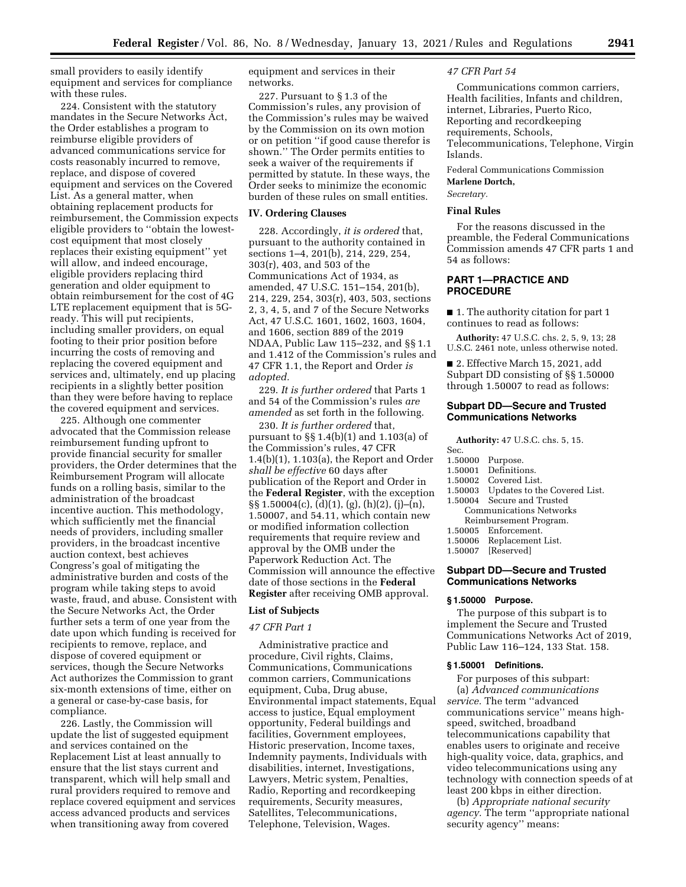small providers to easily identify equipment and services for compliance with these rules.

224. Consistent with the statutory mandates in the Secure Networks Act, the Order establishes a program to reimburse eligible providers of advanced communications service for costs reasonably incurred to remove, replace, and dispose of covered equipment and services on the Covered List. As a general matter, when obtaining replacement products for reimbursement, the Commission expects eligible providers to ''obtain the lowestcost equipment that most closely replaces their existing equipment'' yet will allow, and indeed encourage, eligible providers replacing third generation and older equipment to obtain reimbursement for the cost of 4G LTE replacement equipment that is 5Gready. This will put recipients, including smaller providers, on equal footing to their prior position before incurring the costs of removing and replacing the covered equipment and services and, ultimately, end up placing recipients in a slightly better position than they were before having to replace the covered equipment and services.

225. Although one commenter advocated that the Commission release reimbursement funding upfront to provide financial security for smaller providers, the Order determines that the Reimbursement Program will allocate funds on a rolling basis, similar to the administration of the broadcast incentive auction. This methodology, which sufficiently met the financial needs of providers, including smaller providers, in the broadcast incentive auction context, best achieves Congress's goal of mitigating the administrative burden and costs of the program while taking steps to avoid waste, fraud, and abuse. Consistent with the Secure Networks Act, the Order further sets a term of one year from the date upon which funding is received for recipients to remove, replace, and dispose of covered equipment or services, though the Secure Networks Act authorizes the Commission to grant six-month extensions of time, either on a general or case-by-case basis, for compliance.

226. Lastly, the Commission will update the list of suggested equipment and services contained on the Replacement List at least annually to ensure that the list stays current and transparent, which will help small and rural providers required to remove and replace covered equipment and services access advanced products and services when transitioning away from covered

equipment and services in their networks.

227. Pursuant to § 1.3 of the Commission's rules, any provision of the Commission's rules may be waived by the Commission on its own motion or on petition ''if good cause therefor is shown.'' The Order permits entities to seek a waiver of the requirements if permitted by statute. In these ways, the Order seeks to minimize the economic burden of these rules on small entities.

### **IV. Ordering Clauses**

228. Accordingly, *it is ordered* that, pursuant to the authority contained in sections 1–4, 201(b), 214, 229, 254, 303(r), 403, and 503 of the Communications Act of 1934, as amended, 47 U.S.C. 151–154, 201(b), 214, 229, 254, 303(r), 403, 503, sections 2, 3, 4, 5, and 7 of the Secure Networks Act, 47 U.S.C. 1601, 1602, 1603, 1604, and 1606, section 889 of the 2019 NDAA, Public Law 115–232, and §§ 1.1 and 1.412 of the Commission's rules and 47 CFR 1.1, the Report and Order *is adopted.* 

229. *It is further ordered* that Parts 1 and 54 of the Commission's rules *are amended* as set forth in the following.

230. *It is further ordered* that, pursuant to §§ 1.4(b)(1) and 1.103(a) of the Commission's rules, 47 CFR 1.4(b)(1), 1.103(a), the Report and Order *shall be effective* 60 days after publication of the Report and Order in the **Federal Register**, with the exception §§ 1.50004(c), (d)(1), (g), (h)(2), (j)–(n), 1.50007, and 54.11, which contain new or modified information collection requirements that require review and approval by the OMB under the Paperwork Reduction Act. The Commission will announce the effective date of those sections in the **Federal Register** after receiving OMB approval.

#### **List of Subjects**

## *47 CFR Part 1*

Administrative practice and procedure, Civil rights, Claims, Communications, Communications common carriers, Communications equipment, Cuba, Drug abuse, Environmental impact statements, Equal access to justice, Equal employment opportunity, Federal buildings and facilities, Government employees, Historic preservation, Income taxes, Indemnity payments, Individuals with disabilities, internet, Investigations, Lawyers, Metric system, Penalties, Radio, Reporting and recordkeeping requirements, Security measures, Satellites, Telecommunications, Telephone, Television, Wages.

#### *47 CFR Part 54*

Communications common carriers, Health facilities, Infants and children, internet, Libraries, Puerto Rico, Reporting and recordkeeping requirements, Schools, Telecommunications, Telephone, Virgin Islands.

Federal Communications Commission **Marlene Dortch,** 

# *Secretary.*

# **Final Rules**

For the reasons discussed in the preamble, the Federal Communications Commission amends 47 CFR parts 1 and 54 as follows:

# **PART 1—PRACTICE AND PROCEDURE**

■ 1. The authority citation for part 1 continues to read as follows:

**Authority:** 47 U.S.C. chs. 2, 5, 9, 13; 28 U.S.C. 2461 note, unless otherwise noted.

■ 2. Effective March 15, 2021, add Subpart DD consisting of §§ 1.50000 through 1.50007 to read as follows:

# **Subpart DD—Secure and Trusted Communications Networks**

**Authority:** 47 U.S.C. chs. 5, 15.

- 1.50000 Purpose.
- 1.50001 Definitions.<br>1.50002 Covered Lis
	-
- 1.50002 Covered List.<br>1.50003 Updates to th Updates to the Covered List.
- 1.50004 Secure and Trusted Communications Networks
	- Reimbursement Program.
	-
- 1.50005 Enforcement.<br>1.50006 Replacement 1.50006 Replacement List.<br>1.50007 [Reserved]
- [Reserved]

## **Subpart DD—Secure and Trusted Communications Networks**

#### **§ 1.50000 Purpose.**

The purpose of this subpart is to implement the Secure and Trusted Communications Networks Act of 2019, Public Law 116–124, 133 Stat. 158.

## **§ 1.50001 Definitions.**

For purposes of this subpart: (a) *Advanced communications service.* The term ''advanced communications service'' means highspeed, switched, broadband telecommunications capability that enables users to originate and receive high-quality voice, data, graphics, and video telecommunications using any technology with connection speeds of at least 200 kbps in either direction.

(b) *Appropriate national security agency.* The term ''appropriate national security agency'' means: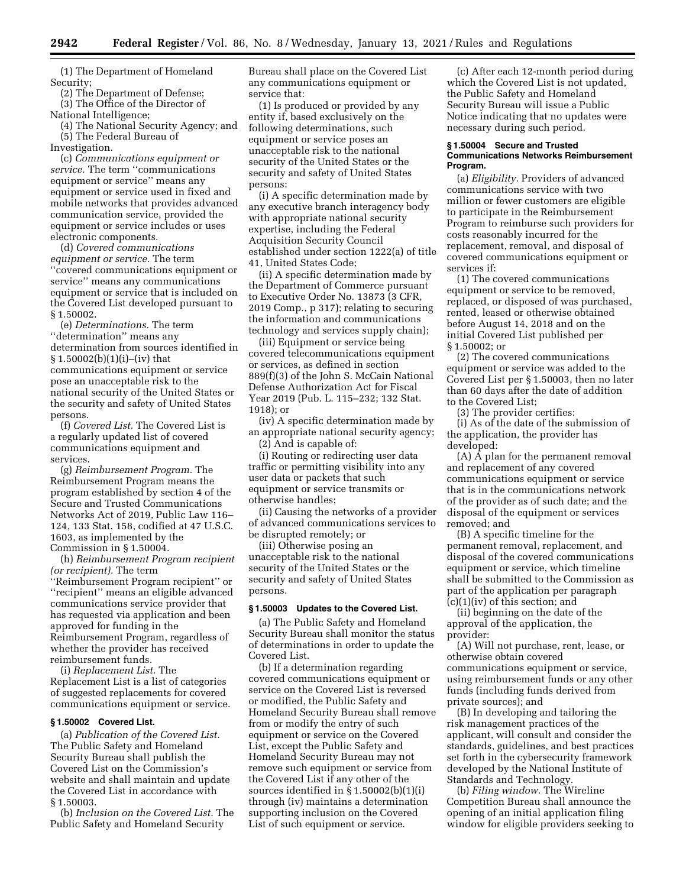(1) The Department of Homeland Security;

(2) The Department of Defense; (3) The Office of the Director of National Intelligence;

(4) The National Security Agency; and (5) The Federal Bureau of

Investigation.

(c) *Communications equipment or service.* The term ''communications equipment or service'' means any equipment or service used in fixed and mobile networks that provides advanced communication service, provided the equipment or service includes or uses electronic components.

(d) *Covered communications equipment or service.* The term ''covered communications equipment or service'' means any communications equipment or service that is included on the Covered List developed pursuant to § 1.50002.

(e) *Determinations.* The term ''determination'' means any determination from sources identified in § 1.50002(b)(1)(i)–(iv) that communications equipment or service pose an unacceptable risk to the national security of the United States or the security and safety of United States persons.

(f) *Covered List.* The Covered List is a regularly updated list of covered communications equipment and services.

(g) *Reimbursement Program.* The Reimbursement Program means the program established by section 4 of the Secure and Trusted Communications Networks Act of 2019, Public Law 116– 124, 133 Stat. 158, codified at 47 U.S.C. 1603, as implemented by the Commission in § 1.50004.

(h) *Reimbursement Program recipient (or recipient).* The term

''Reimbursement Program recipient'' or ''recipient'' means an eligible advanced communications service provider that has requested via application and been approved for funding in the Reimbursement Program, regardless of whether the provider has received reimbursement funds.

(i) *Replacement List.* The Replacement List is a list of categories of suggested replacements for covered communications equipment or service.

# **§ 1.50002 Covered List.**

(a) *Publication of the Covered List.*  The Public Safety and Homeland Security Bureau shall publish the Covered List on the Commission's website and shall maintain and update the Covered List in accordance with § 1.50003.

(b) *Inclusion on the Covered List.* The Public Safety and Homeland Security

Bureau shall place on the Covered List any communications equipment or service that:

(1) Is produced or provided by any entity if, based exclusively on the following determinations, such equipment or service poses an unacceptable risk to the national security of the United States or the security and safety of United States persons:

(i) A specific determination made by any executive branch interagency body with appropriate national security expertise, including the Federal Acquisition Security Council established under section 1222(a) of title 41, United States Code;

(ii) A specific determination made by the Department of Commerce pursuant to Executive Order No. 13873 (3 CFR, 2019 Comp., p 317); relating to securing the information and communications technology and services supply chain);

(iii) Equipment or service being covered telecommunications equipment or services, as defined in section 889(f)(3) of the John S. McCain National Defense Authorization Act for Fiscal Year 2019 (Pub. L. 115–232; 132 Stat. 1918); or

(iv) A specific determination made by an appropriate national security agency;

(2) And is capable of:

(i) Routing or redirecting user data traffic or permitting visibility into any user data or packets that such equipment or service transmits or otherwise handles;

(ii) Causing the networks of a provider of advanced communications services to be disrupted remotely; or

(iii) Otherwise posing an unacceptable risk to the national security of the United States or the security and safety of United States persons.

## **§ 1.50003 Updates to the Covered List.**

(a) The Public Safety and Homeland Security Bureau shall monitor the status of determinations in order to update the Covered List.

(b) If a determination regarding covered communications equipment or service on the Covered List is reversed or modified, the Public Safety and Homeland Security Bureau shall remove from or modify the entry of such equipment or service on the Covered List, except the Public Safety and Homeland Security Bureau may not remove such equipment or service from the Covered List if any other of the sources identified in § 1.50002(b)(1)(i) through (iv) maintains a determination supporting inclusion on the Covered List of such equipment or service.

(c) After each 12-month period during which the Covered List is not updated, the Public Safety and Homeland Security Bureau will issue a Public Notice indicating that no updates were necessary during such period.

### **§ 1.50004 Secure and Trusted Communications Networks Reimbursement Program.**

(a) *Eligibility.* Providers of advanced communications service with two million or fewer customers are eligible to participate in the Reimbursement Program to reimburse such providers for costs reasonably incurred for the replacement, removal, and disposal of covered communications equipment or services if:

(1) The covered communications equipment or service to be removed, replaced, or disposed of was purchased, rented, leased or otherwise obtained before August 14, 2018 and on the initial Covered List published per § 1.50002; or

(2) The covered communications equipment or service was added to the Covered List per § 1.50003, then no later than 60 days after the date of addition to the Covered List;

(3) The provider certifies:

(i) As of the date of the submission of the application, the provider has developed:

 $(A)$   $\overline{A}$  plan for the permanent removal and replacement of any covered communications equipment or service that is in the communications network of the provider as of such date; and the disposal of the equipment or services removed; and

(B) A specific timeline for the permanent removal, replacement, and disposal of the covered communications equipment or service, which timeline shall be submitted to the Commission as part of the application per paragraph (c)(1)(iv) of this section; and

(ii) beginning on the date of the approval of the application, the provider:

(A) Will not purchase, rent, lease, or otherwise obtain covered communications equipment or service, using reimbursement funds or any other funds (including funds derived from private sources); and

(B) In developing and tailoring the risk management practices of the applicant, will consult and consider the standards, guidelines, and best practices set forth in the cybersecurity framework developed by the National Institute of Standards and Technology.

(b) *Filing window.* The Wireline Competition Bureau shall announce the opening of an initial application filing window for eligible providers seeking to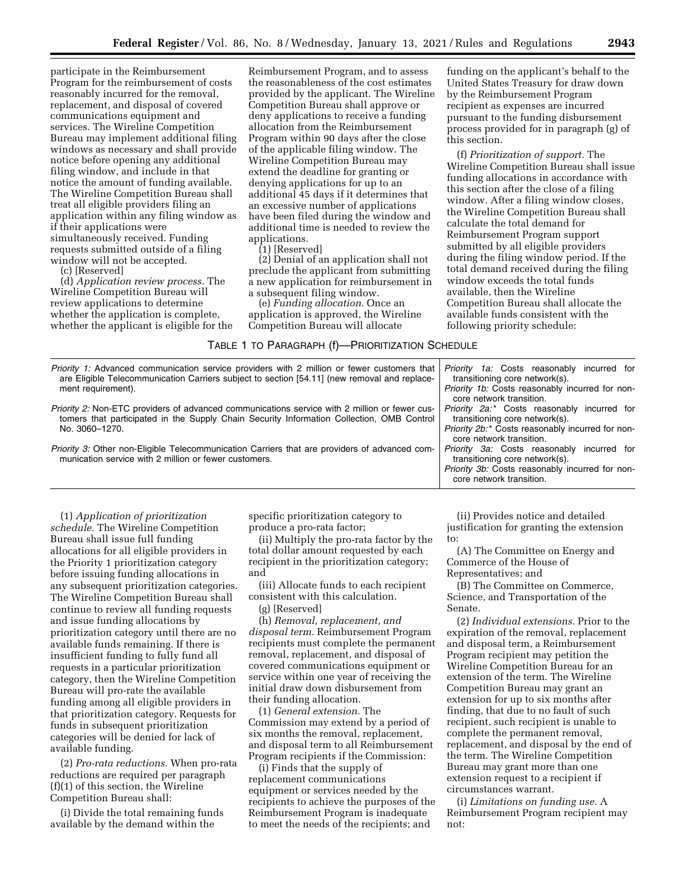participate in the Reimbursement Program for the reimbursement of costs reasonably incurred for the removal, replacement, and disposal of covered communications equipment and services. The Wireline Competition Bureau may implement additional filing windows as necessary and shall provide notice before opening any additional filing window, and include in that notice the amount of funding available. The Wireline Competition Bureau shall treat all eligible providers filing an application within any filing window as if their applications were simultaneously received. Funding requests submitted outside of a filing window will not be accepted.

(c) [Reserved]

(d) *Application review process.* The Wireline Competition Bureau will review applications to determine whether the application is complete, whether the applicant is eligible for the

Reimbursement Program, and to assess the reasonableness of the cost estimates provided by the applicant. The Wireline Competition Bureau shall approve or deny applications to receive a funding allocation from the Reimbursement Program within 90 days after the close of the applicable filing window. The Wireline Competition Bureau may extend the deadline for granting or denying applications for up to an additional 45 days if it determines that an excessive number of applications have been filed during the window and additional time is needed to review the applications.

(1) [Reserved]

(2) Denial of an application shall not preclude the applicant from submitting a new application for reimbursement in a subsequent filing window.

(e) *Funding allocation.* Once an application is approved, the Wireline Competition Bureau will allocate

# TABLE 1 TO PARAGRAPH (f)—PRIORITIZATION SCHEDULE

| <i>Priority 1:</i> Advanced communication service providers with 2 million or fewer customers that<br>are Eligible Telecommunication Carriers subject to section [54.11] (new removal and replace-<br>ment requirement). | <i>Priority 1a:</i> Costs reasonably incurred for<br>transitioning core network(s). |
|--------------------------------------------------------------------------------------------------------------------------------------------------------------------------------------------------------------------------|-------------------------------------------------------------------------------------|
|                                                                                                                                                                                                                          | Priority 1b: Costs reasonably incurred for non-<br>core network transition.         |
| <i>Priority 2:</i> Non-ETC providers of advanced communications service with 2 million or fewer cus-<br>tomers that participated in the Supply Chain Security Information Collection, OMB Control<br>No. 3060-1270.      | Priority 2a.* Costs reasonably incurred for<br>transitioning core network(s).       |
|                                                                                                                                                                                                                          | Priority 2b:* Costs reasonably incurred for non-<br>core network transition.        |
| <i>Priority 3:</i> Other non-Eligible Telecommunication Carriers that are providers of advanced com-<br>munication service with 2 million or fewer customers.                                                            | Priority 3a: Costs reasonably incurred for<br>transitioning core network(s).        |
|                                                                                                                                                                                                                          | <i>Priority 3b:</i> Costs reasonably incurred for non-<br>core network transition.  |

(1) *Application of prioritization schedule.* The Wireline Competition Bureau shall issue full funding allocations for all eligible providers in the Priority 1 prioritization category before issuing funding allocations in any subsequent prioritization categories. The Wireline Competition Bureau shall continue to review all funding requests and issue funding allocations by prioritization category until there are no available funds remaining. If there is insufficient funding to fully fund all requests in a particular prioritization category, then the Wireline Competition Bureau will pro-rate the available funding among all eligible providers in that prioritization category. Requests for funds in subsequent prioritization categories will be denied for lack of available funding.

(2) *Pro-rata reductions.* When pro-rata reductions are required per paragraph (f)(1) of this section, the Wireline Competition Bureau shall:

(i) Divide the total remaining funds available by the demand within the

specific prioritization category to produce a pro-rata factor;

(ii) Multiply the pro-rata factor by the total dollar amount requested by each recipient in the prioritization category; and

(iii) Allocate funds to each recipient consistent with this calculation.

(g) [Reserved]

(h) *Removal, replacement, and disposal term.* Reimbursement Program recipients must complete the permanent removal, replacement, and disposal of covered communications equipment or service within one year of receiving the initial draw down disbursement from their funding allocation.

(1) *General extension.* The Commission may extend by a period of six months the removal, replacement, and disposal term to all Reimbursement Program recipients if the Commission:

(i) Finds that the supply of replacement communications equipment or services needed by the recipients to achieve the purposes of the Reimbursement Program is inadequate to meet the needs of the recipients; and

(ii) Provides notice and detailed justification for granting the extension to:

(A) The Committee on Energy and Commerce of the House of Representatives; and

(B) The Committee on Commerce, Science, and Transportation of the Senate.

(2) *Individual extensions.* Prior to the expiration of the removal, replacement and disposal term, a Reimbursement Program recipient may petition the Wireline Competition Bureau for an extension of the term. The Wireline Competition Bureau may grant an extension for up to six months after finding, that due to no fault of such recipient, such recipient is unable to complete the permanent removal, replacement, and disposal by the end of the term. The Wireline Competition Bureau may grant more than one extension request to a recipient if circumstances warrant.

(i) *Limitations on funding use.* A Reimbursement Program recipient may not:

funding on the applicant's behalf to the United States Treasury for draw down by the Reimbursement Program recipient as expenses are incurred pursuant to the funding disbursement process provided for in paragraph (g) of

(f) *Prioritization of support.* The Wireline Competition Bureau shall issue funding allocations in accordance with this section after the close of a filing window. After a filing window closes, the Wireline Competition Bureau shall

Competition Bureau shall allocate the available funds consistent with the following priority schedule:

calculate the total demand for Reimbursement Program support submitted by all eligible providers during the filing window period. If the total demand received during the filing window exceeds the total funds available, then the Wireline

this section.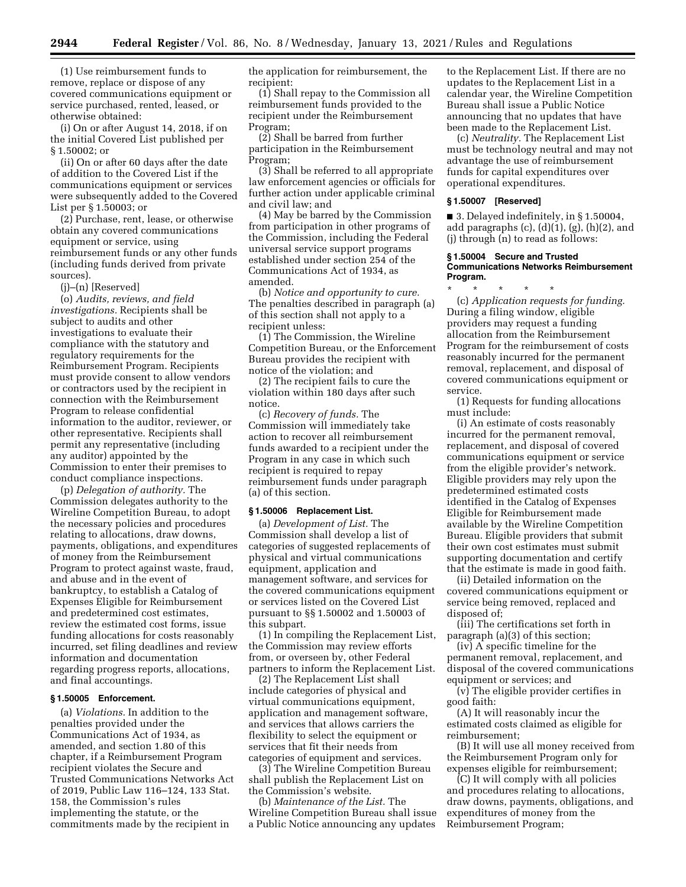(1) Use reimbursement funds to remove, replace or dispose of any covered communications equipment or service purchased, rented, leased, or otherwise obtained:

(i) On or after August 14, 2018, if on the initial Covered List published per § 1.50002; or

(ii) On or after 60 days after the date of addition to the Covered List if the communications equipment or services were subsequently added to the Covered List per § 1.50003; or

(2) Purchase, rent, lease, or otherwise obtain any covered communications equipment or service, using reimbursement funds or any other funds (including funds derived from private sources).

(j)–(n) [Reserved]

(o) *Audits, reviews, and field investigations.* Recipients shall be subject to audits and other investigations to evaluate their compliance with the statutory and regulatory requirements for the Reimbursement Program. Recipients must provide consent to allow vendors or contractors used by the recipient in connection with the Reimbursement Program to release confidential information to the auditor, reviewer, or other representative. Recipients shall permit any representative (including any auditor) appointed by the Commission to enter their premises to conduct compliance inspections.

(p) *Delegation of authority.* The Commission delegates authority to the Wireline Competition Bureau, to adopt the necessary policies and procedures relating to allocations, draw downs, payments, obligations, and expenditures of money from the Reimbursement Program to protect against waste, fraud, and abuse and in the event of bankruptcy, to establish a Catalog of Expenses Eligible for Reimbursement and predetermined cost estimates, review the estimated cost forms, issue funding allocations for costs reasonably incurred, set filing deadlines and review information and documentation regarding progress reports, allocations, and final accountings.

#### **§ 1.50005 Enforcement.**

(a) *Violations.* In addition to the penalties provided under the Communications Act of 1934, as amended, and section 1.80 of this chapter, if a Reimbursement Program recipient violates the Secure and Trusted Communications Networks Act of 2019, Public Law 116–124, 133 Stat. 158, the Commission's rules implementing the statute, or the commitments made by the recipient in

the application for reimbursement, the recipient:

(1) Shall repay to the Commission all reimbursement funds provided to the recipient under the Reimbursement Program;

(2) Shall be barred from further participation in the Reimbursement Program;

(3) Shall be referred to all appropriate law enforcement agencies or officials for further action under applicable criminal and civil law; and

(4) May be barred by the Commission from participation in other programs of the Commission, including the Federal universal service support programs established under section 254 of the Communications Act of 1934, as amended.

(b) *Notice and opportunity to cure.*  The penalties described in paragraph (a) of this section shall not apply to a recipient unless:

(1) The Commission, the Wireline Competition Bureau, or the Enforcement Bureau provides the recipient with notice of the violation; and

(2) The recipient fails to cure the violation within 180 days after such notice.

(c) *Recovery of funds.* The Commission will immediately take action to recover all reimbursement funds awarded to a recipient under the Program in any case in which such recipient is required to repay reimbursement funds under paragraph (a) of this section.

### **§ 1.50006 Replacement List.**

(a) *Development of List.* The Commission shall develop a list of categories of suggested replacements of physical and virtual communications equipment, application and management software, and services for the covered communications equipment or services listed on the Covered List pursuant to §§ 1.50002 and 1.50003 of this subpart.

(1) In compiling the Replacement List, the Commission may review efforts from, or overseen by, other Federal partners to inform the Replacement List.

(2) The Replacement List shall include categories of physical and virtual communications equipment, application and management software, and services that allows carriers the flexibility to select the equipment or services that fit their needs from categories of equipment and services.

(3) The Wireline Competition Bureau shall publish the Replacement List on the Commission's website.

(b) *Maintenance of the List.* The Wireline Competition Bureau shall issue a Public Notice announcing any updates

to the Replacement List. If there are no updates to the Replacement List in a calendar year, the Wireline Competition Bureau shall issue a Public Notice announcing that no updates that have been made to the Replacement List.

(c) *Neutrality.* The Replacement List must be technology neutral and may not advantage the use of reimbursement funds for capital expenditures over operational expenditures.

#### **§ 1.50007 [Reserved]**

■ 3. Delayed indefinitely, in § 1.50004, add paragraphs  $(c)$ ,  $(d)(1)$ ,  $(g)$ ,  $(h)(2)$ , and (j) through (n) to read as follows:

### **§ 1.50004 Secure and Trusted Communications Networks Reimbursement Program.**

\* \* \* \* \* (c) *Application requests for funding.*  During a filing window, eligible providers may request a funding allocation from the Reimbursement Program for the reimbursement of costs reasonably incurred for the permanent removal, replacement, and disposal of covered communications equipment or service.

(1) Requests for funding allocations must include:

(i) An estimate of costs reasonably incurred for the permanent removal, replacement, and disposal of covered communications equipment or service from the eligible provider's network. Eligible providers may rely upon the predetermined estimated costs identified in the Catalog of Expenses Eligible for Reimbursement made available by the Wireline Competition Bureau. Eligible providers that submit their own cost estimates must submit supporting documentation and certify that the estimate is made in good faith.

(ii) Detailed information on the covered communications equipment or service being removed, replaced and disposed of;

(iii) The certifications set forth in paragraph (a)(3) of this section;

(iv) A specific timeline for the permanent removal, replacement, and disposal of the covered communications equipment or services; and

(v) The eligible provider certifies in good faith:

(A) It will reasonably incur the estimated costs claimed as eligible for reimbursement;

(B) It will use all money received from the Reimbursement Program only for expenses eligible for reimbursement;

(C) It will comply with all policies and procedures relating to allocations, draw downs, payments, obligations, and expenditures of money from the Reimbursement Program;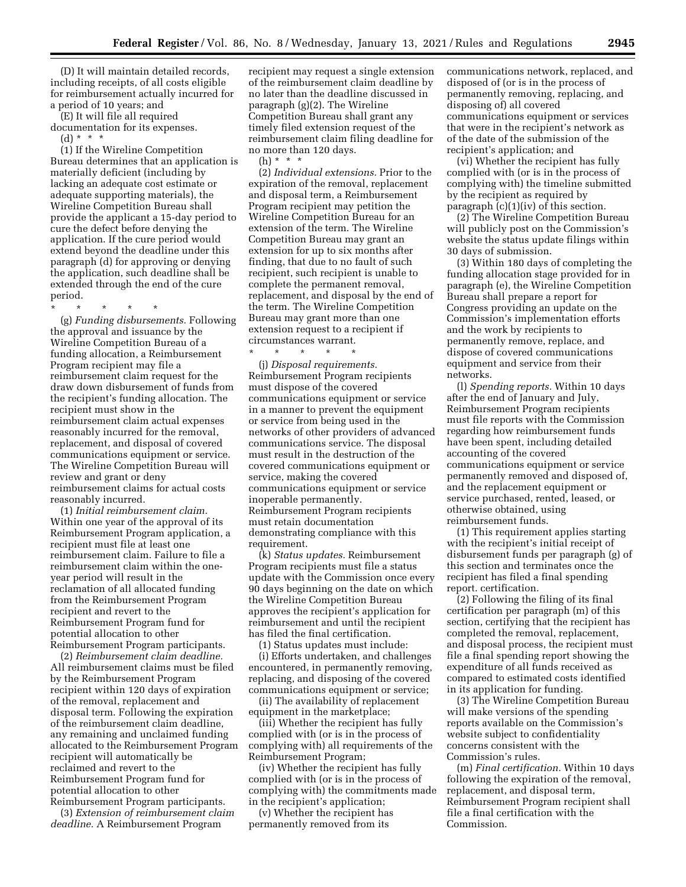(D) It will maintain detailed records, including receipts, of all costs eligible for reimbursement actually incurred for a period of 10 years; and

(E) It will file all required documentation for its expenses.

 $(d) * * * *$ 

(1) If the Wireline Competition Bureau determines that an application is materially deficient (including by lacking an adequate cost estimate or adequate supporting materials), the Wireline Competition Bureau shall provide the applicant a 15-day period to cure the defect before denying the application. If the cure period would extend beyond the deadline under this paragraph (d) for approving or denying the application, such deadline shall be extended through the end of the cure period.

\* \* \* \* \*

(g) *Funding disbursements.* Following the approval and issuance by the Wireline Competition Bureau of a funding allocation, a Reimbursement Program recipient may file a reimbursement claim request for the draw down disbursement of funds from the recipient's funding allocation. The recipient must show in the reimbursement claim actual expenses reasonably incurred for the removal, replacement, and disposal of covered communications equipment or service. The Wireline Competition Bureau will review and grant or deny reimbursement claims for actual costs reasonably incurred.

(1) *Initial reimbursement claim.*  Within one year of the approval of its Reimbursement Program application, a recipient must file at least one reimbursement claim. Failure to file a reimbursement claim within the oneyear period will result in the reclamation of all allocated funding from the Reimbursement Program recipient and revert to the Reimbursement Program fund for potential allocation to other Reimbursement Program participants.

(2) *Reimbursement claim deadline.*  All reimbursement claims must be filed by the Reimbursement Program recipient within 120 days of expiration of the removal, replacement and disposal term. Following the expiration of the reimbursement claim deadline, any remaining and unclaimed funding allocated to the Reimbursement Program recipient will automatically be reclaimed and revert to the Reimbursement Program fund for potential allocation to other Reimbursement Program participants.

(3) *Extension of reimbursement claim deadline.* A Reimbursement Program

recipient may request a single extension of the reimbursement claim deadline by no later than the deadline discussed in paragraph (g)(2). The Wireline Competition Bureau shall grant any timely filed extension request of the reimbursement claim filing deadline for no more than 120 days. (h) \* \* \*

(2) *Individual extensions.* Prior to the expiration of the removal, replacement and disposal term, a Reimbursement Program recipient may petition the Wireline Competition Bureau for an extension of the term. The Wireline Competition Bureau may grant an extension for up to six months after finding, that due to no fault of such recipient, such recipient is unable to complete the permanent removal, replacement, and disposal by the end of the term. The Wireline Competition Bureau may grant more than one extension request to a recipient if circumstances warrant.

\* \* \* \* \* (j) *Disposal requirements.*  Reimbursement Program recipients must dispose of the covered communications equipment or service in a manner to prevent the equipment or service from being used in the networks of other providers of advanced communications service. The disposal must result in the destruction of the covered communications equipment or service, making the covered communications equipment or service inoperable permanently. Reimbursement Program recipients must retain documentation demonstrating compliance with this requirement.

(k) *Status updates.* Reimbursement Program recipients must file a status update with the Commission once every 90 days beginning on the date on which the Wireline Competition Bureau approves the recipient's application for reimbursement and until the recipient has filed the final certification.

(1) Status updates must include:

(i) Efforts undertaken, and challenges encountered, in permanently removing, replacing, and disposing of the covered communications equipment or service;

(ii) The availability of replacement equipment in the marketplace;

(iii) Whether the recipient has fully complied with (or is in the process of complying with) all requirements of the Reimbursement Program;

(iv) Whether the recipient has fully complied with (or is in the process of complying with) the commitments made in the recipient's application;

(v) Whether the recipient has permanently removed from its

communications network, replaced, and disposed of (or is in the process of permanently removing, replacing, and disposing of) all covered communications equipment or services that were in the recipient's network as of the date of the submission of the recipient's application; and

(vi) Whether the recipient has fully complied with (or is in the process of complying with) the timeline submitted by the recipient as required by paragraph (c)(1)(iv) of this section.

(2) The Wireline Competition Bureau will publicly post on the Commission's website the status update filings within 30 days of submission.

(3) Within 180 days of completing the funding allocation stage provided for in paragraph (e), the Wireline Competition Bureau shall prepare a report for Congress providing an update on the Commission's implementation efforts and the work by recipients to permanently remove, replace, and dispose of covered communications equipment and service from their networks.

(l) *Spending reports.* Within 10 days after the end of January and July, Reimbursement Program recipients must file reports with the Commission regarding how reimbursement funds have been spent, including detailed accounting of the covered communications equipment or service permanently removed and disposed of, and the replacement equipment or service purchased, rented, leased, or otherwise obtained, using reimbursement funds.

(1) This requirement applies starting with the recipient's initial receipt of disbursement funds per paragraph (g) of this section and terminates once the recipient has filed a final spending report. certification.

(2) Following the filing of its final certification per paragraph (m) of this section, certifying that the recipient has completed the removal, replacement, and disposal process, the recipient must file a final spending report showing the expenditure of all funds received as compared to estimated costs identified in its application for funding.

(3) The Wireline Competition Bureau will make versions of the spending reports available on the Commission's website subject to confidentiality concerns consistent with the Commission's rules.

(m) *Final certification.* Within 10 days following the expiration of the removal, replacement, and disposal term, Reimbursement Program recipient shall file a final certification with the Commission.